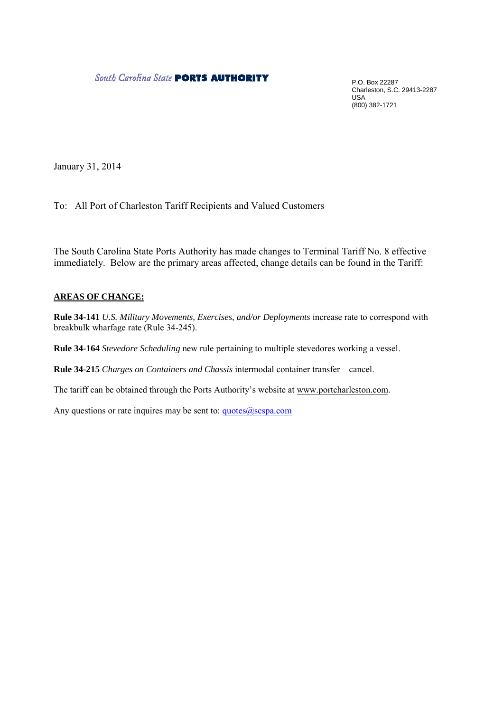### **South Carolina State PORTS AUTHORITY**

P.O. Box 22287 Charleston, S.C. 29413-2287 USA (800) 382-1721

January 31, 2014

To: All Port of Charleston Tariff Recipients and Valued Customers

The South Carolina State Ports Authority has made changes to Terminal Tariff No. 8 effective immediately. Below are the primary areas affected, change details can be found in the Tariff:

### **AREAS OF CHANGE:**

**Rule 34-141** *U.S. Military Movements, Exercises, and/or Deployments* increase rate to correspond with breakbulk wharfage rate (Rule 34-245).

**Rule 34-164** *Stevedore Scheduling* new rule pertaining to multiple stevedores working a vessel.

**Rule 34-215** *Charges on Containers and Chassis* intermodal container transfer – cancel.

The tariff can be obtained through the Ports Authority's website at www.portcharleston.com.

Any questions or rate inquires may be sent to: quotes@scspa.com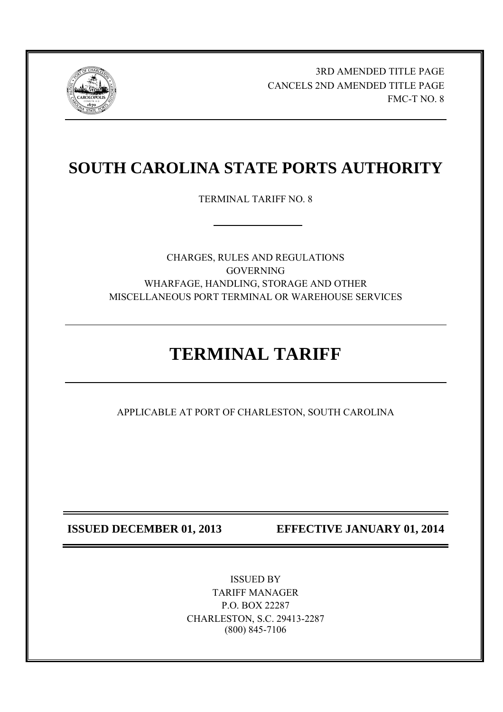

 3RD AMENDED TITLE PAGE CANCELS 2ND AMENDED TITLE PAGE FMC-T NO. 8

## **SOUTH CAROLINA STATE PORTS AUTHORITY**

TERMINAL TARIFF NO. 8

CHARGES, RULES AND REGULATIONS **GOVERNING** WHARFAGE, HANDLING, STORAGE AND OTHER MISCELLANEOUS PORT TERMINAL OR WAREHOUSE SERVICES

# **TERMINAL TARIFF**

APPLICABLE AT PORT OF CHARLESTON, SOUTH CAROLINA

**ISSUED DECEMBER 01, 2013** EFFECTIVE JANUARY 01, 2014

ISSUED BY TARIFF MANAGER P.O. BOX 22287 CHARLESTON, S.C. 29413-2287 (800) 845-7106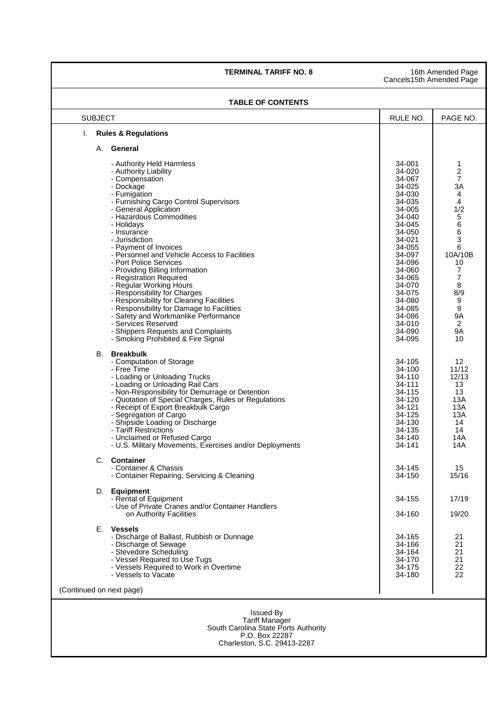### **TERMINAL TARIFF NO. 8** 16th Amended Page

Cancels15th Amended Page

### **TABLE OF CONTENTS**

| <b>SUBJECT</b>                                                                                      |                                                                                                                                                                                                                                                                                                                                                                                                                                                                                                                                                                                                                                                                          | RULE NO.                                                                                                                                                                                                                           | PAGE NO.                                                                                                                                                              |  |  |
|-----------------------------------------------------------------------------------------------------|--------------------------------------------------------------------------------------------------------------------------------------------------------------------------------------------------------------------------------------------------------------------------------------------------------------------------------------------------------------------------------------------------------------------------------------------------------------------------------------------------------------------------------------------------------------------------------------------------------------------------------------------------------------------------|------------------------------------------------------------------------------------------------------------------------------------------------------------------------------------------------------------------------------------|-----------------------------------------------------------------------------------------------------------------------------------------------------------------------|--|--|
| I.                                                                                                  | <b>Rules &amp; Regulations</b>                                                                                                                                                                                                                                                                                                                                                                                                                                                                                                                                                                                                                                           |                                                                                                                                                                                                                                    |                                                                                                                                                                       |  |  |
| А.                                                                                                  | General                                                                                                                                                                                                                                                                                                                                                                                                                                                                                                                                                                                                                                                                  |                                                                                                                                                                                                                                    |                                                                                                                                                                       |  |  |
|                                                                                                     | - Authority Held Harmless<br>- Authority Liability<br>- Compensation<br>- Dockage<br>- Fumigation<br>- Furnishing Cargo Control Supervisors<br>- General Application<br>- Hazardous Commodities<br>- Holidays<br>- Insurance<br>- Jurisdiction<br>- Payment of Invoices<br>- Personnel and Vehicle Access to Facilities<br>- Port Police Services<br>- Providing Billing Information<br>- Registration Required<br>- Regular Working Hours<br>- Responsibility for Charges<br>- Responsibility for Cleaning Facilities<br>- Responsibility for Damage to Facilities<br>- Safety and Workmanlike Performance<br>- Services Reserved<br>- Shippers Requests and Complaints | 34-001<br>34-020<br>34-067<br>34-025<br>34-030<br>34-035<br>34-005<br>34-040<br>34-045<br>34-050<br>34-021<br>34-055<br>34-097<br>34-096<br>34-060<br>34-065<br>34-070<br>34-075<br>34-080<br>34-085<br>34-086<br>34-010<br>34-090 | 1<br>$\frac{2}{7}$<br>3A<br>4<br>4<br>1/2<br>5<br>6<br>6<br>3<br>6<br>10A/10B<br>10<br>$\overline{7}$<br>$\overline{7}$<br>8<br>8/9<br>9<br>9<br><b>9A</b><br>2<br>9Α |  |  |
| В.                                                                                                  | - Smoking Prohibited & Fire Signal<br><b>Breakbulk</b><br>- Computation of Storage<br>- Free Time<br>- Loading or Unloading Trucks<br>- Loading or Unloading Rail Cars<br>- Non-Responsibility for Demurrage or Detention<br>- Quotation of Special Charges, Rules or Regulations<br>- Receipt of Export Breakbulk Cargo<br>- Segregation of Cargo<br>- Shipside Loading or Discharge<br>- Tariff Restrictions<br>- Unclaimed or Refused Cargo<br>- U.S. Military Movements, Exercises and/or Deployments                                                                                                                                                                | 34-095<br>34-105<br>34-100<br>34-110<br>34-111<br>34-115<br>34-120<br>34-121<br>34-125<br>34-130<br>34-135<br>34-140<br>34-141                                                                                                     | 10<br>$12 \overline{ }$<br>11/12<br>12/13<br>13<br>13<br>13A<br>13A<br>13A<br>14<br>14<br>14A<br>14A                                                                  |  |  |
|                                                                                                     | C. Container<br>- Container & Chassis<br>- Container Repairing, Servicing & Cleaning                                                                                                                                                                                                                                                                                                                                                                                                                                                                                                                                                                                     | 34-145<br>34-150                                                                                                                                                                                                                   | 15<br>15/16                                                                                                                                                           |  |  |
|                                                                                                     | D. Equipment<br>- Rental of Equipment<br>- Use of Private Cranes and/or Container Handlers<br>on Authority Facilities                                                                                                                                                                                                                                                                                                                                                                                                                                                                                                                                                    | 34-155<br>34-160                                                                                                                                                                                                                   | 17/19<br>19/20                                                                                                                                                        |  |  |
|                                                                                                     | F. Vessels<br>- Discharge of Ballast, Rubbish or Dunnage<br>- Discharge of Sewage<br>- Stevedore Scheduling<br>- Vessel Required to Use Tugs<br>- Vessels Required to Work in Overtime<br>- Vessels to Vacate                                                                                                                                                                                                                                                                                                                                                                                                                                                            | 34-165<br>34-166<br>34-164<br>34-170<br>34-175<br>34-180                                                                                                                                                                           | 21<br>21<br>21<br>21<br>22<br>22                                                                                                                                      |  |  |
|                                                                                                     | (Continued on next page)                                                                                                                                                                                                                                                                                                                                                                                                                                                                                                                                                                                                                                                 |                                                                                                                                                                                                                                    |                                                                                                                                                                       |  |  |
| <b>Issued By</b><br><b>Tariff Manager</b><br>South Carolina State Ports Authority<br>P.O. Box 22287 |                                                                                                                                                                                                                                                                                                                                                                                                                                                                                                                                                                                                                                                                          |                                                                                                                                                                                                                                    |                                                                                                                                                                       |  |  |

Charleston, S.C. 29413-2287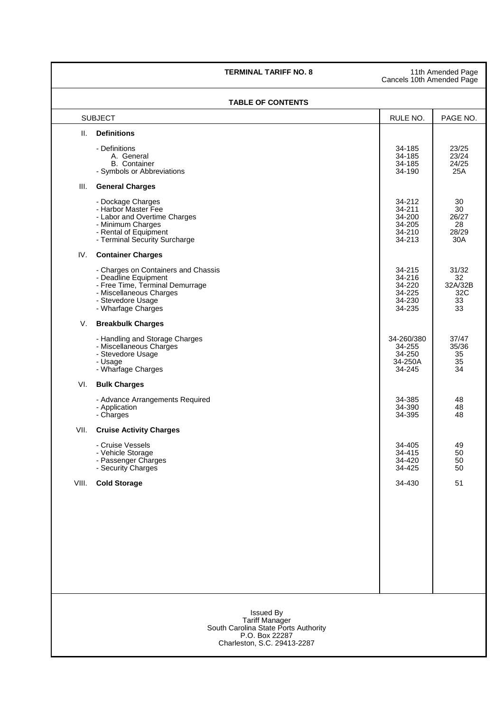### **TERMINAL TARIFF NO. 8** 11th Amended Page

Cancels 10th Amended Page

### **TABLE OF CONTENTS**

|                | I ADLE UF GUNTENTS                                                                                                                                                   |                                                          |                                           |  |  |  |
|----------------|----------------------------------------------------------------------------------------------------------------------------------------------------------------------|----------------------------------------------------------|-------------------------------------------|--|--|--|
| <b>SUBJECT</b> |                                                                                                                                                                      | RULE NO.                                                 | PAGE NO.                                  |  |  |  |
| Ш.             | <b>Definitions</b>                                                                                                                                                   |                                                          |                                           |  |  |  |
|                | - Definitions<br>A. General<br><b>B.</b> Container<br>- Symbols or Abbreviations                                                                                     | 34-185<br>34-185<br>34-185<br>34-190                     | 23/25<br>23/24<br>24/25<br>25A            |  |  |  |
| III.           | <b>General Charges</b>                                                                                                                                               |                                                          |                                           |  |  |  |
|                | - Dockage Charges<br>- Harbor Master Fee<br>- Labor and Overtime Charges<br>- Minimum Charges<br>- Rental of Equipment<br>- Terminal Security Surcharge              | 34-212<br>34-211<br>34-200<br>34-205<br>34-210<br>34-213 | 30<br>30<br>26/27<br>28<br>28/29<br>30A   |  |  |  |
| IV.            | <b>Container Charges</b>                                                                                                                                             |                                                          |                                           |  |  |  |
|                | - Charges on Containers and Chassis<br>- Deadline Equipment<br>- Free Time, Terminal Demurrage<br>- Miscellaneous Charges<br>- Stevedore Usage<br>- Wharfage Charges | 34-215<br>34-216<br>34-220<br>34-225<br>34-230<br>34-235 | 31/32<br>32<br>32A/32B<br>32C<br>33<br>33 |  |  |  |
| V.             | <b>Breakbulk Charges</b>                                                                                                                                             |                                                          |                                           |  |  |  |
|                | - Handling and Storage Charges<br>- Miscellaneous Charges<br>- Stevedore Usage<br>- Usage<br>- Wharfage Charges                                                      | 34-260/380<br>34-255<br>34-250<br>34-250A<br>34-245      | 37/47<br>35/36<br>35<br>35<br>34          |  |  |  |
| VI.            | <b>Bulk Charges</b>                                                                                                                                                  |                                                          |                                           |  |  |  |
|                | - Advance Arrangements Required<br>- Application<br>- Charges                                                                                                        | 34-385<br>34-390<br>34-395                               | 48<br>48<br>48                            |  |  |  |
| VII.           | <b>Cruise Activity Charges</b>                                                                                                                                       |                                                          |                                           |  |  |  |
|                | - Cruise Vessels<br>- Vehicle Storage<br>- Passenger Charges<br>- Security Charges                                                                                   | 34-405<br>34-415<br>34-420<br>34-425                     | 49<br>50<br>50<br>50                      |  |  |  |
| VIII.          | <b>Cold Storage</b>                                                                                                                                                  | 34-430                                                   | 51                                        |  |  |  |
|                |                                                                                                                                                                      |                                                          |                                           |  |  |  |
|                | <b>Issued By</b><br><b>Tariff Manager</b><br>South Carolina State Ports Authority<br>P.O. Box 22287<br>Charleston, S.C. 29413-2287                                   |                                                          |                                           |  |  |  |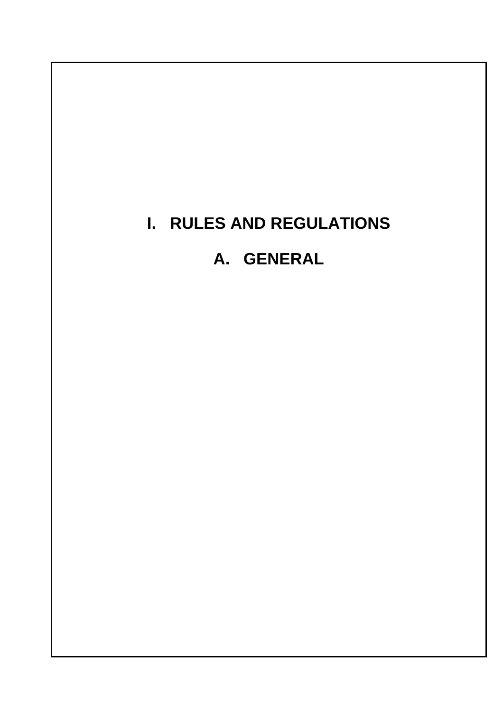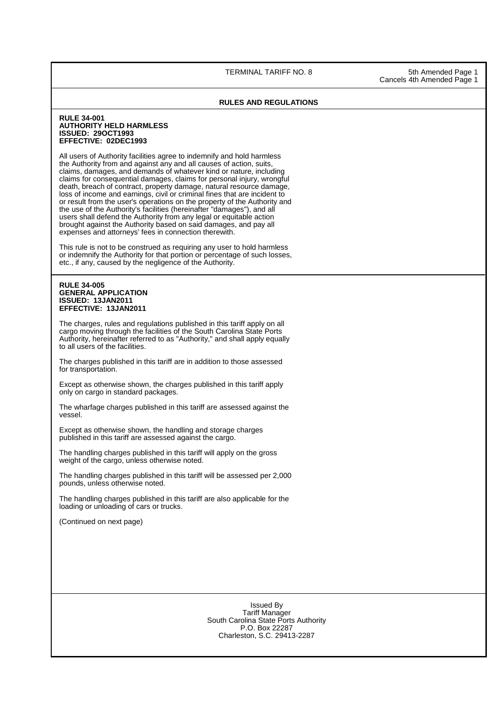TERMINAL TARIFF NO. 8 5th Amended Page 1

Cancels 4th Amended Page 1

### **RULES AND REGULATIONS**

### **RULE 34-001 AUTHORITY HELD HARMLESS ISSUED: 29OCT1993 EFFECTIVE: 02DEC1993**

All users of Authority facilities agree to indemnify and hold harmless the Authority from and against any and all causes of action, suits, claims, damages, and demands of whatever kind or nature, including claims for consequential damages, claims for personal injury, wrongful death, breach of contract, property damage, natural resource damage, loss of income and earnings, civil or criminal fines that are incident to or result from the user's operations on the property of the Authority and the use of the Authority's facilities (hereinafter "damages"), and all users shall defend the Authority from any legal or equitable action brought against the Authority based on said damages, and pay all expenses and attorneys' fees in connection therewith.

This rule is not to be construed as requiring any user to hold harmless or indemnify the Authority for that portion or percentage of such losses, etc., if any, caused by the negligence of the Authority.

### **RULE 34-005 GENERAL APPLICATION ISSUED: 13JAN2011 EFFECTIVE: 13JAN2011**

The charges, rules and regulations published in this tariff apply on all cargo moving through the facilities of the South Carolina State Ports Authority, hereinafter referred to as "Authority," and shall apply equally to all users of the facilities.

The charges published in this tariff are in addition to those assessed for transportation.

Except as otherwise shown, the charges published in this tariff apply only on cargo in standard packages.

The wharfage charges published in this tariff are assessed against the vessel.

Except as otherwise shown, the handling and storage charges published in this tariff are assessed against the cargo.

The handling charges published in this tariff will apply on the gross weight of the cargo, unless otherwise noted.

The handling charges published in this tariff will be assessed per 2,000 pounds, unless otherwise noted.

The handling charges published in this tariff are also applicable for the loading or unloading of cars or trucks.

(Continued on next page)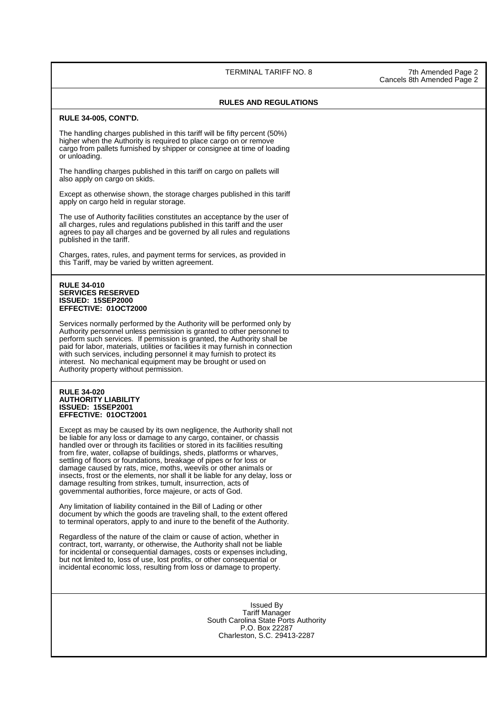TERMINAL TARIFF NO. 8 7th Amended Page 2

### **RULES AND REGULATIONS**

### **RULE 34-005, CONT'D.**

The handling charges published in this tariff will be fifty percent (50%) higher when the Authority is required to place cargo on or remove cargo from pallets furnished by shipper or consignee at time of loading or unloading.

The handling charges published in this tariff on cargo on pallets will also apply on cargo on skids.

Except as otherwise shown, the storage charges published in this tariff apply on cargo held in regular storage.

The use of Authority facilities constitutes an acceptance by the user of all charges, rules and regulations published in this tariff and the user agrees to pay all charges and be governed by all rules and regulations published in the tariff.

 Charges, rates, rules, and payment terms for services, as provided in this Tariff, may be varied by written agreement.

### **RULE 34-010 SERVICES RESERVED ISSUED: 15SEP2000 EFFECTIVE: 01OCT2000**

Services normally performed by the Authority will be performed only by Authority personnel unless permission is granted to other personnel to perform such services. If permission is granted, the Authority shall be paid for labor, materials, utilities or facilities it may furnish in connection with such services, including personnel it may furnish to protect its interest. No mechanical equipment may be brought or used on Authority property without permission.

### **RULE 34-020 AUTHORITY LIABILITY ISSUED: 15SEP2001 EFFECTIVE: 01OCT2001**

Except as may be caused by its own negligence, the Authority shall not be liable for any loss or damage to any cargo, container, or chassis handled over or through its facilities or stored in its facilities resulting from fire, water, collapse of buildings, sheds, platforms or wharves, settling of floors or foundations, breakage of pipes or for loss or damage caused by rats, mice, moths, weevils or other animals or insects, frost or the elements, nor shall it be liable for any delay, loss or damage resulting from strikes, tumult, insurrection, acts of governmental authorities, force majeure, or acts of God.

Any limitation of liability contained in the Bill of Lading or other document by which the goods are traveling shall, to the extent offered to terminal operators, apply to and inure to the benefit of the Authority.

 Regardless of the nature of the claim or cause of action, whether in contract, tort, warranty, or otherwise, the Authority shall not be liable for incidental or consequential damages, costs or expenses including, but not limited to, loss of use, lost profits, or other consequential or incidental economic loss, resulting from loss or damage to property.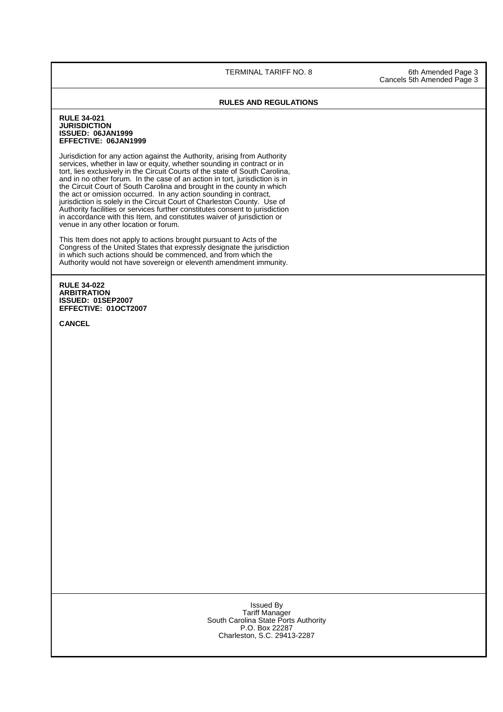TERMINAL TARIFF NO. 8 6th Amended Page 3

Cancels 5th Amended Page 3

### **RULES AND REGULATIONS**

### **RULE 34-021 JURISDICTION ISSUED: 06JAN1999 EFFECTIVE: 06JAN1999**

Jurisdiction for any action against the Authority, arising from Authority services, whether in law or equity, whether sounding in contract or in tort, lies exclusively in the Circuit Courts of the state of South Carolina, and in no other forum. In the case of an action in tort, jurisdiction is in the Circuit Court of South Carolina and brought in the county in which the act or omission occurred. In any action sounding in contract, jurisdiction is solely in the Circuit Court of Charleston County. Use of Authority facilities or services further constitutes consent to jurisdiction in accordance with this Item, and constitutes waiver of jurisdiction or venue in any other location or forum.

This Item does not apply to actions brought pursuant to Acts of the Congress of the United States that expressly designate the jurisdiction in which such actions should be commenced, and from which the Authority would not have sovereign or eleventh amendment immunity.

### **RULE 34-022 ARBITRATION ISSUED: 01SEP2007 EFFECTIVE: 01OCT2007**

**CANCEL**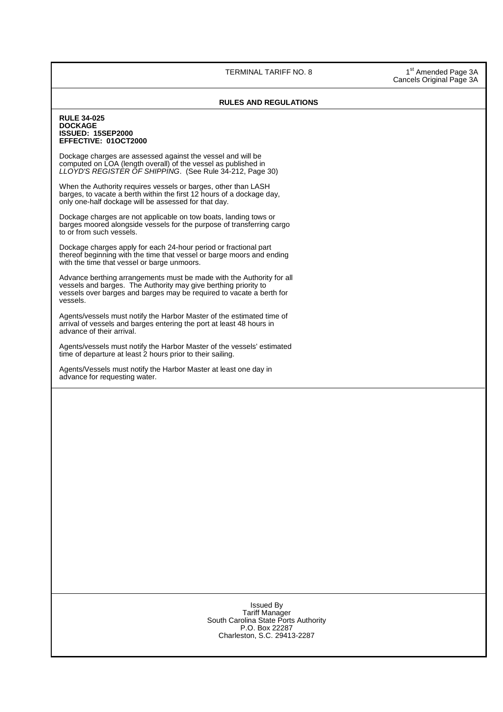TERMINAL TARIFF NO. 8 1st Amended Page 3A

Cancels Original Page 3A

### **RULES AND REGULATIONS**

### **RULE 34-025 DOCKAGE ISSUED: 15SEP2000 EFFECTIVE: 01OCT2000**

 Dockage charges are assessed against the vessel and will be computed on LOA (length overall) of the vessel as published in LLOYD'S REGISTER OF SHIPPING. (See Rule 34-212, Page 30)

When the Authority requires vessels or barges, other than LASH barges, to vacate a berth within the first 12 hours of a dockage day, only one-half dockage will be assessed for that day.

Dockage charges are not applicable on tow boats, landing tows or barges moored alongside vessels for the purpose of transferring cargo to or from such vessels.

Dockage charges apply for each 24-hour period or fractional part thereof beginning with the time that vessel or barge moors and ending with the time that vessel or barge unmoors.

Advance berthing arrangements must be made with the Authority for all vessels and barges. The Authority may give berthing priority to vessels over barges and barges may be required to vacate a berth for vessels.

Agents/vessels must notify the Harbor Master of the estimated time of arrival of vessels and barges entering the port at least 48 hours in advance of their arrival.

Agents/vessels must notify the Harbor Master of the vessels' estimated time of departure at least 2 hours prior to their sailing.

 Agents/Vessels must notify the Harbor Master at least one day in advance for requesting water.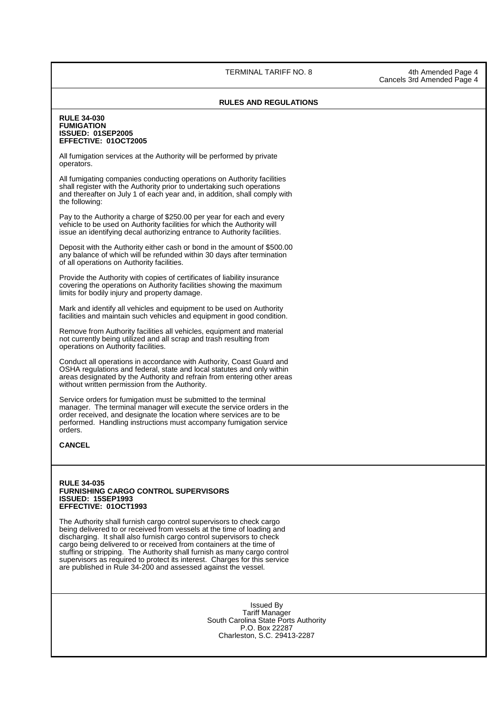TERMINAL TARIFF NO. 8 4th Amended Page 4

### **RULES AND REGULATIONS**

### **RULE 34-030 FUMIGATION ISSUED: 01SEP2005 EFFECTIVE: 01OCT2005**

All fumigation services at the Authority will be performed by private operators.

All fumigating companies conducting operations on Authority facilities shall register with the Authority prior to undertaking such operations and thereafter on July 1 of each year and, in addition, shall comply with the following:

Pay to the Authority a charge of \$250.00 per year for each and every vehicle to be used on Authority facilities for which the Authority will issue an identifying decal authorizing entrance to Authority facilities.

Deposit with the Authority either cash or bond in the amount of \$500.00 any balance of which will be refunded within 30 days after termination of all operations on Authority facilities.

Provide the Authority with copies of certificates of liability insurance covering the operations on Authority facilities showing the maximum limits for bodily injury and property damage.

Mark and identify all vehicles and equipment to be used on Authority facilities and maintain such vehicles and equipment in good condition.

Remove from Authority facilities all vehicles, equipment and material not currently being utilized and all scrap and trash resulting from operations on Authority facilities.

Conduct all operations in accordance with Authority, Coast Guard and OSHA regulations and federal, state and local statutes and only within areas designated by the Authority and refrain from entering other areas without written permission from the Authority.

Service orders for fumigation must be submitted to the terminal manager. The terminal manager will execute the service orders in the order received, and designate the location where services are to be performed. Handling instructions must accompany fumigation service orders.

### **CANCEL**

### **RULE 34-035 FURNISHING CARGO CONTROL SUPERVISORS ISSUED: 15SEP1993 EFFECTIVE: 01OCT1993**

The Authority shall furnish cargo control supervisors to check cargo being delivered to or received from vessels at the time of loading and discharging. It shall also furnish cargo control supervisors to check cargo being delivered to or received from containers at the time of stuffing or stripping. The Authority shall furnish as many cargo control supervisors as required to protect its interest. Charges for this service are published in Rule 34-200 and assessed against the vessel.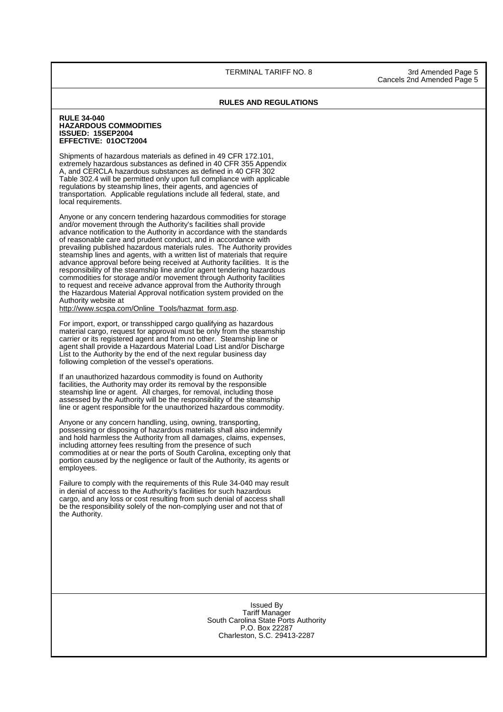TERMINAL TARIFF NO. 8 3rd Amended Page 5

### **RULES AND REGULATIONS**

### **RULE 34-040 HAZARDOUS COMMODITIES ISSUED: 15SEP2004 EFFECTIVE: 01OCT2004**

 Shipments of hazardous materials as defined in 49 CFR 172.101, extremely hazardous substances as defined in 40 CFR 355 Appendix A, and CERCLA hazardous substances as defined in 40 CFR 302 Table 302.4 will be permitted only upon full compliance with applicable regulations by steamship lines, their agents, and agencies of transportation. Applicable regulations include all federal, state, and local requirements.

 Anyone or any concern tendering hazardous commodities for storage and/or movement through the Authority's facilities shall provide advance notification to the Authority in accordance with the standards of reasonable care and prudent conduct, and in accordance with prevailing published hazardous materials rules. The Authority provides steamship lines and agents, with a written list of materials that require advance approval before being received at Authority facilities. It is the responsibility of the steamship line and/or agent tendering hazardous commodities for storage and/or movement through Authority facilities to request and receive advance approval from the Authority through the Hazardous Material Approval notification system provided on the Authority website at

http://www.scspa.com/Online\_Tools/hazmat\_form.asp.

 For import, export, or transshipped cargo qualifying as hazardous material cargo, request for approval must be only from the steamship carrier or its registered agent and from no other. Steamship line or agent shall provide a Hazardous Material Load List and/or Discharge List to the Authority by the end of the next regular business day following completion of the vessel's operations.

 If an unauthorized hazardous commodity is found on Authority facilities, the Authority may order its removal by the responsible steamship line or agent. All charges, for removal, including those assessed by the Authority will be the responsibility of the steamship line or agent responsible for the unauthorized hazardous commodity.

Anyone or any concern handling, using, owning, transporting, possessing or disposing of hazardous materials shall also indemnify and hold harmless the Authority from all damages, claims, expenses, including attorney fees resulting from the presence of such commodities at or near the ports of South Carolina, excepting only that portion caused by the negligence or fault of the Authority, its agents or employees.

 Failure to comply with the requirements of this Rule 34-040 may result in denial of access to the Authority's facilities for such hazardous cargo, and any loss or cost resulting from such denial of access shall be the responsibility solely of the non-complying user and not that of the Authority.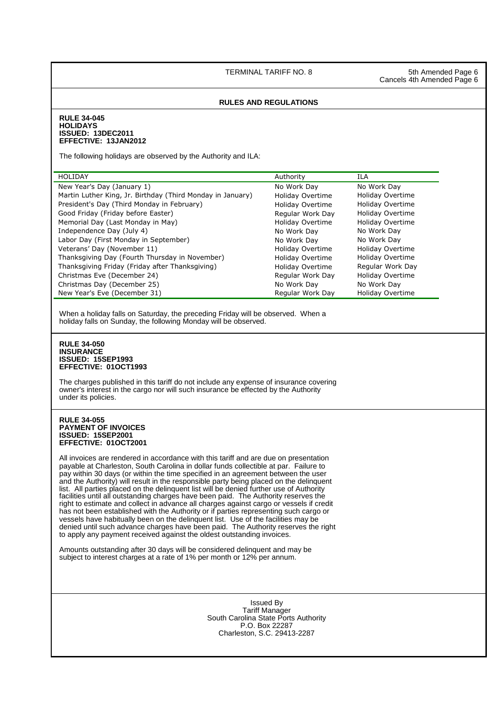TERMINAL TARIFF NO. 8 5th Amended Page 6

Cancels 4th Amended Page 6

### **RULES AND REGULATIONS**

### **RULE 34-045 HOLIDAYS ISSUED: 13DEC2011 EFFECTIVE: 13JAN2012**

The following holidays are observed by the Authority and ILA:

| HOLIDAY                                                    | Authority        | ILA                     |
|------------------------------------------------------------|------------------|-------------------------|
| New Year's Day (January 1)                                 | No Work Day      | No Work Day             |
| Martin Luther King, Jr. Birthday (Third Monday in January) | Holiday Overtime | Holiday Overtime        |
| President's Day (Third Monday in February)                 | Holiday Overtime | Holiday Overtime        |
| Good Friday (Friday before Easter)                         | Regular Work Day | Holiday Overtime        |
| Memorial Day (Last Monday in May)                          | Holiday Overtime | <b>Holiday Overtime</b> |
| Independence Day (July 4)                                  | No Work Dav      | No Work Day             |
| Labor Day (First Monday in September)                      | No Work Dav      | No Work Day             |
| Veterans' Day (November 11)                                | Holiday Overtime | <b>Holiday Overtime</b> |
| Thanksgiving Day (Fourth Thursday in November)             | Holiday Overtime | Holiday Overtime        |
| Thanksgiving Friday (Friday after Thanksgiving)            | Holiday Overtime | Regular Work Day        |
| Christmas Eve (December 24)                                | Regular Work Day | Holiday Overtime        |
| Christmas Day (December 25)                                | No Work Day      | No Work Day             |
| New Year's Eve (December 31)                               | Regular Work Day | Holiday Overtime        |

When a holiday falls on Saturday, the preceding Friday will be observed. When a holiday falls on Sunday, the following Monday will be observed.

### **RULE 34-050 INSURANCE ISSUED: 15SEP1993 EFFECTIVE: 01OCT1993**

The charges published in this tariff do not include any expense of insurance covering owner's interest in the cargo nor will such insurance be effected by the Authority under its policies.

### **RULE 34-055 PAYMENT OF INVOICES ISSUED: 15SEP2001 EFFECTIVE: 01OCT2001**

All invoices are rendered in accordance with this tariff and are due on presentation payable at Charleston, South Carolina in dollar funds collectible at par. Failure to pay within 30 days (or within the time specified in an agreement between the user and the Authority) will result in the responsible party being placed on the delinquent list. All parties placed on the delinquent list will be denied further use of Authority facilities until all outstanding charges have been paid. The Authority reserves the right to estimate and collect in advance all charges against cargo or vessels if credit has not been established with the Authority or if parties representing such cargo or vessels have habitually been on the delinquent list. Use of the facilities may be denied until such advance charges have been paid. The Authority reserves the right to apply any payment received against the oldest outstanding invoices.

 Amounts outstanding after 30 days will be considered delinquent and may be subject to interest charges at a rate of 1% per month or 12% per annum.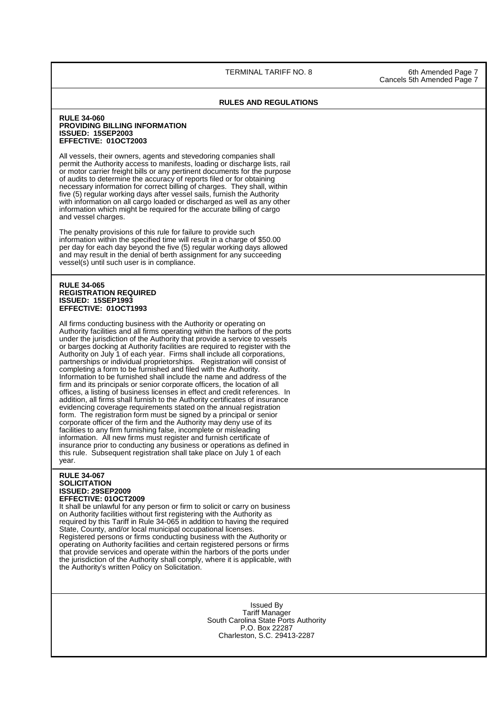TERMINAL TARIFF NO. 8 6th Amended Page 7

Cancels 5th Amended Page 7

### **RULES AND REGULATIONS**

### **RULE 34-060 PROVIDING BILLING INFORMATION ISSUED: 15SEP2003 EFFECTIVE: 01OCT2003**

 All vessels, their owners, agents and stevedoring companies shall permit the Authority access to manifests, loading or discharge lists, rail or motor carrier freight bills or any pertinent documents for the purpose of audits to determine the accuracy of reports filed or for obtaining necessary information for correct billing of charges. They shall, within five (5) regular working days after vessel sails, furnish the Authority with information on all cargo loaded or discharged as well as any other information which might be required for the accurate billing of cargo and vessel charges.

The penalty provisions of this rule for failure to provide such information within the specified time will result in a charge of \$50.00 per day for each day beyond the five (5) regular working days allowed and may result in the denial of berth assignment for any succeeding vessel(s) until such user is in compliance.

### **RULE 34-065 REGISTRATION REQUIRED ISSUED: 15SEP1993 EFFECTIVE: 01OCT1993**

All firms conducting business with the Authority or operating on Authority facilities and all firms operating within the harbors of the ports under the jurisdiction of the Authority that provide a service to vessels or barges docking at Authority facilities are required to register with the Authority on July 1 of each year. Firms shall include all corporations, partnerships or individual proprietorships. Registration will consist of completing a form to be furnished and filed with the Authority. Information to be furnished shall include the name and address of the firm and its principals or senior corporate officers, the location of all offices, a listing of business licenses in effect and credit references. In addition, all firms shall furnish to the Authority certificates of insurance evidencing coverage requirements stated on the annual registration form. The registration form must be signed by a principal or senior corporate officer of the firm and the Authority may deny use of its facilities to any firm furnishing false, incomplete or misleading information. All new firms must register and furnish certificate of insurance prior to conducting any business or operations as defined in this rule. Subsequent registration shall take place on July 1 of each year.

### **RULE 34-067 SOLICITATION ISSUED: 29SEP2009 EFFECTIVE: 01OCT2009**

It shall be unlawful for any person or firm to solicit or carry on business on Authority facilities without first registering with the Authority as required by this Tariff in Rule 34-065 in addition to having the required State, County, and/or local municipal occupational licenses. Registered persons or firms conducting business with the Authority or operating on Authority facilities and certain registered persons or firms that provide services and operate within the harbors of the ports under the jurisdiction of the Authority shall comply, where it is applicable, with the Authority's written Policy on Solicitation.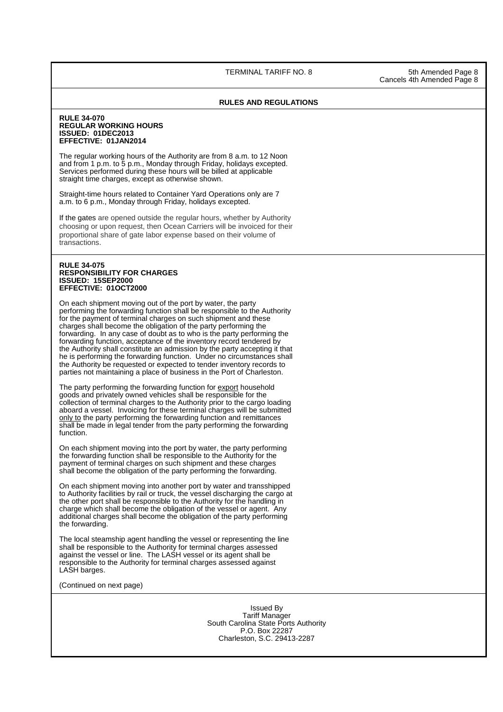TERMINAL TARIFF NO. 8 5th Amended Page 8

Cancels 4th Amended Page 8

### **RULES AND REGULATIONS**

### **RULE 34-070 REGULAR WORKING HOURS ISSUED: 01DEC2013 EFFECTIVE: 01JAN2014**

The regular working hours of the Authority are from 8 a.m. to 12 Noon and from 1 p.m. to 5 p.m., Monday through Friday, holidays excepted. Services performed during these hours will be billed at applicable straight time charges, except as otherwise shown.

Straight-time hours related to Container Yard Operations only are 7 a.m. to 6 p.m., Monday through Friday, holidays excepted.

If the gates are opened outside the regular hours, whether by Authority choosing or upon request, then Ocean Carriers will be invoiced for their proportional share of gate labor expense based on their volume of transactions.

### **RULE 34-075 RESPONSIBILITY FOR CHARGES ISSUED: 15SEP2000 EFFECTIVE: 01OCT2000**

 On each shipment moving out of the port by water, the party performing the forwarding function shall be responsible to the Authority for the payment of terminal charges on such shipment and these charges shall become the obligation of the party performing the forwarding. In any case of doubt as to who is the party performing the forwarding function, acceptance of the inventory record tendered by the Authority shall constitute an admission by the party accepting it that he is performing the forwarding function. Under no circumstances shall the Authority be requested or expected to tender inventory records to parties not maintaining a place of business in the Port of Charleston.

The party performing the forwarding function for export household goods and privately owned vehicles shall be responsible for the collection of terminal charges to the Authority prior to the cargo loading aboard a vessel. Invoicing for these terminal charges will be submitted only to the party performing the forwarding function and remittances shall be made in legal tender from the party performing the forwarding function.

On each shipment moving into the port by water, the party performing the forwarding function shall be responsible to the Authority for the payment of terminal charges on such shipment and these charges shall become the obligation of the party performing the forwarding.

On each shipment moving into another port by water and transshipped to Authority facilities by rail or truck, the vessel discharging the cargo at the other port shall be responsible to the Authority for the handling in charge which shall become the obligation of the vessel or agent. Any additional charges shall become the obligation of the party performing the forwarding.

The local steamship agent handling the vessel or representing the line shall be responsible to the Authority for terminal charges assessed against the vessel or line. The LASH vessel or its agent shall be responsible to the Authority for terminal charges assessed against LASH barges.

(Continued on next page)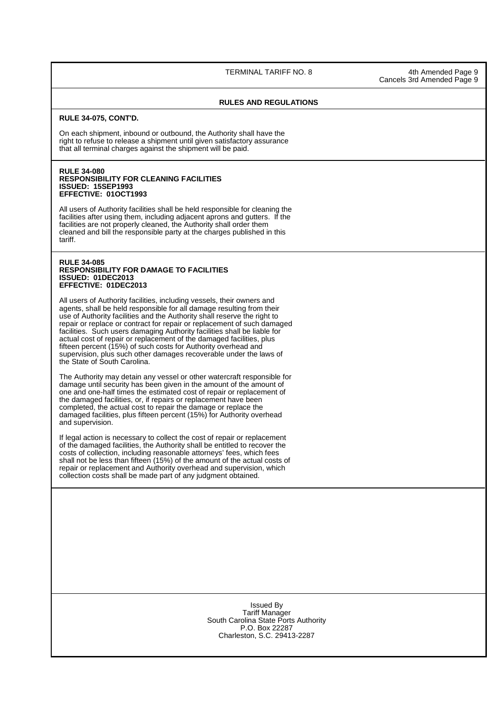TERMINAL TARIFF NO. 8 4th Amended Page 9

Cancels 3rd Amended Page 9

### **RULES AND REGULATIONS**

### **RULE 34-075, CONT'D.**

On each shipment, inbound or outbound, the Authority shall have the right to refuse to release a shipment until given satisfactory assurance that all terminal charges against the shipment will be paid.

### **RULE 34-080 RESPONSIBILITY FOR CLEANING FACILITIES ISSUED: 15SEP1993 EFFECTIVE: 01OCT1993**

All users of Authority facilities shall be held responsible for cleaning the facilities after using them, including adjacent aprons and gutters. If the facilities are not properly cleaned, the Authority shall order them cleaned and bill the responsible party at the charges published in this tariff.

### **RULE 34-085 RESPONSIBILITY FOR DAMAGE TO FACILITIES ISSUED: 01DEC2013 EFFECTIVE: 01DEC2013**

 All users of Authority facilities, including vessels, their owners and agents, shall be held responsible for all damage resulting from their use of Authority facilities and the Authority shall reserve the right to repair or replace or contract for repair or replacement of such damaged facilities. Such users damaging Authority facilities shall be liable for actual cost of repair or replacement of the damaged facilities, plus fifteen percent (15%) of such costs for Authority overhead and supervision, plus such other damages recoverable under the laws of the State of South Carolina.

The Authority may detain any vessel or other watercraft responsible for damage until security has been given in the amount of the amount of one and one-half times the estimated cost of repair or replacement of the damaged facilities, or, if repairs or replacement have been completed, the actual cost to repair the damage or replace the damaged facilities, plus fifteen percent (15%) for Authority overhead and supervision.

If legal action is necessary to collect the cost of repair or replacement of the damaged facilities, the Authority shall be entitled to recover the costs of collection, including reasonable attorneys' fees, which fees shall not be less than fifteen (15%) of the amount of the actual costs of repair or replacement and Authority overhead and supervision, which collection costs shall be made part of any judgment obtained.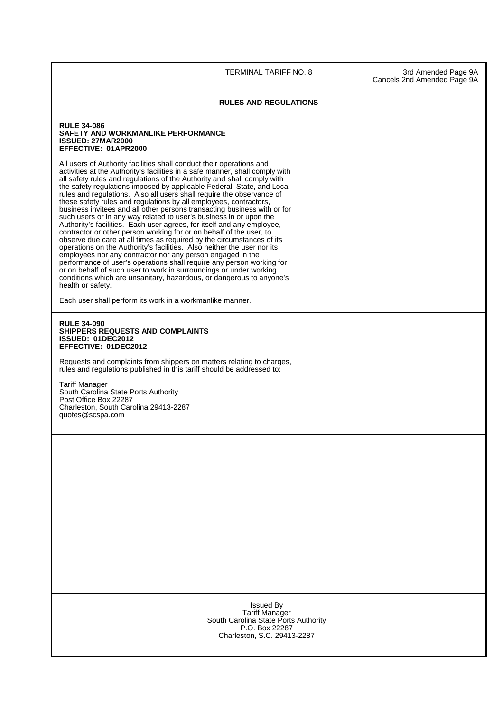TERMINAL TARIFF NO. 8 3rd Amended Page 9A Cancels 2nd Amended Page 9A

### **RULES AND REGULATIONS**

### **RULE 34-086 SAFETY AND WORKMANLIKE PERFORMANCE ISSUED: 27MAR2000 EFFECTIVE: 01APR2000**

 All users of Authority facilities shall conduct their operations and activities at the Authority's facilities in a safe manner, shall comply with all safety rules and regulations of the Authority and shall comply with the safety regulations imposed by applicable Federal, State, and Local rules and regulations. Also all users shall require the observance of these safety rules and regulations by all employees, contractors, business invitees and all other persons transacting business with or for such users or in any way related to user's business in or upon the Authority's facilities. Each user agrees, for itself and any employee, contractor or other person working for or on behalf of the user, to observe due care at all times as required by the circumstances of its operations on the Authority's facilities. Also neither the user nor its employees nor any contractor nor any person engaged in the performance of user's operations shall require any person working for or on behalf of such user to work in surroundings or under working conditions which are unsanitary, hazardous, or dangerous to anyone's health or safety.

Each user shall perform its work in a workmanlike manner.

### **RULE 34-090 SHIPPERS REQUESTS AND COMPLAINTS ISSUED: 01DEC2012 EFFECTIVE: 01DEC2012**

Requests and complaints from shippers on matters relating to charges, rules and regulations published in this tariff should be addressed to:

Tariff Manager South Carolina State Ports Authority Post Office Box 22287 Charleston, South Carolina 29413-2287 quotes@scspa.com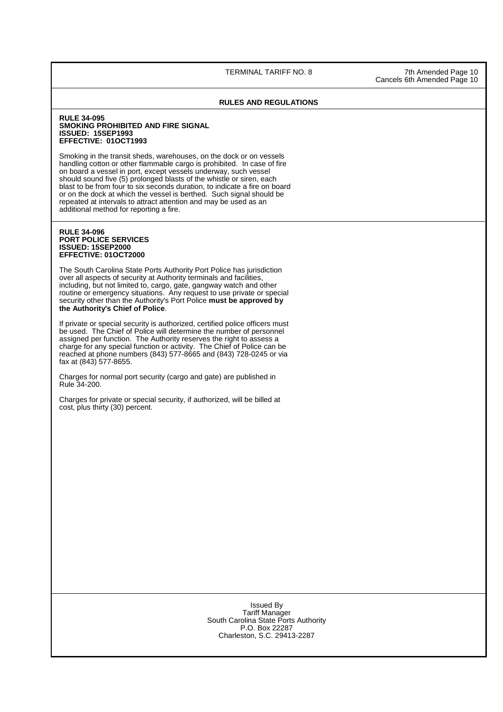TERMINAL TARIFF NO. 8 7th Amended Page 10

Cancels 6th Amended Page 10

### **RULES AND REGULATIONS**

### **RULE 34-095 SMOKING PROHIBITED AND FIRE SIGNAL ISSUED: 15SEP1993 EFFECTIVE: 01OCT1993**

Smoking in the transit sheds, warehouses, on the dock or on vessels handling cotton or other flammable cargo is prohibited. In case of fire on board a vessel in port, except vessels underway, such vessel should sound five (5) prolonged blasts of the whistle or siren, each blast to be from four to six seconds duration, to indicate a fire on board or on the dock at which the vessel is berthed. Such signal should be repeated at intervals to attract attention and may be used as an additional method for reporting a fire.

### **RULE 34-096 PORT POLICE SERVICES ISSUED: 15SEP2000 EFFECTIVE: 01OCT2000**

The South Carolina State Ports Authority Port Police has jurisdiction over all aspects of security at Authority terminals and facilities, including, but not limited to, cargo, gate, gangway watch and other routine or emergency situations. Any request to use private or special security other than the Authority's Port Police **must be approved by the Authority's Chief of Police**.

If private or special security is authorized, certified police officers must be used. The Chief of Police will determine the number of personnel assigned per function. The Authority reserves the right to assess a charge for any special function or activity. The Chief of Police can be reached at phone numbers (843) 577-8665 and (843) 728-0245 or via fax at (843) 577-8655.

Charges for normal port security (cargo and gate) are published in Rule 34-200.

 Charges for private or special security, if authorized, will be billed at cost, plus thirty (30) percent.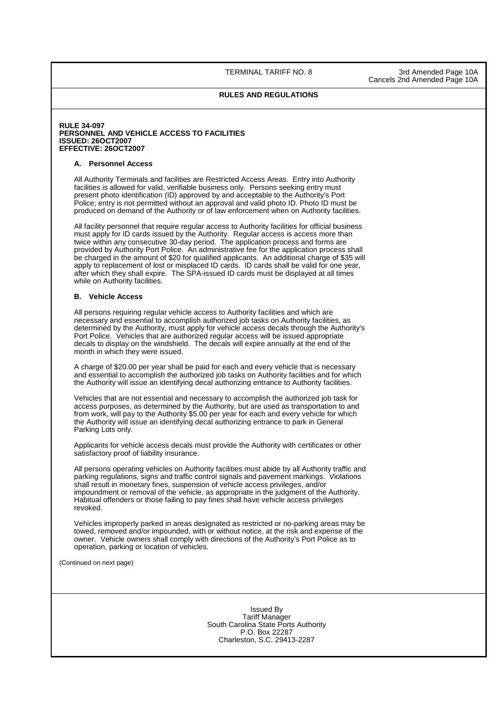TERMINAL TARIFF NO. 8 3rd Amended Page 10A Cancels 2nd Amended Page 10A

### **RULES AND REGULATIONS**

### **RULE 34-097 PERSONNEL AND VEHICLE ACCESS TO FACILITIES ISSUED: 26OCT2007 EFFECTIVE: 26OCT2007**

### **A. Personnel Access**

 All Authority Terminals and facilities are Restricted Access Areas. Entry into Authority facilities is allowed for valid, verifiable business only. Persons seeking entry must present photo identification (ID) approved by and acceptable to the Authority's Port Police; entry is not permitted without an approval and valid photo ID. Photo ID must be produced on demand of the Authority or of law enforcement when on Authority facilities.

 All facility personnel that require regular access to Authority facilities for official business must apply for ID cards issued by the Authority. Regular access is access more than twice within any consecutive 30-day period. The application process and forms are provided by Authority Port Police. An administrative fee for the application process shall be charged in the amount of \$20 for qualified applicants. An additional charge of \$35 will apply to replacement of lost or misplaced ID cards. ID cards shall be valid for one year, after which they shall expire. The SPA-issued ID cards must be displayed at all times while on Authority facilities.

### **B. Vehicle Access**

 All persons requiring regular vehicle access to Authority facilities and which are necessary and essential to accomplish authorized job tasks on Authority facilities, as determined by the Authority, must apply for vehicle access decals through the Authority's Port Police. Vehicles that are authorized regular access will be issued appropriate decals to display on the windshield. The decals will expire annually at the end of the month in which they were issued.

 A charge of \$20.00 per year shall be paid for each and every vehicle that is necessary and essential to accomplish the authorized job tasks on Authority facilities and for which the Authority will issue an identifying decal authorizing entrance to Authority facilities.

 Vehicles that are not essential and necessary to accomplish the authorized job task for access purposes, as determined by the Authority, but are used as transportation to and from work, will pay to the Authority \$5.00 per year for each and every vehicle for which the Authority will issue an identifying decal authorizing entrance to park in General Parking Lots only.

 Applicants for vehicle access decals must provide the Authority with certificates or other satisfactory proof of liability insurance.

 All persons operating vehicles on Authority facilities must abide by all Authority traffic and parking regulations, signs and traffic control signals and pavement markings. Violations shall result in monetary fines, suspension of vehicle access privileges, and/or impoundment or removal of the vehicle, as appropriate in the judgment of the Authority. Habitual offenders or those failing to pay fines shall have vehicle access privileges revoked.

 Vehicles improperly parked in areas designated as restricted or no-parking areas may be towed, removed and/or impounded, with or without notice, at the risk and expense of the owner. Vehicle owners shall comply with directions of the Authority's Port Police as to operation, parking or location of vehicles.

(Continued on next page)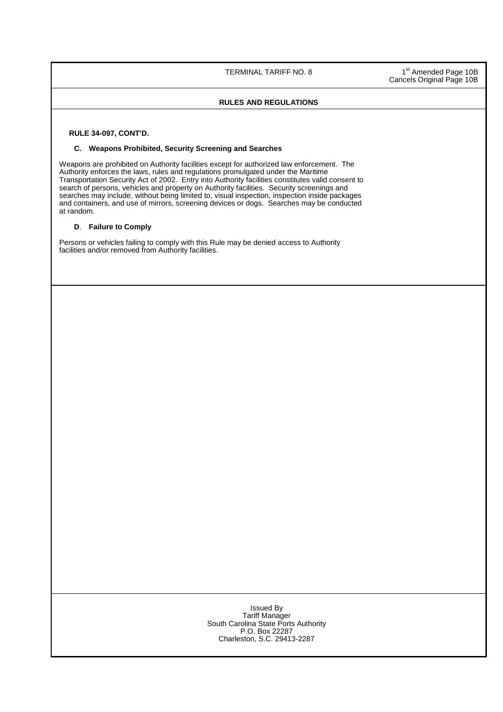TERMINAL TARIFF NO. 8 1

<sup>st</sup> Amended Page 10B Cancels Original Page 10B

### **RULES AND REGULATIONS**

 **RULE 34-097, CONT'D.** 

### **C. Weapons Prohibited, Security Screening and Searches**

 Weapons are prohibited on Authority facilities except for authorized law enforcement. The Authority enforces the laws, rules and regulations promulgated under the Maritime Transportation Security Act of 2002. Entry into Authority facilities constitutes valid consent to search of persons, vehicles and property on Authority facilities. Security screenings and searches may include, without being limited to, visual inspection, inspection inside packages and containers, and use of mirrors, screening devices or dogs. Searches may be conducted at random.

### **D**. **Failure to Comply**

Persons or vehicles failing to comply with this Rule may be denied access to Authority facilities and/or removed from Authority facilities.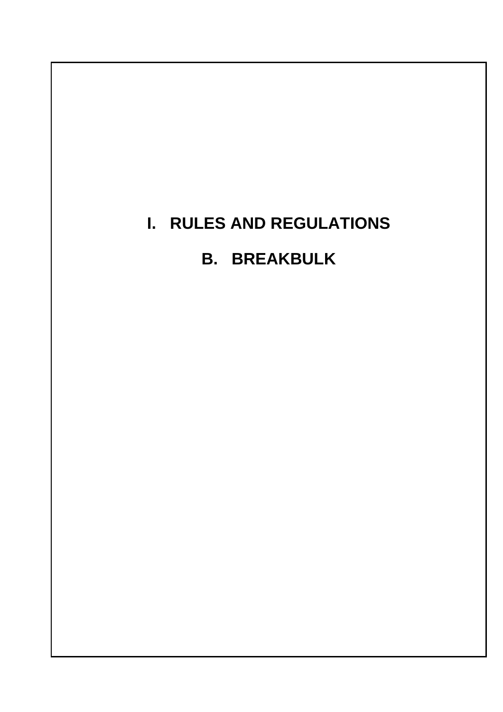# **I. RULES AND REGULATIONS**

# **B. BREAKBULK**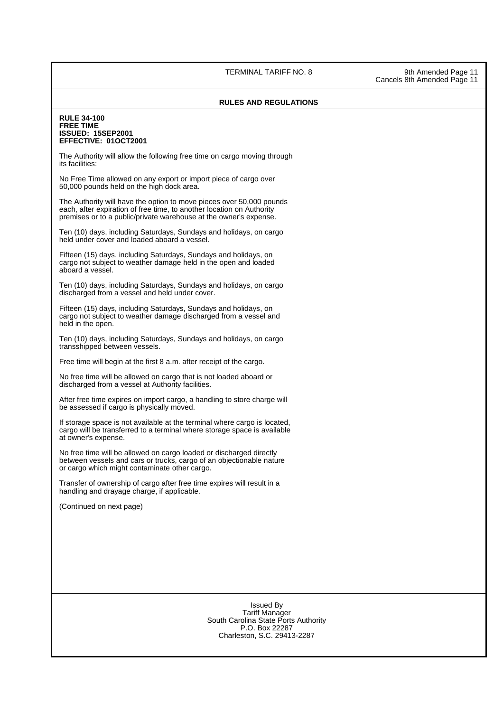### TERMINAL TARIFF NO. 8 9th Amended Page 11

### **RULES AND REGULATIONS**

### **RULE 34-100 FREE TIME ISSUED: 15SEP2001 EFFECTIVE: 01OCT2001**

The Authority will allow the following free time on cargo moving through its facilities:

 No Free Time allowed on any export or import piece of cargo over 50,000 pounds held on the high dock area.

The Authority will have the option to move pieces over 50,000 pounds each, after expiration of free time, to another location on Authority premises or to a public/private warehouse at the owner's expense.

 Ten (10) days, including Saturdays, Sundays and holidays, on cargo held under cover and loaded aboard a vessel.

Fifteen (15) days, including Saturdays, Sundays and holidays, on cargo not subject to weather damage held in the open and loaded aboard a vessel.

 Ten (10) days, including Saturdays, Sundays and holidays, on cargo discharged from a vessel and held under cover.

 Fifteen (15) days, including Saturdays, Sundays and holidays, on cargo not subject to weather damage discharged from a vessel and held in the open.

 Ten (10) days, including Saturdays, Sundays and holidays, on cargo transshipped between vessels.

Free time will begin at the first 8 a.m. after receipt of the cargo.

No free time will be allowed on cargo that is not loaded aboard or discharged from a vessel at Authority facilities.

After free time expires on import cargo, a handling to store charge will be assessed if cargo is physically moved.

If storage space is not available at the terminal where cargo is located, cargo will be transferred to a terminal where storage space is available at owner's expense.

No free time will be allowed on cargo loaded or discharged directly between vessels and cars or trucks, cargo of an objectionable nature or cargo which might contaminate other cargo.

Transfer of ownership of cargo after free time expires will result in a handling and drayage charge, if applicable.

(Continued on next page)

Issued By Tariff Manager South Carolina State Ports Authority P.O. Box 22287 Charleston, S.C. 29413-2287

Cancels 8th Amended Page 11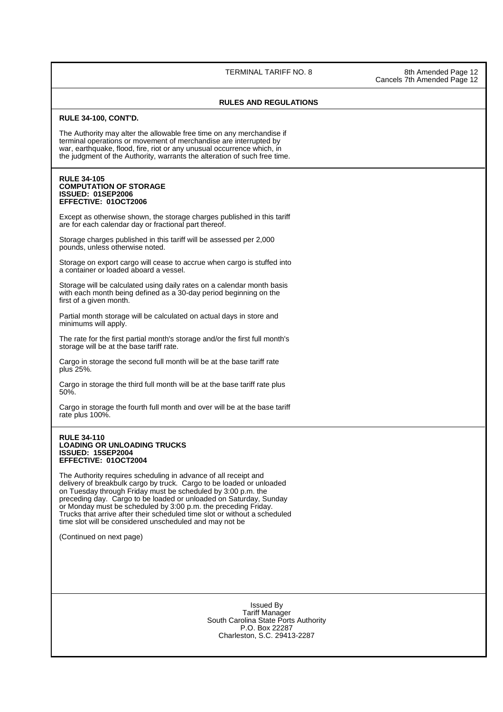TERMINAL TARIFF NO. 8 8th Amended Page 12

Cancels 7th Amended Page 12

### **RULES AND REGULATIONS**

### **RULE 34-100, CONT'D.**

The Authority may alter the allowable free time on any merchandise if terminal operations or movement of merchandise are interrupted by war, earthquake, flood, fire, riot or any unusual occurrence which, in the judgment of the Authority, warrants the alteration of such free time.

### **RULE 34-105 COMPUTATION OF STORAGE ISSUED: 01SEP2006 EFFECTIVE: 01OCT2006**

Except as otherwise shown, the storage charges published in this tariff are for each calendar day or fractional part thereof.

Storage charges published in this tariff will be assessed per 2,000 pounds, unless otherwise noted.

Storage on export cargo will cease to accrue when cargo is stuffed into a container or loaded aboard a vessel.

Storage will be calculated using daily rates on a calendar month basis with each month being defined as a 30-day period beginning on the first of a given month.

 Partial month storage will be calculated on actual days in store and minimums will apply.

The rate for the first partial month's storage and/or the first full month's storage will be at the base tariff rate.

 Cargo in storage the second full month will be at the base tariff rate plus 25%.

 Cargo in storage the third full month will be at the base tariff rate plus 50%.

 Cargo in storage the fourth full month and over will be at the base tariff rate plus 100%.

### **RULE 34-110 LOADING OR UNLOADING TRUCKS ISSUED: 15SEP2004 EFFECTIVE: 01OCT2004**

The Authority requires scheduling in advance of all receipt and delivery of breakbulk cargo by truck. Cargo to be loaded or unloaded on Tuesday through Friday must be scheduled by 3:00 p.m. the preceding day. Cargo to be loaded or unloaded on Saturday, Sunday or Monday must be scheduled by 3:00 p.m. the preceding Friday. Trucks that arrive after their scheduled time slot or without a scheduled time slot will be considered unscheduled and may not be

(Continued on next page)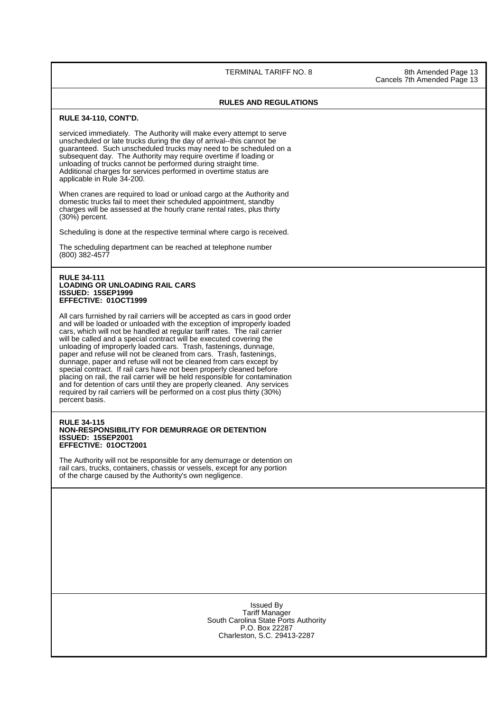TERMINAL TARIFF NO. 8 8th Amended Page 13

Cancels 7th Amended Page 13

### **RULES AND REGULATIONS**

### **RULE 34-110, CONT'D.**

serviced immediately. The Authority will make every attempt to serve unscheduled or late trucks during the day of arrival--this cannot be guaranteed. Such unscheduled trucks may need to be scheduled on a subsequent day. The Authority may require overtime if loading or unloading of trucks cannot be performed during straight time. Additional charges for services performed in overtime status are applicable in Rule 34-200.

When cranes are required to load or unload cargo at the Authority and domestic trucks fail to meet their scheduled appointment, standby charges will be assessed at the hourly crane rental rates, plus thirty (30%) percent.

Scheduling is done at the respective terminal where cargo is received.

The scheduling department can be reached at telephone number (800) 382-4577

### **RULE 34-111 LOADING OR UNLOADING RAIL CARS ISSUED: 15SEP1999 EFFECTIVE: 01OCT1999**

 All cars furnished by rail carriers will be accepted as cars in good order and will be loaded or unloaded with the exception of improperly loaded cars, which will not be handled at regular tariff rates. The rail carrier will be called and a special contract will be executed covering the unloading of improperly loaded cars. Trash, fastenings, dunnage, paper and refuse will not be cleaned from cars. Trash, fastenings, dunnage, paper and refuse will not be cleaned from cars except by special contract. If rail cars have not been properly cleaned before placing on rail, the rail carrier will be held responsible for contamination and for detention of cars until they are properly cleaned. Any services required by rail carriers will be performed on a cost plus thirty (30%) percent basis.

### **RULE 34-115 NON-RESPONSIBILITY FOR DEMURRAGE OR DETENTION ISSUED: 15SEP2001 EFFECTIVE: 01OCT2001**

 The Authority will not be responsible for any demurrage or detention on rail cars, trucks, containers, chassis or vessels, except for any portion of the charge caused by the Authority's own negligence.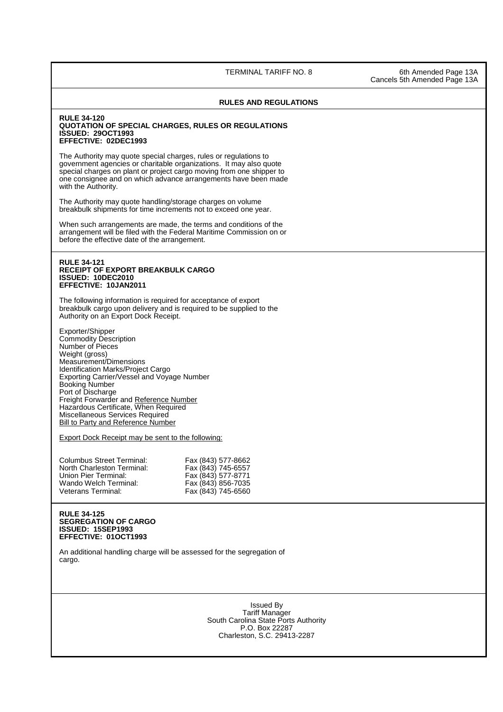TERMINAL TARIFF NO. 8 6th Amended Page 13A

### **RULES AND REGULATIONS**

### **RULE 34-120 QUOTATION OF SPECIAL CHARGES, RULES OR REGULATIONS ISSUED: 29OCT1993 EFFECTIVE: 02DEC1993**

The Authority may quote special charges, rules or regulations to government agencies or charitable organizations. It may also quote special charges on plant or project cargo moving from one shipper to one consignee and on which advance arrangements have been made with the Authority.

The Authority may quote handling/storage charges on volume breakbulk shipments for time increments not to exceed one year.

When such arrangements are made, the terms and conditions of the arrangement will be filed with the Federal Maritime Commission on or before the effective date of the arrangement.

### **RULE 34-121 RECEIPT OF EXPORT BREAKBULK CARGO ISSUED: 10DEC2010 EFFECTIVE: 10JAN2011**

The following information is required for acceptance of export breakbulk cargo upon delivery and is required to be supplied to the Authority on an Export Dock Receipt.

Exporter/Shipper Commodity Description Number of Pieces Weight (gross) Measurement/Dimensions Identification Marks/Project Cargo Exporting Carrier/Vessel and Voyage Number Booking Number Port of Discharge Freight Forwarder and Reference Number Hazardous Certificate, When Required Miscellaneous Services Required Bill to Party and Reference Number

Export Dock Receipt may be sent to the following:

| <b>Columbus Street Terminal:</b><br>North Charleston Terminal: | Fax (843) 577-8662<br>Fax (843) 745-6557 |
|----------------------------------------------------------------|------------------------------------------|
| Union Pier Terminal:<br>Wando Welch Terminal:                  | Fax (843) 577-8771<br>Fax (843) 856-7035 |
| Veterans Terminal:                                             | Fax (843) 745-6560                       |

### **RULE 34-125 SEGREGATION OF CARGO ISSUED: 15SEP1993 EFFECTIVE: 01OCT1993**

An additional handling charge will be assessed for the segregation of cargo.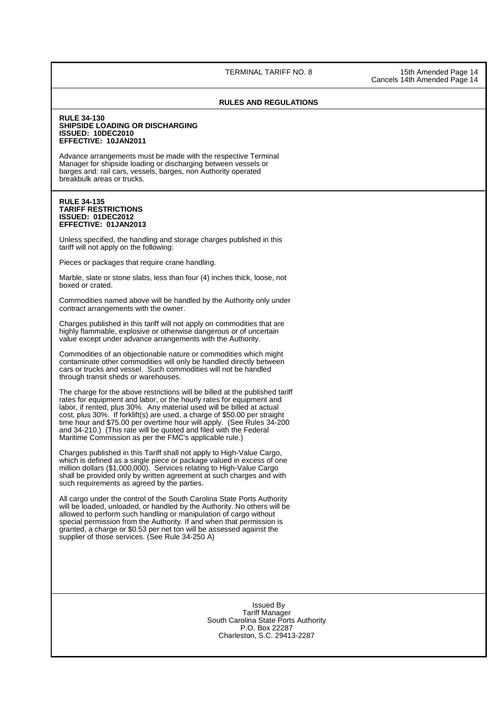TERMINAL TARIFF NO. 8 15th Amended Page 14

Cancels 14th Amended Page 14

### **RULES AND REGULATIONS**

### **RULE 34-130 SHIPSIDE LOADING OR DISCHARGING ISSUED: 10DEC2010 EFFECTIVE: 10JAN2011**

 Advance arrangements must be made with the respective Terminal Manager for shipside loading or discharging between vessels or barges and: rail cars, vessels, barges, non Authority operated breakbulk areas or trucks.

### **RULE 34-135 TARIFF RESTRICTIONS ISSUED: 01DEC2012 EFFECTIVE: 01JAN2013**

Unless specified, the handling and storage charges published in this tariff will not apply on the following:

Pieces or packages that require crane handling.

Marble, slate or stone slabs, less than four (4) inches thick, loose, not boxed or crated.

Commodities named above will be handled by the Authority only under contract arrangements with the owner.

Charges published in this tariff will not apply on commodities that are highly flammable, explosive or otherwise dangerous or of uncertain value except under advance arrangements with the Authority.

Commodities of an objectionable nature or commodities which might contaminate other commodities will only be handled directly between cars or trucks and vessel. Such commodities will not be handled through transit sheds or warehouses.

 The charge for the above restrictions will be billed at the published tariff rates for equipment and labor, or the hourly rates for equipment and labor, if rented, plus 30%. Any material used will be billed at actual cost, plus 30%. If forklift(s) are used, a charge of \$50.00 per straight time hour and \$75.00 per overtime hour will apply. (See Rules 34-200 and 34-210.) (This rate will be quoted and filed with the Federal Maritime Commission as per the FMC's applicable rule.)

 Charges published in this Tariff shall not apply to High-Value Cargo, which is defined as a single piece or package valued in excess of one million dollars (\$1,000,000). Services relating to High-Value Cargo shall be provided only by written agreement at such charges and with such requirements as agreed by the parties.

All cargo under the control of the South Carolina State Ports Authority will be loaded, unloaded, or handled by the Authority. No others will be allowed to perform such handling or manipulation of cargo without special permission from the Authority. If and when that permission is granted, a charge or \$0.53 per net ton will be assessed against the supplier of those services. (See Rule 34-250 A)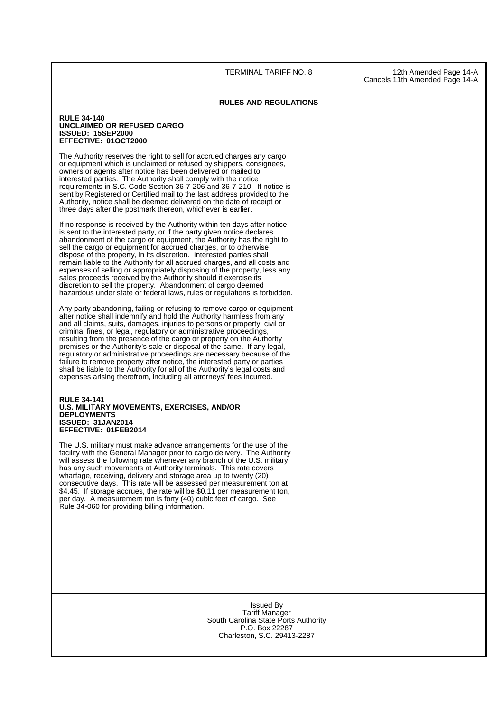TERMINAL TARIFF NO. 8 12th Amended Page 14-A Cancels 11th Amended Page 14-A

### **RULES AND REGULATIONS**

### **RULE 34-140 UNCLAIMED OR REFUSED CARGO ISSUED: 15SEP2000 EFFECTIVE: 01OCT2000**

 The Authority reserves the right to sell for accrued charges any cargo or equipment which is unclaimed or refused by shippers, consignees, owners or agents after notice has been delivered or mailed to interested parties. The Authority shall comply with the notice requirements in S.C. Code Section 36-7-206 and 36-7-210. If notice is sent by Registered or Certified mail to the last address provided to the Authority, notice shall be deemed delivered on the date of receipt or three days after the postmark thereon, whichever is earlier.

If no response is received by the Authority within ten days after notice is sent to the interested party, or if the party given notice declares abandonment of the cargo or equipment, the Authority has the right to sell the cargo or equipment for accrued charges, or to otherwise dispose of the property, in its discretion. Interested parties shall remain liable to the Authority for all accrued charges, and all costs and expenses of selling or appropriately disposing of the property, less any sales proceeds received by the Authority should it exercise its discretion to sell the property. Abandonment of cargo deemed hazardous under state or federal laws, rules or regulations is forbidden.

Any party abandoning, failing or refusing to remove cargo or equipment after notice shall indemnify and hold the Authority harmless from any and all claims, suits, damages, injuries to persons or property, civil or criminal fines, or legal, regulatory or administrative proceedings, resulting from the presence of the cargo or property on the Authority premises or the Authority's sale or disposal of the same. If any legal, regulatory or administrative proceedings are necessary because of the failure to remove property after notice, the interested party or parties shall be liable to the Authority for all of the Authority's legal costs and expenses arising therefrom, including all attorneys' fees incurred.

### **RULE 34-141 U.S. MILITARY MOVEMENTS, EXERCISES, AND/OR DEPLOYMENTS ISSUED: 31JAN2014 EFFECTIVE: 01FEB2014**

The U.S. military must make advance arrangements for the use of the facility with the General Manager prior to cargo delivery. The Authority will assess the following rate whenever any branch of the U.S. military has any such movements at Authority terminals. This rate covers wharfage, receiving, delivery and storage area up to twenty (20) consecutive days. This rate will be assessed per measurement ton at \$4.45. If storage accrues, the rate will be \$0.11 per measurement ton, per day. A measurement ton is forty (40) cubic feet of cargo. See Rule 34-060 for providing billing information.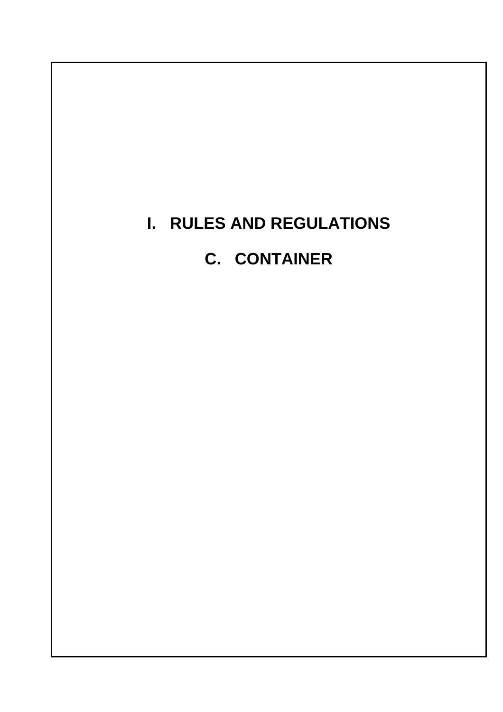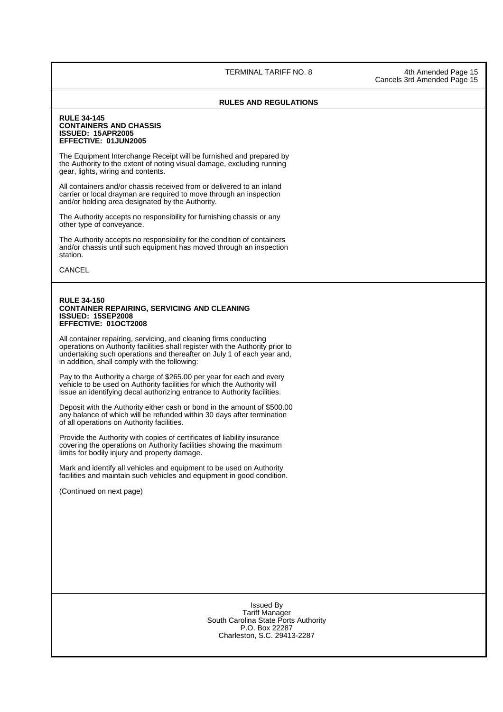TERMINAL TARIFF NO. 8 4th Amended Page 15

Cancels 3rd Amended Page 15

### **RULES AND REGULATIONS**

### **RULE 34-145 CONTAINERS AND CHASSIS ISSUED: 15APR2005 EFFECTIVE: 01JUN2005**

 The Equipment Interchange Receipt will be furnished and prepared by the Authority to the extent of noting visual damage, excluding running gear, lights, wiring and contents.

All containers and/or chassis received from or delivered to an inland carrier or local drayman are required to move through an inspection and/or holding area designated by the Authority.

The Authority accepts no responsibility for furnishing chassis or any other type of conveyance.

The Authority accepts no responsibility for the condition of containers and/or chassis until such equipment has moved through an inspection station.

CANCEL

### **RULE 34-150 CONTAINER REPAIRING, SERVICING AND CLEANING ISSUED: 15SEP2008 EFFECTIVE: 01OCT2008**

All container repairing, servicing, and cleaning firms conducting operations on Authority facilities shall register with the Authority prior to undertaking such operations and thereafter on July 1 of each year and, in addition, shall comply with the following:

 Pay to the Authority a charge of \$265.00 per year for each and every vehicle to be used on Authority facilities for which the Authority will issue an identifying decal authorizing entrance to Authority facilities.

Deposit with the Authority either cash or bond in the amount of \$500.00 any balance of which will be refunded within 30 days after termination of all operations on Authority facilities.

Provide the Authority with copies of certificates of liability insurance covering the operations on Authority facilities showing the maximum limits for bodily injury and property damage.

Mark and identify all vehicles and equipment to be used on Authority facilities and maintain such vehicles and equipment in good condition.

(Continued on next page)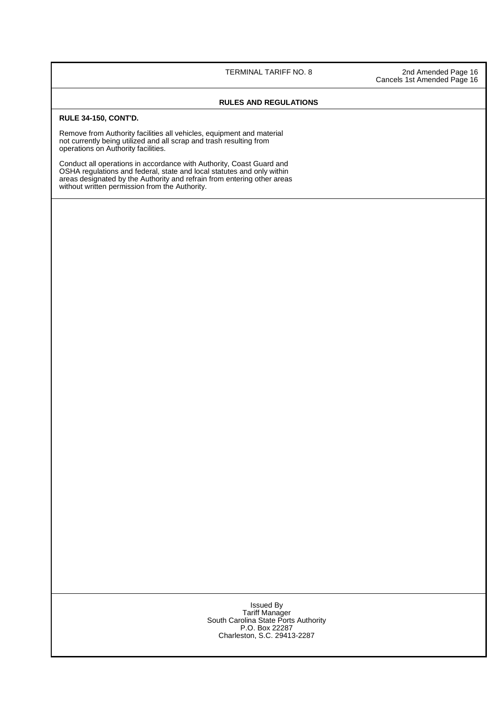TERMINAL TARIFF NO. 8 2nd Amended Page 16 Cancels 1st Amended Page 16

### **RULES AND REGULATIONS**

### **RULE 34-150, CONT'D.**

Remove from Authority facilities all vehicles, equipment and material not currently being utilized and all scrap and trash resulting from operations on Authority facilities.

Conduct all operations in accordance with Authority, Coast Guard and OSHA regulations and federal, state and local statutes and only within areas designated by the Authority and refrain from entering other areas without written permission from the Authority.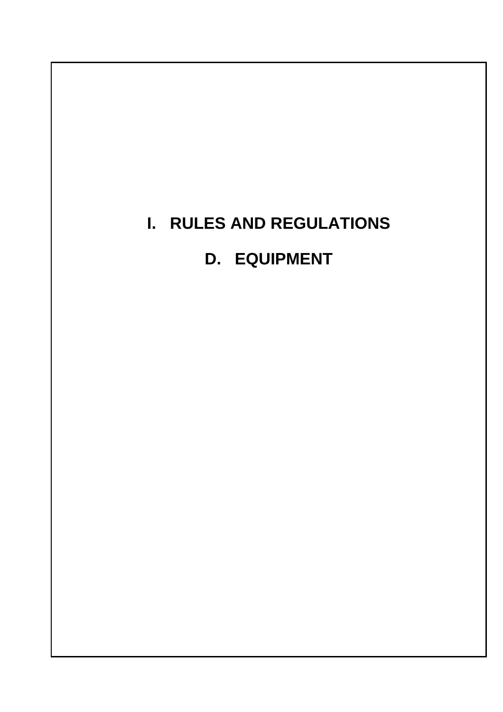# **I. RULES AND REGULATIONS D. EQUIPMENT**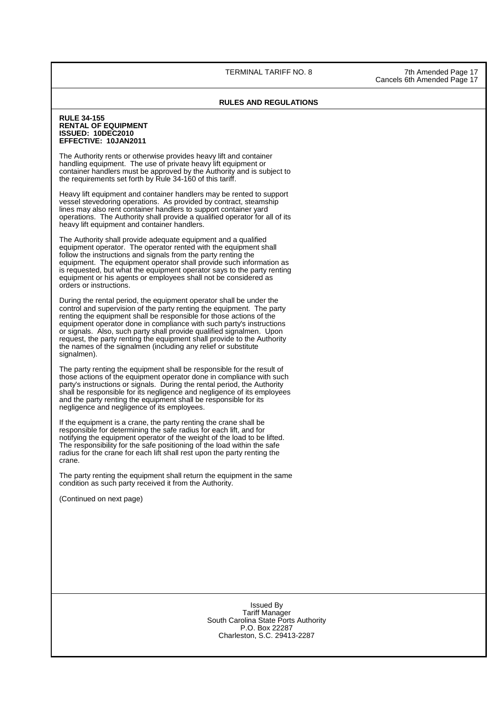### **RULES AND REGULATIONS**

### **RULE 34-155 RENTAL OF EQUIPMENT ISSUED: 10DEC2010 EFFECTIVE: 10JAN2011**

The Authority rents or otherwise provides heavy lift and container handling equipment. The use of private heavy lift equipment or container handlers must be approved by the Authority and is subject to the requirements set forth by Rule 34-160 of this tariff.

Heavy lift equipment and container handlers may be rented to support vessel stevedoring operations. As provided by contract, steamship lines may also rent container handlers to support container yard operations. The Authority shall provide a qualified operator for all of its heavy lift equipment and container handlers.

The Authority shall provide adequate equipment and a qualified equipment operator. The operator rented with the equipment shall follow the instructions and signals from the party renting the equipment. The equipment operator shall provide such information as is requested, but what the equipment operator says to the party renting equipment or his agents or employees shall not be considered as orders or instructions.

During the rental period, the equipment operator shall be under the control and supervision of the party renting the equipment. The party renting the equipment shall be responsible for those actions of the equipment operator done in compliance with such party's instructions or signals. Also, such party shall provide qualified signalmen. Upon request, the party renting the equipment shall provide to the Authority the names of the signalmen (including any relief or substitute signalmen).

The party renting the equipment shall be responsible for the result of those actions of the equipment operator done in compliance with such party's instructions or signals. During the rental period, the Authority shall be responsible for its negligence and negligence of its employees and the party renting the equipment shall be responsible for its negligence and negligence of its employees.

If the equipment is a crane, the party renting the crane shall be responsible for determining the safe radius for each lift, and for notifying the equipment operator of the weight of the load to be lifted. The responsibility for the safe positioning of the load within the safe radius for the crane for each lift shall rest upon the party renting the crane.

The party renting the equipment shall return the equipment in the same condition as such party received it from the Authority.

(Continued on next page)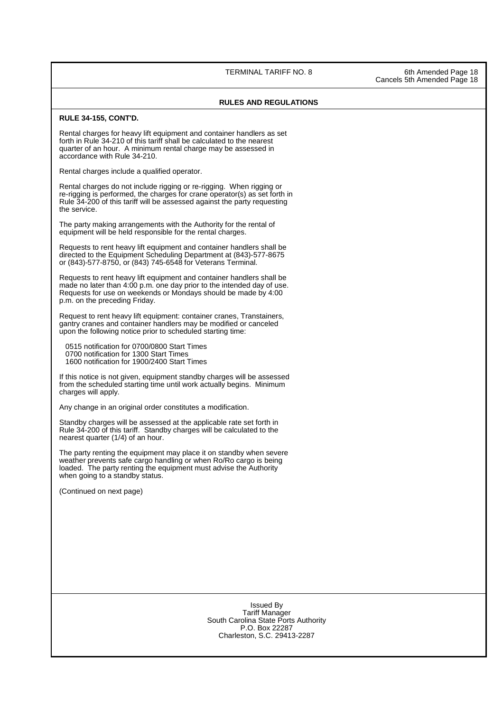TERMINAL TARIFF NO. 8 6th Amended Page 18

Cancels 5th Amended Page 18

### **RULES AND REGULATIONS**

### **RULE 34-155, CONT'D.**

Rental charges for heavy lift equipment and container handlers as set forth in Rule 34-210 of this tariff shall be calculated to the nearest quarter of an hour. A minimum rental charge may be assessed in accordance with Rule 34-210.

Rental charges include a qualified operator.

Rental charges do not include rigging or re-rigging. When rigging or re-rigging is performed, the charges for crane operator(s) as set forth in Rule 34-200 of this tariff will be assessed against the party requesting the service.

The party making arrangements with the Authority for the rental of equipment will be held responsible for the rental charges.

 Requests to rent heavy lift equipment and container handlers shall be directed to the Equipment Scheduling Department at (843)-577-8675 or (843)-577-8750, or (843) 745-6548 for Veterans Terminal.

 Requests to rent heavy lift equipment and container handlers shall be made no later than 4:00 p.m. one day prior to the intended day of use. Requests for use on weekends or Mondays should be made by 4:00 p.m. on the preceding Friday.

Request to rent heavy lift equipment: container cranes, Transtainers, gantry cranes and container handlers may be modified or canceled upon the following notice prior to scheduled starting time:

0515 notification for 0700/0800 Start Times

0700 notification for 1300 Start Times

1600 notification for 1900/2400 Start Times

If this notice is not given, equipment standby charges will be assessed from the scheduled starting time until work actually begins. Minimum charges will apply.

Any change in an original order constitutes a modification.

Standby charges will be assessed at the applicable rate set forth in Rule 34-200 of this tariff. Standby charges will be calculated to the nearest quarter (1/4) of an hour.

The party renting the equipment may place it on standby when severe weather prevents safe cargo handling or when Ro/Ro cargo is being loaded. The party renting the equipment must advise the Authority when going to a standby status.

(Continued on next page)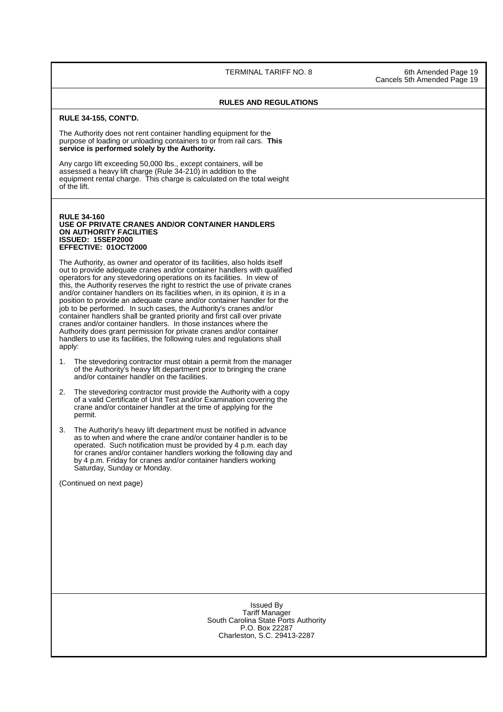TERMINAL TARIFF NO. 8 6th Amended Page 19

Cancels 5th Amended Page 19

### **RULES AND REGULATIONS**

### **RULE 34-155, CONT'D.**

The Authority does not rent container handling equipment for the purpose of loading or unloading containers to or from rail cars. **This service is performed solely by the Authority.**

Any cargo lift exceeding 50,000 lbs., except containers, will be assessed a heavy lift charge (Rule 34-210) in addition to the equipment rental charge. This charge is calculated on the total weight of the lift.

### **RULE 34-160 USE OF PRIVATE CRANES AND/OR CONTAINER HANDLERS ON AUTHORITY FACILITIES ISSUED: 15SEP2000 EFFECTIVE: 01OCT2000**

The Authority, as owner and operator of its facilities, also holds itself out to provide adequate cranes and/or container handlers with qualified operators for any stevedoring operations on its facilities. In view of this, the Authority reserves the right to restrict the use of private cranes and/or container handlers on its facilities when, in its opinion, it is in a position to provide an adequate crane and/or container handler for the job to be performed. In such cases, the Authority's cranes and/or container handlers shall be granted priority and first call over private cranes and/or container handlers. In those instances where the Authority does grant permission for private cranes and/or container handlers to use its facilities, the following rules and regulations shall apply:

- 1. The stevedoring contractor must obtain a permit from the manager of the Authority's heavy lift department prior to bringing the crane and/or container handler on the facilities.
- 2. The stevedoring contractor must provide the Authority with a copy of a valid Certificate of Unit Test and/or Examination covering the crane and/or container handler at the time of applying for the permit.
- 3. The Authority's heavy lift department must be notified in advance as to when and where the crane and/or container handler is to be operated. Such notification must be provided by 4 p.m. each day for cranes and/or container handlers working the following day and by 4 p.m. Friday for cranes and/or container handlers working Saturday, Sunday or Monday.

(Continued on next page)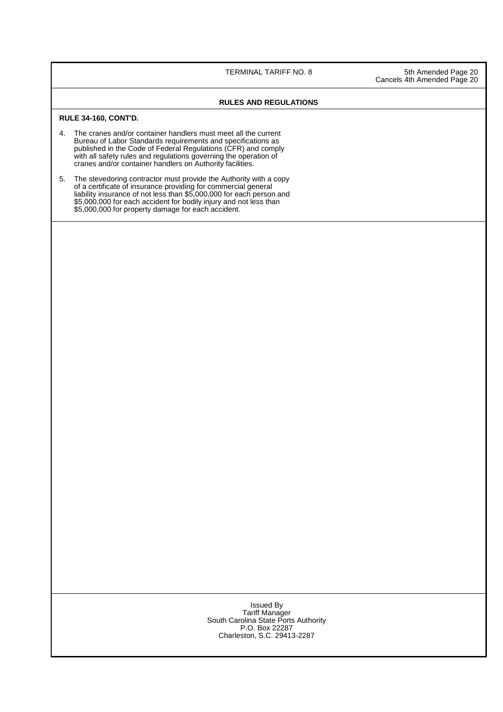TERMINAL TARIFF NO. 8 5th Amended Page 20 Cancels 4th Amended Page 20

### **RULES AND REGULATIONS**

### **RULE 34-160, CONT'D.**

- 4. The cranes and/or container handlers must meet all the current Bureau of Labor Standards requirements and specifications as published in the Code of Federal Regulations (CFR) and comply with all safety rules and regulations governing the operation of cranes and/or container handlers on Authority facilities.
- 5. The stevedoring contractor must provide the Authority with a copy of a certificate of insurance providing for commercial general liability insurance of not less than \$5,000,000 for each person and \$5,000,000 for each accident for bodily injury and not less than \$5,000,000 for property damage for each accident.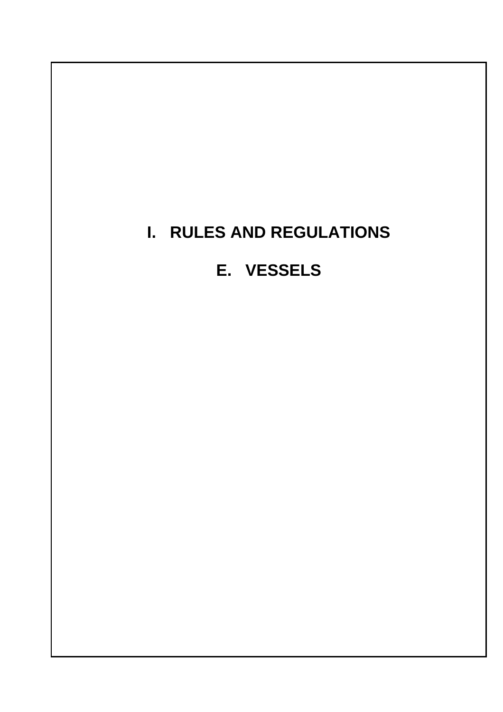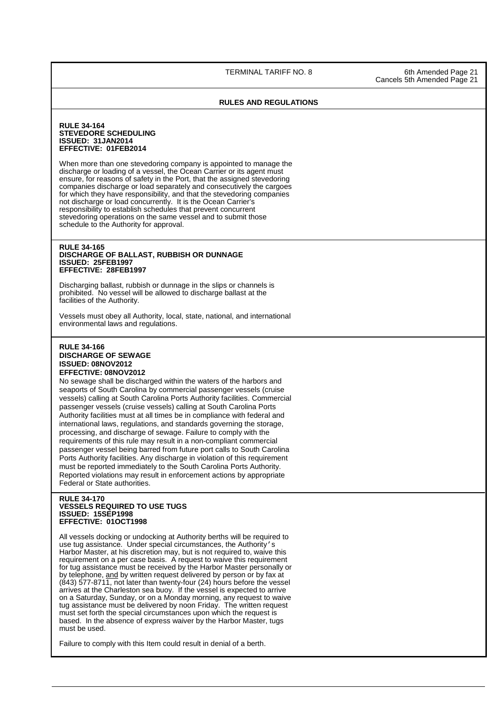TERMINAL TARIFF NO. 8 6th Amended Page 21

Cancels 5th Amended Page 21

### **RULES AND REGULATIONS**

### **RULE 34-164 STEVEDORE SCHEDULING ISSUED: 31JAN2014 EFFECTIVE: 01FEB2014**

When more than one stevedoring company is appointed to manage the discharge or loading of a vessel, the Ocean Carrier or its agent must ensure, for reasons of safety in the Port, that the assigned stevedoring companies discharge or load separately and consecutively the cargoes for which they have responsibility, and that the stevedoring companies not discharge or load concurrently. It is the Ocean Carrier's responsibility to establish schedules that prevent concurrent stevedoring operations on the same vessel and to submit those schedule to the Authority for approval.

### **RULE 34-165 DISCHARGE OF BALLAST, RUBBISH OR DUNNAGE ISSUED: 25FEB1997 EFFECTIVE: 28FEB1997**

Discharging ballast, rubbish or dunnage in the slips or channels is prohibited. No vessel will be allowed to discharge ballast at the facilities of the Authority.

Vessels must obey all Authority, local, state, national, and international environmental laws and regulations.

### **RULE 34-166 DISCHARGE OF SEWAGE ISSUED: 08NOV2012 EFFECTIVE: 08NOV2012**

No sewage shall be discharged within the waters of the harbors and seaports of South Carolina by commercial passenger vessels (cruise vessels) calling at South Carolina Ports Authority facilities. Commercial passenger vessels (cruise vessels) calling at South Carolina Ports Authority facilities must at all times be in compliance with federal and international laws, regulations, and standards governing the storage, processing, and discharge of sewage. Failure to comply with the requirements of this rule may result in a non-compliant commercial passenger vessel being barred from future port calls to South Carolina Ports Authority facilities. Any discharge in violation of this requirement must be reported immediately to the South Carolina Ports Authority. Reported violations may result in enforcement actions by appropriate Federal or State authorities.

### **RULE 34-170 VESSELS REQUIRED TO USE TUGS ISSUED: 15SEP1998 EFFECTIVE: 01OCT1998**

All vessels docking or undocking at Authority berths will be required to use tug assistance. Under special circumstances, the Authority's Harbor Master, at his discretion may, but is not required to, waive this requirement on a per case basis. A request to waive this requirement for tug assistance must be received by the Harbor Master personally or by telephone, and by written request delivered by person or by fax at (843) 577-8711, not later than twenty-four (24) hours before the vessel arrives at the Charleston sea buoy. If the vessel is expected to arrive on a Saturday, Sunday, or on a Monday morning, any request to waive tug assistance must be delivered by noon Friday. The written request must set forth the special circumstances upon which the request is based. In the absence of express waiver by the Harbor Master, tugs must be used.

Failure to comply with this Item could result in denial of a berth.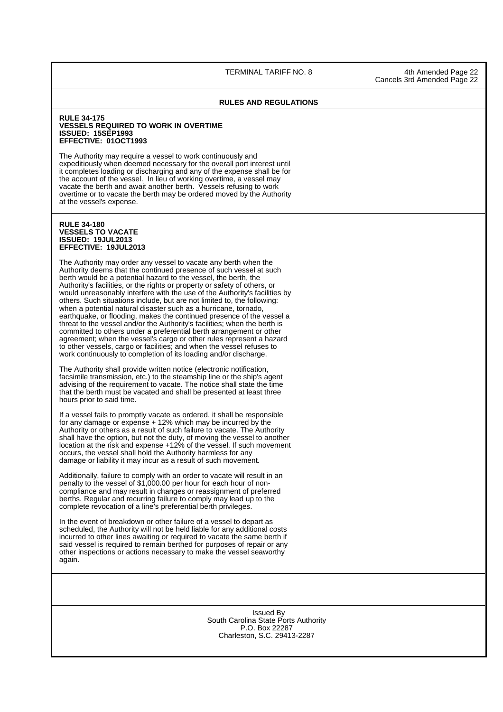TERMINAL TARIFF NO. 8 4th Amended Page 22

Cancels 3rd Amended Page 22

#### **RULES AND REGULATIONS**

#### **RULE 34-175 VESSELS REQUIRED TO WORK IN OVERTIME ISSUED: 15SEP1993 EFFECTIVE: 01OCT1993**

The Authority may require a vessel to work continuously and expeditiously when deemed necessary for the overall port interest until it completes loading or discharging and any of the expense shall be for the account of the vessel. In lieu of working overtime, a vessel may vacate the berth and await another berth. Vessels refusing to work overtime or to vacate the berth may be ordered moved by the Authority at the vessel's expense.

#### **RULE 34-180 VESSELS TO VACATE ISSUED: 19JUL2013 EFFECTIVE: 19JUL2013**

ı

The Authority may order any vessel to vacate any berth when the Authority deems that the continued presence of such vessel at such berth would be a potential hazard to the vessel, the berth, the Authority's facilities, or the rights or property or safety of others, or would unreasonably interfere with the use of the Authority's facilities by others. Such situations include, but are not limited to, the following: when a potential natural disaster such as a hurricane, tornado, earthquake, or flooding, makes the continued presence of the vessel a threat to the vessel and/or the Authority's facilities; when the berth is committed to others under a preferential berth arrangement or other agreement; when the vessel's cargo or other rules represent a hazard to other vessels, cargo or facilities; and when the vessel refuses to work continuously to completion of its loading and/or discharge.

The Authority shall provide written notice (electronic notification, facsimile transmission, etc.) to the steamship line or the ship's agent advising of the requirement to vacate. The notice shall state the time that the berth must be vacated and shall be presented at least three hours prior to said time.

If a vessel fails to promptly vacate as ordered, it shall be responsible for any damage or expense + 12% which may be incurred by the Authority or others as a result of such failure to vacate. The Authority shall have the option, but not the duty, of moving the vessel to another location at the risk and expense +12% of the vessel. If such movement occurs, the vessel shall hold the Authority harmless for any damage or liability it may incur as a result of such movement.

Additionally, failure to comply with an order to vacate will result in an penalty to the vessel of \$1,000.00 per hour for each hour of noncompliance and may result in changes or reassignment of preferred berths. Regular and recurring failure to comply may lead up to the complete revocation of a line's preferential berth privileges.

In the event of breakdown or other failure of a vessel to depart as scheduled, the Authority will not be held liable for any additional costs incurred to other lines awaiting or required to vacate the same berth if said vessel is required to remain berthed for purposes of repair or any other inspections or actions necessary to make the vessel seaworthy again.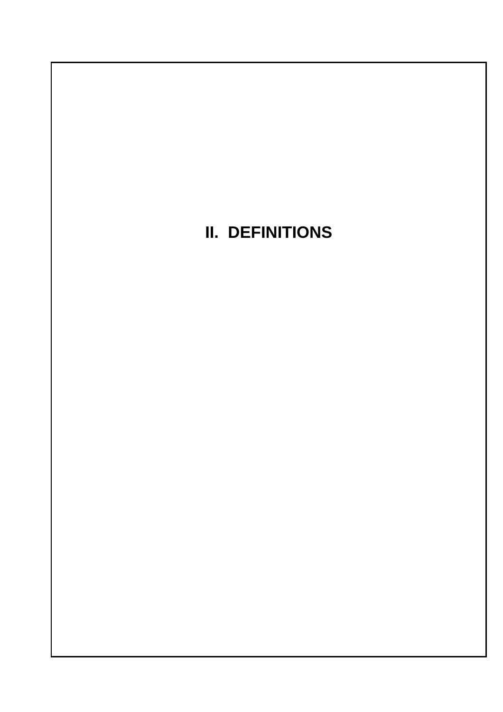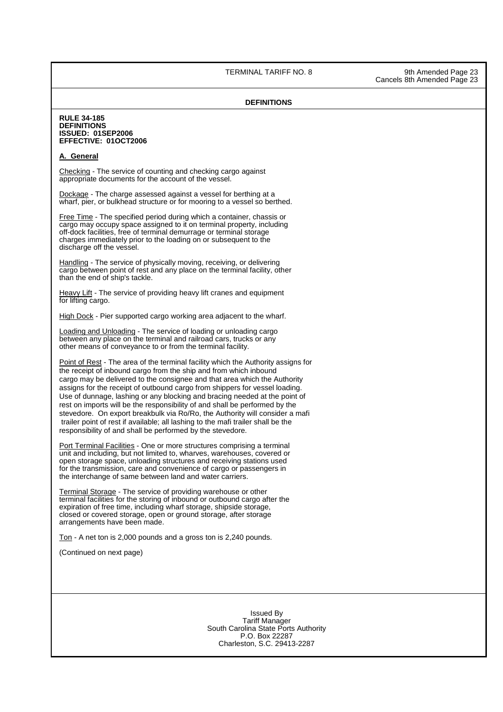TERMINAL TARIFF NO. 8 9th Amended Page 23

#### **DEFINITIONS**

#### **RULE 34-185 DEFINITIONS ISSUED: 01SEP2006 EFFECTIVE: 01OCT2006**

#### **A. General**

Checking - The service of counting and checking cargo against appropriate documents for the account of the vessel.

Dockage - The charge assessed against a vessel for berthing at a wharf, pier, or bulkhead structure or for mooring to a vessel so berthed.

Free Time - The specified period during which a container, chassis or cargo may occupy space assigned to it on terminal property, including off-dock facilities, free of terminal demurrage or terminal storage charges immediately prior to the loading on or subsequent to the discharge off the vessel.

Handling - The service of physically moving, receiving, or delivering cargo between point of rest and any place on the terminal facility, other than the end of ship's tackle.

Heavy Lift - The service of providing heavy lift cranes and equipment for lifting cargo.

High Dock - Pier supported cargo working area adjacent to the wharf.

Loading and Unloading - The service of loading or unloading cargo between any place on the terminal and railroad cars, trucks or any other means of conveyance to or from the terminal facility.

Point of Rest - The area of the terminal facility which the Authority assigns for the receipt of inbound cargo from the ship and from which inbound cargo may be delivered to the consignee and that area which the Authority assigns for the receipt of outbound cargo from shippers for vessel loading. Use of dunnage, lashing or any blocking and bracing needed at the point of rest on imports will be the responsibility of and shall be performed by the stevedore. On export breakbulk via Ro/Ro, the Authority will consider a mafi trailer point of rest if available; all lashing to the mafi trailer shall be the responsibility of and shall be performed by the stevedore.

Port Terminal Facilities - One or more structures comprising a terminal unit and including, but not limited to, wharves, warehouses, covered or open storage space, unloading structures and receiving stations used for the transmission, care and convenience of cargo or passengers in the interchange of same between land and water carriers.

Terminal Storage - The service of providing warehouse or other terminal facilities for the storing of inbound or outbound cargo after the expiration of free time, including wharf storage, shipside storage, closed or covered storage, open or ground storage, after storage arrangements have been made.

Ton - A net ton is 2,000 pounds and a gross ton is 2,240 pounds.

(Continued on next page)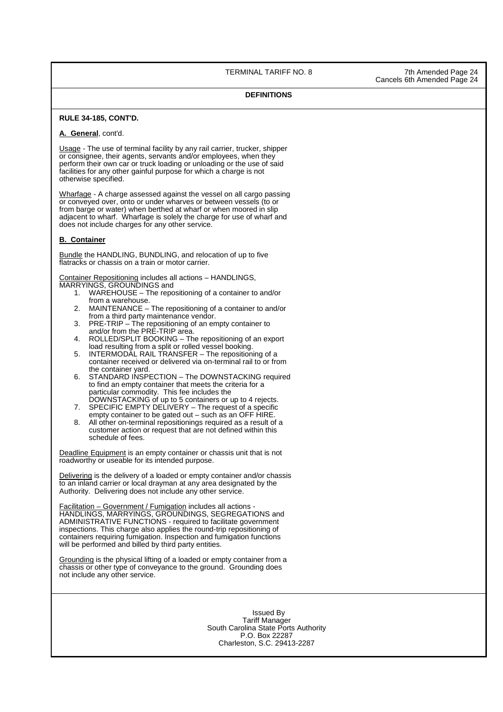TERMINAL TARIFF NO. 8 7th Amended Page 24

Cancels 6th Amended Page 24

#### **DEFINITIONS**

#### **RULE 34-185, CONT'D.**

## **A. General**, cont'd.

Usage - The use of terminal facility by any rail carrier, trucker, shipper or consignee, their agents, servants and/or employees, when they perform their own car or truck loading or unloading or the use of said facilities for any other gainful purpose for which a charge is not otherwise specified.

Wharfage - A charge assessed against the vessel on all cargo passing or conveyed over, onto or under wharves or between vessels (to or from barge or water) when berthed at wharf or when moored in slip adjacent to wharf. Wharfage is solely the charge for use of wharf and does not include charges for any other service.

#### **B. Container**

Bundle the HANDLING, BUNDLING, and relocation of up to five flatracks or chassis on a train or motor carrier.

Container Repositioning includes all actions – HANDLINGS, MARRYINGS, GROUNDINGS and

- 1. WAREHOUSE The repositioning of a container to and/or from a warehouse.
- 2. MAINTENANCE The repositioning of a container to and/or from a third party maintenance vendor.
- 3. PRE-TRIP The repositioning of an empty container to and/or from the PRE-TRIP area.
- 4. ROLLED/SPLIT BOOKING The repositioning of an export load resulting from a split or rolled vessel booking.
- 5. INTERMODAL RAIL TRANSFER The repositioning of a container received or delivered via on-terminal rail to or from the container yard.
- 6. STANDARD INSPECTION The DOWNSTACKING required to find an empty container that meets the criteria for a particular commodity. This fee includes the
- DOWNSTACKING of up to 5 containers or up to 4 rejects. 7. SPECIFIC EMPTY DELIVERY – The request of a specific empty container to be gated out – such as an OFF HIRE.
- 8. All other on-terminal repositionings required as a result of a customer action or request that are not defined within this schedule of fees.

 Deadline Equipment is an empty container or chassis unit that is not roadworthy or useable for its intended purpose.

Delivering is the delivery of a loaded or empty container and/or chassis to an inland carrier or local drayman at any area designated by the Authority. Delivering does not include any other service.

Facilitation – Government / Fumigation includes all actions - HANDLINGS, MARRYINGS, GROUNDINGS, SEGREGATIONS and ADMINISTRATIVE FUNCTIONS - required to facilitate government inspections. This charge also applies the round-trip repositioning of containers requiring fumigation. Inspection and fumigation functions will be performed and billed by third party entities.

Grounding is the physical lifting of a loaded or empty container from a chassis or other type of conveyance to the ground. Grounding does not include any other service.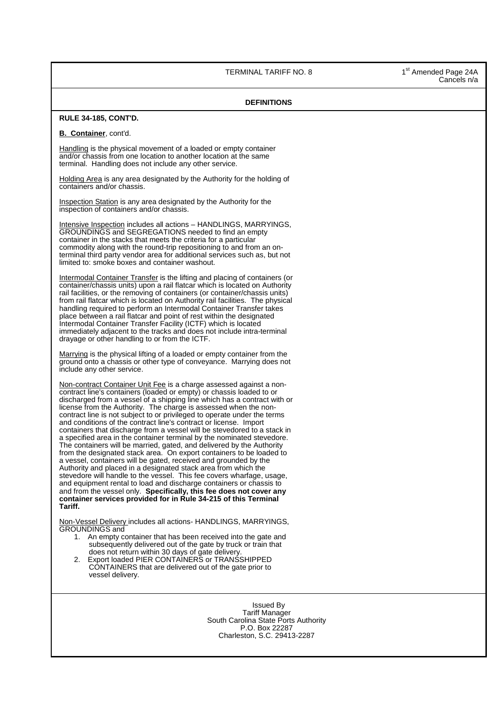TERMINAL TARIFF NO. 8 1st Amended Page 24A

Cancels n/a

## **DEFINITIONS RULE 34-185, CONT'D. B. Container**, cont'd. Handling is the physical movement of a loaded or empty container and/or chassis from one location to another location at the same terminal. Handling does not include any other service. Holding Area is any area designated by the Authority for the holding of containers and/or chassis. Inspection Station is any area designated by the Authority for the inspection of containers and/or chassis. Intensive Inspection includes all actions – HANDLINGS, MARRYINGS, GROUNDINGS and SEGREGATIONS needed to find an empty container in the stacks that meets the criteria for a particular commodity along with the round-trip repositioning to and from an onterminal third party vendor area for additional services such as, but not limited to: smoke boxes and container washout. Intermodal Container Transfer is the lifting and placing of containers (or container/chassis units) upon a rail flatcar which is located on Authority rail facilities, or the removing of containers (or container/chassis units) from rail flatcar which is located on Authority rail facilities. The physical handling required to perform an Intermodal Container Transfer takes place between a rail flatcar and point of rest within the designated Intermodal Container Transfer Facility (ICTF) which is located immediately adjacent to the tracks and does not include intra-terminal drayage or other handling to or from the ICTF. Marrying is the physical lifting of a loaded or empty container from the ground onto a chassis or other type of conveyance. Marrying does not include any other service. Non-contract Container Unit Fee is a charge assessed against a noncontract line's containers (loaded or empty) or chassis loaded to or discharged from a vessel of a shipping line which has a contract with or license from the Authority. The charge is assessed when the noncontract line is not subject to or privileged to operate under the terms and conditions of the contract line's contract or license. Import containers that discharge from a vessel will be stevedored to a stack in a specified area in the container terminal by the nominated stevedore. The containers will be married, gated, and delivered by the Authority from the designated stack area. On export containers to be loaded to a vessel, containers will be gated, received and grounded by the Authority and placed in a designated stack area from which the stevedore will handle to the vessel. This fee covers wharfage, usage, and equipment rental to load and discharge containers or chassis to and from the vessel only. **Specifically, this fee does not cover any container services provided for in Rule 34-215 of this Terminal Tariff.** Non-Vessel Delivery includes all actions- HANDLINGS, MARRYINGS, GROUNDINGS and 1. An empty container that has been received into the gate and subsequently delivered out of the gate by truck or train that does not return within 30 days of gate delivery. 2. Export loaded PIER CONTAINERS or TRANSSHIPPED CONTAINERS that are delivered out of the gate prior to vessel delivery. Issued By Tariff Manager South Carolina State Ports Authority P.O. Box 22287 Charleston, S.C. 29413-2287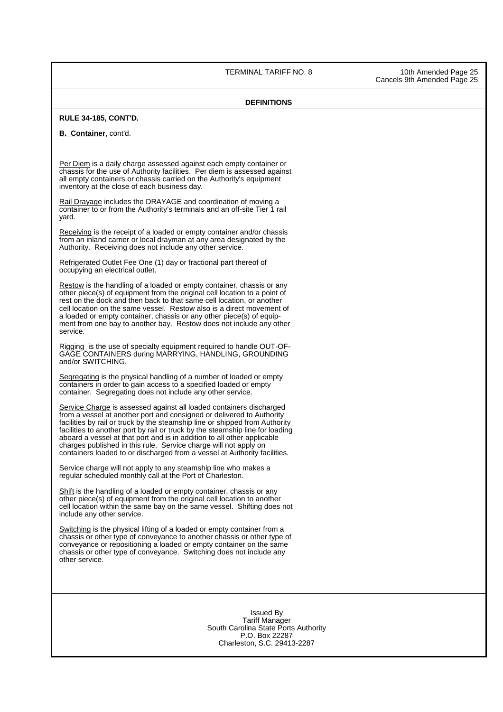TERMINAL TARIFF NO. 8 10th Amended Page 25

Cancels 9th Amended Page 25

## **DEFINITIONS**

#### **RULE 34-185, CONT'D.**

**B. Container**, cont'd.

 Per Diem is a daily charge assessed against each empty container or chassis for the use of Authority facilities. Per diem is assessed against all empty containers or chassis carried on the Authority's equipment inventory at the close of each business day.

Rail Drayage includes the DRAYAGE and coordination of moving a container to or from the Authority's terminals and an off-site Tier 1 rail yard.

Receiving is the receipt of a loaded or empty container and/or chassis from an inland carrier or local drayman at any area designated by the Authority. Receiving does not include any other service.

Refrigerated Outlet Fee One (1) day or fractional part thereof of occupying an electrical outlet.

 Restow is the handling of a loaded or empty container, chassis or any other piece(s) of equipment from the original cell location to a point of rest on the dock and then back to that same cell location, or another cell location on the same vessel. Restow also is a direct movement of a loaded or empty container, chassis or any other piece(s) of equipment from one bay to another bay. Restow does not include any other service.

Rigging is the use of specialty equipment required to handle OUT-OF-GAGE CONTAINERS during MARRYING, HANDLING, GROUNDING and/or SWITCHING.

Segregating is the physical handling of a number of loaded or empty containers in order to gain access to a specified loaded or empty container. Segregating does not include any other service.

Service Charge is assessed against all loaded containers discharged from a vessel at another port and consigned or delivered to Authority facilities by rail or truck by the steamship line or shipped from Authority facilities to another port by rail or truck by the steamship line for loading aboard a vessel at that port and is in addition to all other applicable charges published in this rule. Service charge will not apply on containers loaded to or discharged from a vessel at Authority facilities.

Service charge will not apply to any steamship line who makes a regular scheduled monthly call at the Port of Charleston.

 Shift is the handling of a loaded or empty container, chassis or any other piece(s) of equipment from the original cell location to another cell location within the same bay on the same vessel. Shifting does not include any other service.

Switching is the physical lifting of a loaded or empty container from a chassis or other type of conveyance to another chassis or other type of conveyance or repositioning a loaded or empty container on the same chassis or other type of conveyance. Switching does not include any other service.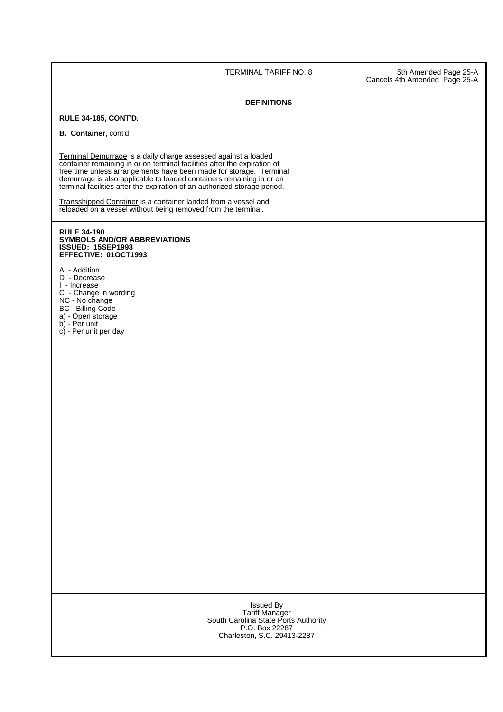TERMINAL TARIFF NO. 8 5th Amended Page 25-A Cancels 4th Amended Page 25-A

## **DEFINITIONS**

## **RULE 34-185, CONT'D.**

## **B. Container**, cont'd.

 Terminal Demurrage is a daily charge assessed against a loaded container remaining in or on terminal facilities after the expiration of free time unless arrangements have been made for storage. Terminal demurrage is also applicable to loaded containers remaining in or on terminal facilities after the expiration of an authorized storage period.

**Transshipped Container is a container landed from a vessel and** reloaded on a vessel without being removed from the terminal.

#### **RULE 34-190 SYMBOLS AND/OR ABBREVIATIONS ISSUED: 15SEP1993 EFFECTIVE: 01OCT1993**

A - Addition

- D Decrease
- I Increase
- C Change in wording
- NC No change
- BC Billing Code a) - Open storage
- b) Per unit
- c) Per unit per day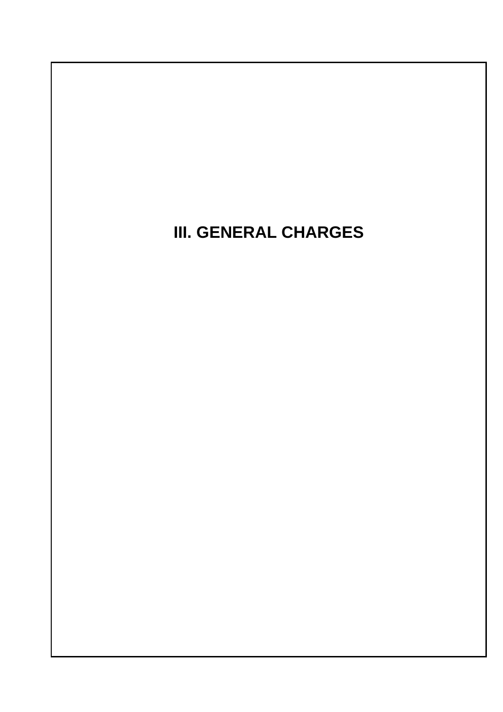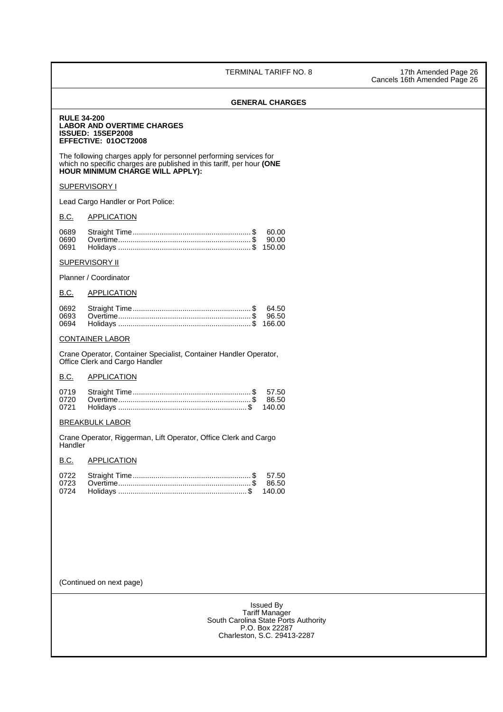TERMINAL TARIFF NO. 8 17th Amended Page 26 Cancels 16th Amended Page 26

## **GENERAL CHARGES**

**RULE 34-200 LABOR AND OVERTIME CHARGES ISSUED: 15SEP2008 EFFECTIVE: 01OCT2008**

The following charges apply for personnel performing services for which no specific charges are published in this tariff, per hour **(ONE HOUR MINIMUM CHARGE WILL APPLY):**

## **SUPERVISORY I**

Lead Cargo Handler or Port Police:

## **B.C. APPLICATION**

## **SUPERVISORY II**

Planner / Coordinator

## B.C. APPLICATION

|  | 64.50 |
|--|-------|
|  |       |
|  |       |

## CONTAINER LABOR

 Crane Operator, Container Specialist, Container Handler Operator, Office Clerk and Cargo Handler

## B.C. APPLICATION

## BREAKBULK LABOR

 Crane Operator, Riggerman, Lift Operator, Office Clerk and Cargo **Handler** 

## B.C. APPLICATION

(Continued on next page)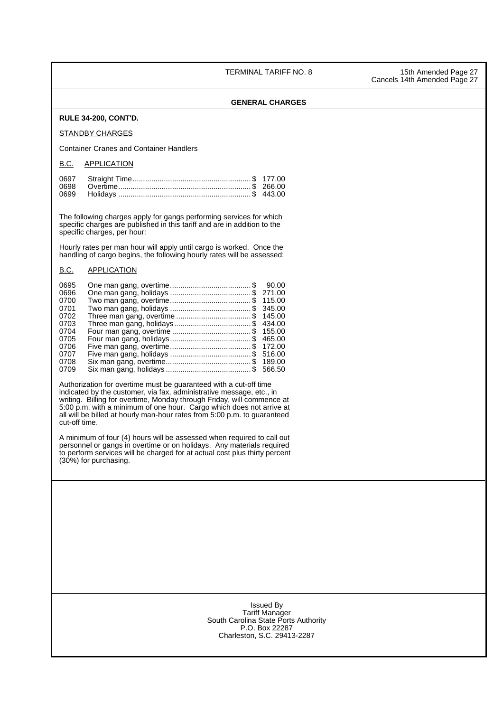TERMINAL TARIFF NO. 8 15th Amended Page 27

Cancels 14th Amended Page 27

## **GENERAL CHARGES**

## **RULE 34-200, CONT'D.**

#### STANDBY CHARGES

Container Cranes and Container Handlers

#### B.C. APPLICATION

The following charges apply for gangs performing services for which specific charges are published in this tariff and are in addition to the specific charges, per hour:

Hourly rates per man hour will apply until cargo is worked. Once the handling of cargo begins, the following hourly rates will be assessed:

#### B.C. APPLICATION

| 0695 |                                    | 90.00  |
|------|------------------------------------|--------|
| 0696 |                                    | 271.00 |
| 0700 |                                    |        |
| 0701 |                                    | 345.00 |
| 0702 | Three man gang, overtime \$ 145.00 |        |
| 0703 |                                    | 434.00 |
| 0704 |                                    |        |
| 0705 |                                    | 465.00 |
| 0706 |                                    | 172.00 |
| 0707 |                                    | 516.00 |
| 0708 |                                    | 189.00 |
| 0709 |                                    | 566.50 |

Authorization for overtime must be guaranteed with a cut-off time indicated by the customer, via fax, administrative message, etc., in writing. Billing for overtime, Monday through Friday, will commence at 5:00 p.m. with a minimum of one hour. Cargo which does not arrive at all will be billed at hourly man-hour rates from 5:00 p.m. to guaranteed cut-off time.

 A minimum of four (4) hours will be assessed when required to call out personnel or gangs in overtime or on holidays. Any materials required to perform services will be charged for at actual cost plus thirty percent (30%) for purchasing.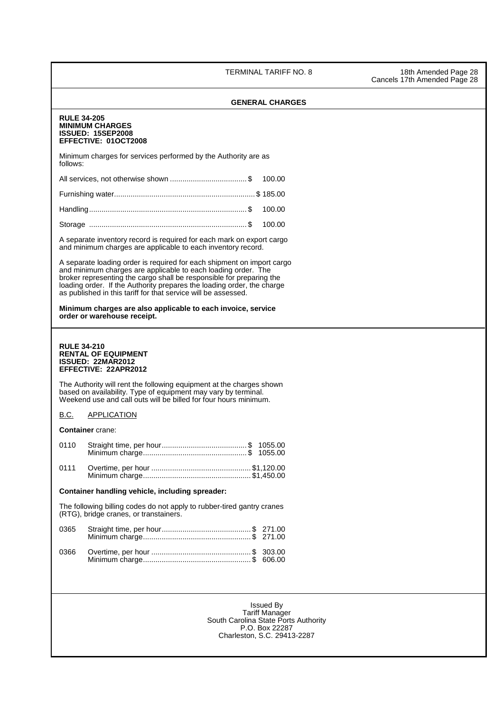TERMINAL TARIFF NO. 8 18th Amended Page 28

Cancels 17th Amended Page 28

# **GENERAL CHARGES RULE 34-205 MINIMUM CHARGES ISSUED: 15SEP2008 EFFECTIVE: 01OCT2008** Minimum charges for services performed by the Authority are as follows: All services, not otherwise shown ..................................... \$ 100.00 Furnishing water .................................................................... \$ 185.00 Handling ............................................................................ \$ 100.00 Storage ............................................................................ \$ 100.00 A separate inventory record is required for each mark on export cargo and minimum charges are applicable to each inventory record. A separate loading order is required for each shipment on import cargo and minimum charges are applicable to each loading order. The broker representing the cargo shall be responsible for preparing the loading order. If the Authority prepares the loading order, the charge as published in this tariff for that service will be assessed. **Minimum charges are also applicable to each invoice, service order or warehouse receipt. RULE 34-210 RENTAL OF EQUIPMENT ISSUED: 22MAR2012 EFFECTIVE: 22APR2012** The Authority will rent the following equipment at the charges shown based on availability. Type of equipment may vary by terminal. Weekend use and call outs will be billed for four hours minimum. B.C. APPLICATION **Container** crane: 0110 Straight time, per hour ......................................... \$ 1055.00 Minimum charge .................................................. \$ 1055.00 0111 Overtime, per hour ................................................ \$1,120.00 Minimum charge .................................................... \$1,450.00 **Container handling vehicle, including spreader:** The following billing codes do not apply to rubber-tired gantry cranes (RTG), bridge cranes, or transtainers. 0365 Straight time, per hour ........................................... \$ 271.00 Minimum charge .................................................... \$ 271.00 0366 Overtime, per hour ................................................ \$ 303.00 Minimum charge .................................................... \$ 606.00 Issued By Tariff Manager South Carolina State Ports Authority P.O. Box 22287 Charleston, S.C. 29413-2287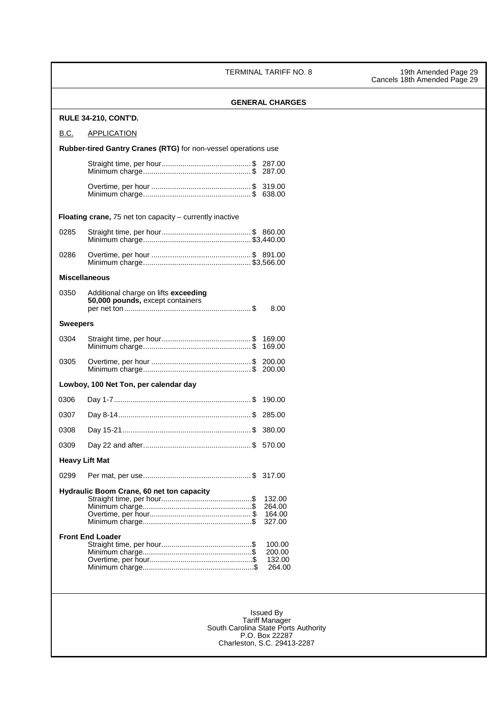TERMINAL TARIFF NO. 8 19th Amended Page 29

|                 | <b>GENERAL CHARGES</b>                                                           |  |
|-----------------|----------------------------------------------------------------------------------|--|
|                 | <b>RULE 34-210, CONT'D.</b>                                                      |  |
| B.C.            | <b>APPLICATION</b>                                                               |  |
|                 | Rubber-tired Gantry Cranes (RTG) for non-vessel operations use                   |  |
|                 |                                                                                  |  |
|                 |                                                                                  |  |
|                 |                                                                                  |  |
|                 | <b>Floating crane, 75 net ton capacity – currently inactive</b>                  |  |
| 0285            |                                                                                  |  |
| 0286            |                                                                                  |  |
|                 | <b>Miscellaneous</b>                                                             |  |
| 0350            | Additional charge on lifts exceeding<br>50,000 pounds, except containers<br>8.00 |  |
| <b>Sweepers</b> |                                                                                  |  |
| 0304            |                                                                                  |  |
| 0305            |                                                                                  |  |
|                 | Lowboy, 100 Net Ton, per calendar day                                            |  |
| 0306            |                                                                                  |  |
| 0307            |                                                                                  |  |
| 0308            |                                                                                  |  |
| 0309            |                                                                                  |  |
|                 | <b>Heavy Lift Mat</b>                                                            |  |
| 0299            |                                                                                  |  |
|                 | Hydraulic Boom Crane, 60 net ton capacity                                        |  |
|                 | 132.00<br>264.00                                                                 |  |
|                 | 164.00                                                                           |  |
|                 | 327.00                                                                           |  |
|                 | <b>Front End Loader</b>                                                          |  |
|                 | 100.00                                                                           |  |
|                 | 200.00<br>132.00                                                                 |  |
|                 | 264.00                                                                           |  |
|                 |                                                                                  |  |
|                 | <b>Issued By</b>                                                                 |  |
|                 | <b>Tariff Manager</b>                                                            |  |
|                 | South Carolina State Ports Authority                                             |  |
|                 | P.O. Box 22287<br>Charleston, S.C. 29413-2287                                    |  |
|                 |                                                                                  |  |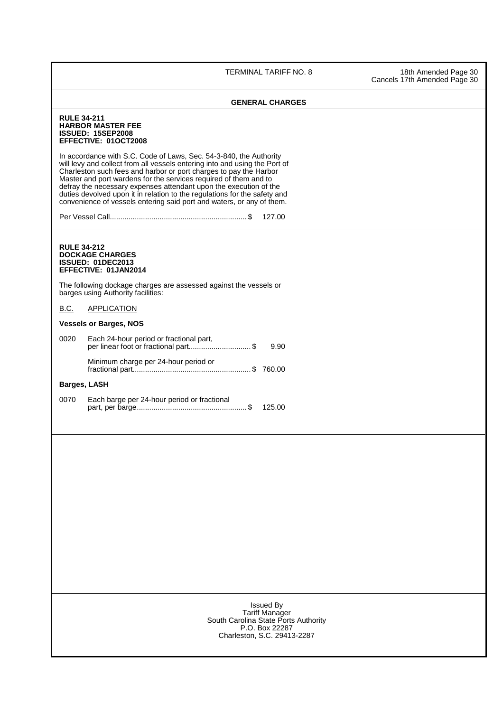TERMINAL TARIFF NO. 8 18th Amended Page 30 Cancels 17th Amended Page 30

|                     | <b>GENERAL CHARGES</b>                                                                                                                                                                                                                                                                                                                                                                                                                                                                                                                                                                                         |
|---------------------|----------------------------------------------------------------------------------------------------------------------------------------------------------------------------------------------------------------------------------------------------------------------------------------------------------------------------------------------------------------------------------------------------------------------------------------------------------------------------------------------------------------------------------------------------------------------------------------------------------------|
| <b>RULE 34-211</b>  | <b>HARBOR MASTER FEE</b><br><b>ISSUED: 15SEP2008</b><br>EFFECTIVE: 01OCT2008<br>In accordance with S.C. Code of Laws, Sec. 54-3-840, the Authority<br>will levy and collect from all vessels entering into and using the Port of<br>Charleston such fees and harbor or port charges to pay the Harbor<br>Master and port wardens for the services required of them and to<br>defray the necessary expenses attendant upon the execution of the<br>duties devolved upon it in relation to the regulations for the safety and<br>convenience of vessels entering said port and waters, or any of them.<br>127.00 |
| <b>RULE 34-212</b>  | <b>DOCKAGE CHARGES</b><br><b>ISSUED: 01DEC2013</b><br>EFFECTIVE: 01JAN2014<br>The following dockage charges are assessed against the vessels or<br>barges using Authority facilities:                                                                                                                                                                                                                                                                                                                                                                                                                          |
| <b>B.C.</b>         | <b>APPLICATION</b>                                                                                                                                                                                                                                                                                                                                                                                                                                                                                                                                                                                             |
|                     | <b>Vessels or Barges, NOS</b>                                                                                                                                                                                                                                                                                                                                                                                                                                                                                                                                                                                  |
| 0020                | Each 24-hour period or fractional part,<br>per linear foot or fractional part\$<br>9.90                                                                                                                                                                                                                                                                                                                                                                                                                                                                                                                        |
|                     | Minimum charge per 24-hour period or                                                                                                                                                                                                                                                                                                                                                                                                                                                                                                                                                                           |
| <b>Barges, LASH</b> |                                                                                                                                                                                                                                                                                                                                                                                                                                                                                                                                                                                                                |
| 0070                | Each barge per 24-hour period or fractional<br>125.00                                                                                                                                                                                                                                                                                                                                                                                                                                                                                                                                                          |
|                     |                                                                                                                                                                                                                                                                                                                                                                                                                                                                                                                                                                                                                |
|                     | <b>Issued By</b><br><b>Tariff Manager</b><br>South Carolina State Ports Authority<br>P.O. Box 22287<br>Charleston, S.C. 29413-2287                                                                                                                                                                                                                                                                                                                                                                                                                                                                             |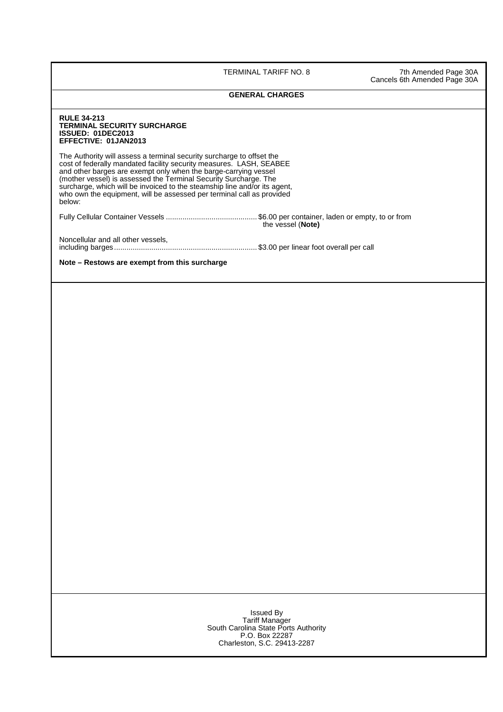TERMINAL TARIFF NO. 8 7th Amended Page 30A Cancels 6th Amended Page 30A

## **GENERAL CHARGES**

| TERMINAL SECURITY SURCHARGE<br>ISSUED: 01DEC2013<br>EFFECTIVE: 01JAN2013                                                                                                                                                                                                                                                                                                                                                                            |                   |
|-----------------------------------------------------------------------------------------------------------------------------------------------------------------------------------------------------------------------------------------------------------------------------------------------------------------------------------------------------------------------------------------------------------------------------------------------------|-------------------|
| The Authority will assess a terminal security surcharge to offset the<br>cost of federally mandated facility security measures. LASH, SEABEE<br>and other barges are exempt only when the barge-carrying vessel<br>(mother vessel) is assessed the Terminal Security Surcharge. The<br>surcharge, which will be invoiced to the steamship line and/or its agent,<br>who own the equipment, will be assessed per terminal call as provided<br>below: |                   |
|                                                                                                                                                                                                                                                                                                                                                                                                                                                     | the vessel (Note) |
| Noncellular and all other vessels,                                                                                                                                                                                                                                                                                                                                                                                                                  |                   |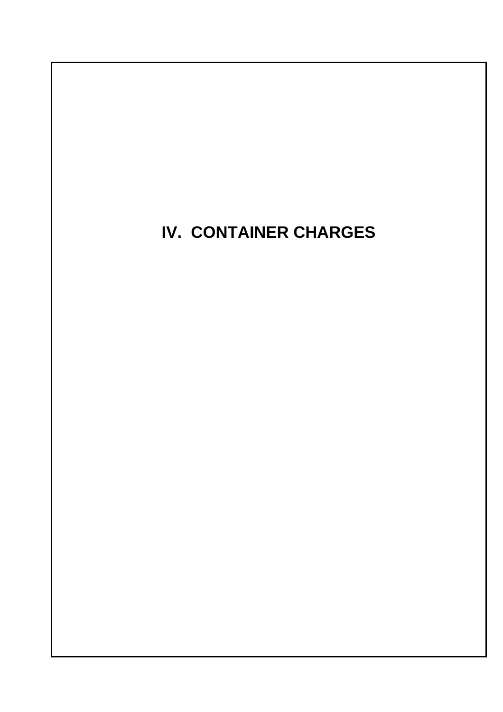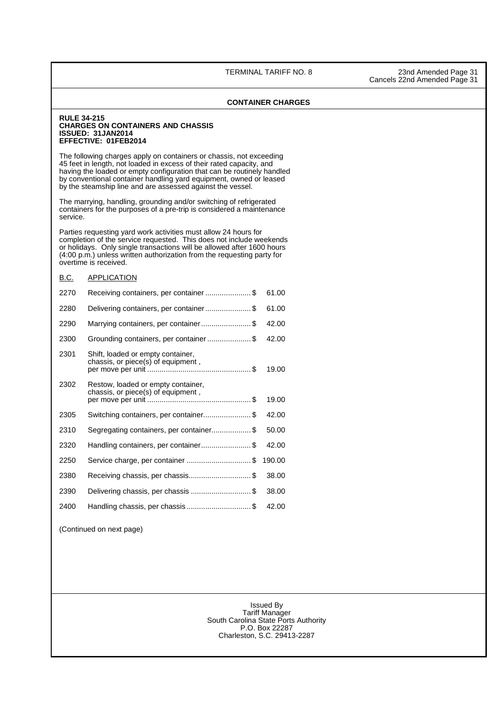| <b>RULE 34-215</b> | <b>CHARGES ON CONTAINERS AND CHASSIS</b><br><b>ISSUED: 31JAN2014</b><br>EFFECTIVE: 01FEB2014                                                                                                                                                                                                                                                              |       |
|--------------------|-----------------------------------------------------------------------------------------------------------------------------------------------------------------------------------------------------------------------------------------------------------------------------------------------------------------------------------------------------------|-------|
|                    | The following charges apply on containers or chassis, not exceeding<br>45 feet in length, not loaded in excess of their rated capacity, and<br>having the loaded or empty configuration that can be routinely handled<br>by conventional container handling yard equipment, owned or leased<br>by the steamship line and are assessed against the vessel. |       |
| service.           | The marrying, handling, grounding and/or switching of refrigerated<br>containers for the purposes of a pre-trip is considered a maintenance                                                                                                                                                                                                               |       |
|                    | Parties requesting yard work activities must allow 24 hours for<br>completion of the service requested. This does not include weekends<br>or holidays. Only single transactions will be allowed after 1600 hours<br>(4:00 p.m.) unless written authorization from the requesting party for<br>overtime is received.                                       |       |
| <b>B.C.</b>        | APPLICATION                                                                                                                                                                                                                                                                                                                                               |       |
| 2270               | Receiving containers, per container\$                                                                                                                                                                                                                                                                                                                     | 61.00 |
| 2280               | Delivering containers, per container\$                                                                                                                                                                                                                                                                                                                    | 61.00 |
| 2290               | Marrying containers, per container\$                                                                                                                                                                                                                                                                                                                      | 42.00 |
| 2300               | Grounding containers, per container \$                                                                                                                                                                                                                                                                                                                    | 42.00 |
| 2301               | Shift, loaded or empty container,<br>chassis, or piece(s) of equipment,                                                                                                                                                                                                                                                                                   | 19.00 |
| 2302               | Restow, loaded or empty container,<br>chassis, or piece(s) of equipment,                                                                                                                                                                                                                                                                                  |       |
|                    |                                                                                                                                                                                                                                                                                                                                                           | 19.00 |
| 2305               | Switching containers, per container\$                                                                                                                                                                                                                                                                                                                     | 42.00 |
| 2310               | Segregating containers, per container\$                                                                                                                                                                                                                                                                                                                   | 50.00 |
| 2320               | Handling containers, per container \$                                                                                                                                                                                                                                                                                                                     | 42.00 |
| 2250               | Service charge, per container \$ 190.00                                                                                                                                                                                                                                                                                                                   |       |
| 2380               | Receiving chassis, per chassis\$                                                                                                                                                                                                                                                                                                                          | 38.00 |
| 2390               | Delivering chassis, per chassis \$                                                                                                                                                                                                                                                                                                                        | 38.00 |
| 2400               | Handling chassis, per chassis\$                                                                                                                                                                                                                                                                                                                           | 42.00 |
|                    | (Continued on next page)                                                                                                                                                                                                                                                                                                                                  |       |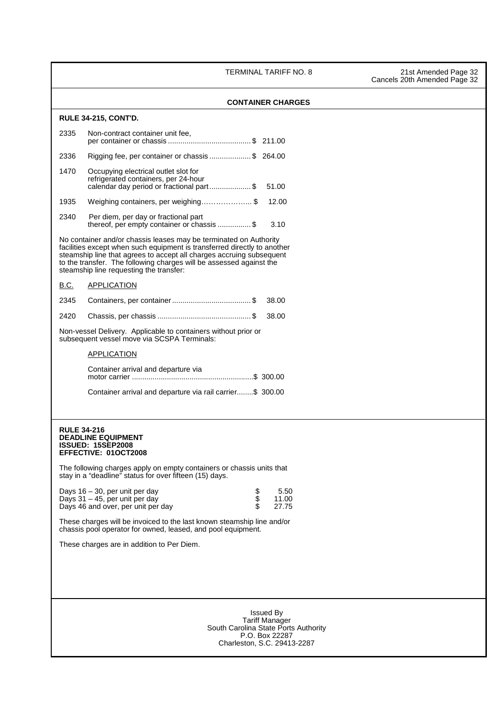TERMINAL TARIFF NO. 8 21st Amended Page 32

| 2335<br>2336<br>1470<br>1935<br>2340<br><b>B.C.</b><br>2345<br>2420<br><b>RULE 34-216</b> | <b>RULE 34-215, CONT'D.</b><br>Non-contract container unit fee,<br>Rigging fee, per container or chassis\$ 264.00<br>Occupying electrical outlet slot for<br>refrigerated containers, per 24-hour<br>calendar day period or fractional part\$<br>Weighing containers, per weighing\$<br>Per diem, per day or fractional part<br>thereof, per empty container or chassis \$<br>No container and/or chassis leases may be terminated on Authority<br>facilities except when such equipment is transferred directly to another<br>steamship line that agrees to accept all charges accruing subsequent<br>to the transfer. The following charges will be assessed against the<br>steamship line requesting the transfer:<br><b>APPLICATION</b><br>Non-vessel Delivery. Applicable to containers without prior or<br>subsequent vessel move via SCSPA Terminals:<br>APPLICATION<br>Container arrival and departure via<br>Container arrival and departure via rail carrier\$ 300.00 | <b>CONTAINER CHARGES</b><br>51.00<br>12.00<br>3.10<br>38.00<br>38.00 |  |  |
|-------------------------------------------------------------------------------------------|---------------------------------------------------------------------------------------------------------------------------------------------------------------------------------------------------------------------------------------------------------------------------------------------------------------------------------------------------------------------------------------------------------------------------------------------------------------------------------------------------------------------------------------------------------------------------------------------------------------------------------------------------------------------------------------------------------------------------------------------------------------------------------------------------------------------------------------------------------------------------------------------------------------------------------------------------------------------------------|----------------------------------------------------------------------|--|--|
|                                                                                           |                                                                                                                                                                                                                                                                                                                                                                                                                                                                                                                                                                                                                                                                                                                                                                                                                                                                                                                                                                                 |                                                                      |  |  |
|                                                                                           |                                                                                                                                                                                                                                                                                                                                                                                                                                                                                                                                                                                                                                                                                                                                                                                                                                                                                                                                                                                 |                                                                      |  |  |
|                                                                                           |                                                                                                                                                                                                                                                                                                                                                                                                                                                                                                                                                                                                                                                                                                                                                                                                                                                                                                                                                                                 |                                                                      |  |  |
|                                                                                           |                                                                                                                                                                                                                                                                                                                                                                                                                                                                                                                                                                                                                                                                                                                                                                                                                                                                                                                                                                                 |                                                                      |  |  |
|                                                                                           |                                                                                                                                                                                                                                                                                                                                                                                                                                                                                                                                                                                                                                                                                                                                                                                                                                                                                                                                                                                 |                                                                      |  |  |
|                                                                                           |                                                                                                                                                                                                                                                                                                                                                                                                                                                                                                                                                                                                                                                                                                                                                                                                                                                                                                                                                                                 |                                                                      |  |  |
|                                                                                           |                                                                                                                                                                                                                                                                                                                                                                                                                                                                                                                                                                                                                                                                                                                                                                                                                                                                                                                                                                                 |                                                                      |  |  |
|                                                                                           |                                                                                                                                                                                                                                                                                                                                                                                                                                                                                                                                                                                                                                                                                                                                                                                                                                                                                                                                                                                 |                                                                      |  |  |
|                                                                                           |                                                                                                                                                                                                                                                                                                                                                                                                                                                                                                                                                                                                                                                                                                                                                                                                                                                                                                                                                                                 |                                                                      |  |  |
|                                                                                           |                                                                                                                                                                                                                                                                                                                                                                                                                                                                                                                                                                                                                                                                                                                                                                                                                                                                                                                                                                                 |                                                                      |  |  |
|                                                                                           |                                                                                                                                                                                                                                                                                                                                                                                                                                                                                                                                                                                                                                                                                                                                                                                                                                                                                                                                                                                 |                                                                      |  |  |
|                                                                                           |                                                                                                                                                                                                                                                                                                                                                                                                                                                                                                                                                                                                                                                                                                                                                                                                                                                                                                                                                                                 |                                                                      |  |  |
|                                                                                           |                                                                                                                                                                                                                                                                                                                                                                                                                                                                                                                                                                                                                                                                                                                                                                                                                                                                                                                                                                                 |                                                                      |  |  |
|                                                                                           |                                                                                                                                                                                                                                                                                                                                                                                                                                                                                                                                                                                                                                                                                                                                                                                                                                                                                                                                                                                 |                                                                      |  |  |
|                                                                                           |                                                                                                                                                                                                                                                                                                                                                                                                                                                                                                                                                                                                                                                                                                                                                                                                                                                                                                                                                                                 |                                                                      |  |  |
|                                                                                           |                                                                                                                                                                                                                                                                                                                                                                                                                                                                                                                                                                                                                                                                                                                                                                                                                                                                                                                                                                                 |                                                                      |  |  |
|                                                                                           | <b>DEADLINE EQUIPMENT</b><br><b>ISSUED: 15SEP2008</b><br><b>EFFECTIVE: 01OCT2008</b><br>The following charges apply on empty containers or chassis units that                                                                                                                                                                                                                                                                                                                                                                                                                                                                                                                                                                                                                                                                                                                                                                                                                   |                                                                      |  |  |
|                                                                                           | stay in a "deadline" status for over fifteen (15) days.                                                                                                                                                                                                                                                                                                                                                                                                                                                                                                                                                                                                                                                                                                                                                                                                                                                                                                                         |                                                                      |  |  |
|                                                                                           | Days $16 - 30$ , per unit per day<br>\$<br>Days 31 - 45, per unit per day<br>Days 46 and over, per unit per day                                                                                                                                                                                                                                                                                                                                                                                                                                                                                                                                                                                                                                                                                                                                                                                                                                                                 | 5.50<br>11.00<br>27.75                                               |  |  |
|                                                                                           | These charges will be invoiced to the last known steamship line and/or<br>chassis pool operator for owned, leased, and pool equipment.                                                                                                                                                                                                                                                                                                                                                                                                                                                                                                                                                                                                                                                                                                                                                                                                                                          |                                                                      |  |  |
|                                                                                           | These charges are in addition to Per Diem.                                                                                                                                                                                                                                                                                                                                                                                                                                                                                                                                                                                                                                                                                                                                                                                                                                                                                                                                      |                                                                      |  |  |
|                                                                                           |                                                                                                                                                                                                                                                                                                                                                                                                                                                                                                                                                                                                                                                                                                                                                                                                                                                                                                                                                                                 |                                                                      |  |  |
|                                                                                           |                                                                                                                                                                                                                                                                                                                                                                                                                                                                                                                                                                                                                                                                                                                                                                                                                                                                                                                                                                                 |                                                                      |  |  |
|                                                                                           |                                                                                                                                                                                                                                                                                                                                                                                                                                                                                                                                                                                                                                                                                                                                                                                                                                                                                                                                                                                 | <b>Issued By</b><br><b>Tariff Manager</b>                            |  |  |
|                                                                                           |                                                                                                                                                                                                                                                                                                                                                                                                                                                                                                                                                                                                                                                                                                                                                                                                                                                                                                                                                                                 | South Carolina State Ports Authority<br>P.O. Box 22287               |  |  |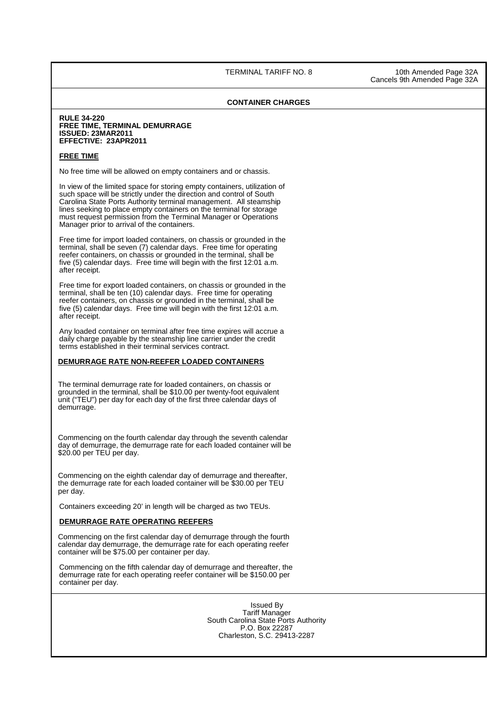## **CONTAINER CHARGES**

#### **RULE 34-220 FREE TIME, TERMINAL DEMURRAGE ISSUED: 23MAR2011 EFFECTIVE: 23APR2011**

#### **FREE TIME**

No free time will be allowed on empty containers and or chassis.

In view of the limited space for storing empty containers, utilization of such space will be strictly under the direction and control of South Carolina State Ports Authority terminal management. All steamship lines seeking to place empty containers on the terminal for storage must request permission from the Terminal Manager or Operations Manager prior to arrival of the containers.

 Free time for import loaded containers, on chassis or grounded in the terminal, shall be seven (7) calendar days. Free time for operating reefer containers, on chassis or grounded in the terminal, shall be five (5) calendar days. Free time will begin with the first 12:01 a.m. after receipt.

 Free time for export loaded containers, on chassis or grounded in the terminal, shall be ten (10) calendar days. Free time for operating reefer containers, on chassis or grounded in the terminal, shall be five (5) calendar days. Free time will begin with the first 12:01 a.m. after receipt.

Any loaded container on terminal after free time expires will accrue a daily charge payable by the steamship line carrier under the credit terms established in their terminal services contract.

## **DEMURRAGE RATE NON-REEFER LOADED CONTAINERS**

 The terminal demurrage rate for loaded containers, on chassis or grounded in the terminal, shall be \$10.00 per twenty-foot equivalent unit ("TEU") per day for each day of the first three calendar days of demurrage.

 Commencing on the fourth calendar day through the seventh calendar day of demurrage, the demurrage rate for each loaded container will be \$20.00 per TEU per day.

 Commencing on the eighth calendar day of demurrage and thereafter, the demurrage rate for each loaded container will be \$30.00 per TEU per day.

Containers exceeding 20' in length will be charged as two TEUs.

## **DEMURRAGE RATE OPERATING REEFERS**

 Commencing on the first calendar day of demurrage through the fourth calendar day demurrage, the demurrage rate for each operating reefer container will be \$75.00 per container per day.

Commencing on the fifth calendar day of demurrage and thereafter, the demurrage rate for each operating reefer container will be \$150.00 per container per day.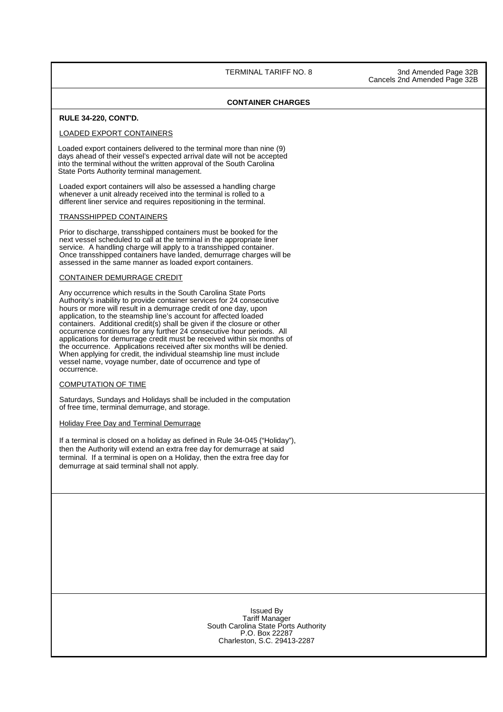ı

#### **CONTAINER CHARGES**

#### **RULE 34-220, CONT'D.**

#### LOADED EXPORT CONTAINERS

 Loaded export containers delivered to the terminal more than nine (9) days ahead of their vessel's expected arrival date will not be accepted into the terminal without the written approval of the South Carolina State Ports Authority terminal management.

Loaded export containers will also be assessed a handling charge whenever a unit already received into the terminal is rolled to a different liner service and requires repositioning in the terminal.

#### TRANSSHIPPED CONTAINERS

Prior to discharge, transshipped containers must be booked for the next vessel scheduled to call at the terminal in the appropriate liner service. A handling charge will apply to a transshipped container. Once transshipped containers have landed, demurrage charges will be assessed in the same manner as loaded export containers.

#### CONTAINER DEMURRAGE CREDIT

Any occurrence which results in the South Carolina State Ports Authority's inability to provide container services for 24 consecutive hours or more will result in a demurrage credit of one day, upon application, to the steamship line's account for affected loaded containers. Additional credit(s) shall be given if the closure or other occurrence continues for any further 24 consecutive hour periods. All applications for demurrage credit must be received within six months of the occurrence. Applications received after six months will be denied. When applying for credit, the individual steamship line must include vessel name, voyage number, date of occurrence and type of occurrence.

#### COMPUTATION OF TIME

Saturdays, Sundays and Holidays shall be included in the computation of free time, terminal demurrage, and storage.

#### Holiday Free Day and Terminal Demurrage

If a terminal is closed on a holiday as defined in Rule 34-045 ("Holiday"), then the Authority will extend an extra free day for demurrage at said terminal. If a terminal is open on a Holiday, then the extra free day for demurrage at said terminal shall not apply.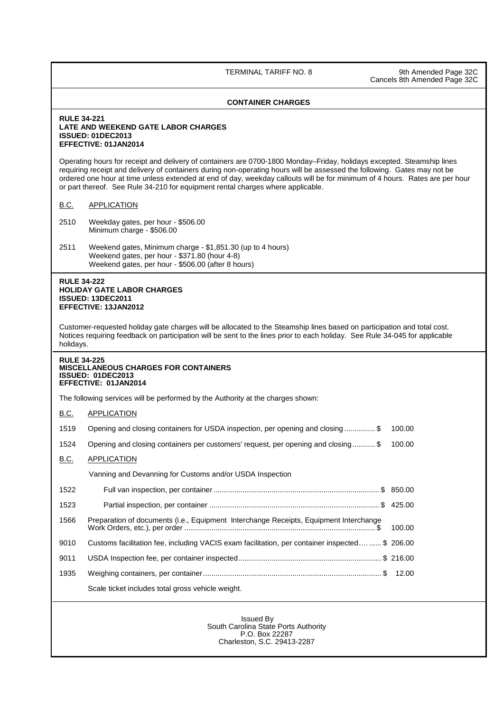TERMINAL TARIFF NO. 8 9th Amended Page 32C Cancels 8th Amended Page 32C

## **CONTAINER CHARGES**

#### **RULE 34-221 LATE AND WEEKEND GATE LABOR CHARGES ISSUED: 01DEC2013 EFFECTIVE: 01JAN2014**

Operating hours for receipt and delivery of containers are 0700-1800 Monday–Friday, holidays excepted. Steamship lines requiring receipt and delivery of containers during non-operating hours will be assessed the following. Gates may not be ordered one hour at time unless extended at end of day, weekday callouts will be for minimum of 4 hours. Rates are per hour or part thereof. See Rule 34-210 for equipment rental charges where applicable.

## B.C. APPLICATION

- 2510 Weekday gates, per hour \$506.00 Minimum charge - \$506.00
- 2511 Weekend gates, Minimum charge \$1,851.30 (up to 4 hours) Weekend gates, per hour - \$371.80 (hour 4-8) Weekend gates, per hour - \$506.00 (after 8 hours)

## **RULE 34-222 HOLIDAY GATE LABOR CHARGES ISSUED: 13DEC2011 EFFECTIVE: 13JAN2012**

Customer-requested holiday gate charges will be allocated to the Steamship lines based on participation and total cost. Notices requiring feedback on participation will be sent to the lines prior to each holiday. See Rule 34-045 for applicable holidays.

#### **RULE 34-225 MISCELLANEOUS CHARGES FOR CONTAINERS ISSUED: 01DEC2013 EFFECTIVE: 01JAN2014**

The following services will be performed by the Authority at the charges shown:

| B.C. | <b>APPLICATION</b>                                                                            |        |
|------|-----------------------------------------------------------------------------------------------|--------|
| 1519 | Opening and closing containers for USDA inspection, per opening and closing\$                 | 100.00 |
| 1524 | Opening and closing containers per customers' request, per opening and closing\$              | 100.00 |
| B.C. | <b>APPLICATION</b>                                                                            |        |
|      | Vanning and Devanning for Customs and/or USDA Inspection                                      |        |
| 1522 |                                                                                               |        |
| 1523 |                                                                                               |        |
| 1566 | Preparation of documents (i.e., Equipment Interchange Receipts, Equipment Interchange         | 100.00 |
| 9010 | Customs facilitation fee, including VACIS exam facilitation, per container inspected\$ 206.00 |        |
| 9011 |                                                                                               |        |
| 1935 |                                                                                               |        |
|      | Scale ticket includes total gross vehicle weight.                                             |        |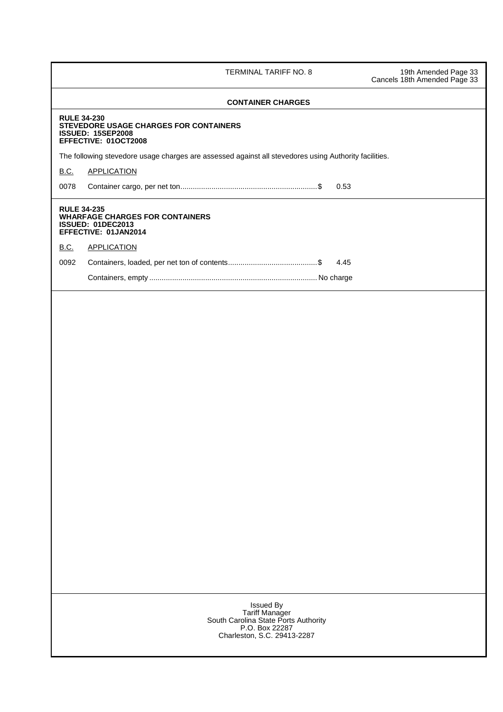| TERMINAL TARIFF NO. 8                                                                                                       | 19th Amended Page 33<br>Cancels 18th Amended Page 33 |
|-----------------------------------------------------------------------------------------------------------------------------|------------------------------------------------------|
| <b>CONTAINER CHARGES</b>                                                                                                    |                                                      |
| <b>RULE 34-230</b><br>STEVEDORE USAGE CHARGES FOR CONTAINERS<br><b>ISSUED: 15SEP2008</b><br>EFFECTIVE: 01OCT2008            |                                                      |
| The following stevedore usage charges are assessed against all stevedores using Authority facilities.                       |                                                      |
| <b>B.C.</b><br><b>APPLICATION</b>                                                                                           |                                                      |
| 0078<br>0.53                                                                                                                |                                                      |
| <b>RULE 34-235</b><br><b>WHARFAGE CHARGES FOR CONTAINERS</b><br><b>ISSUED: 01DEC2013</b><br>EFFECTIVE: 01JAN2014            |                                                      |
| <b>B.C.</b><br><b>APPLICATION</b>                                                                                           |                                                      |
| 0092<br>4.45                                                                                                                |                                                      |
|                                                                                                                             |                                                      |
|                                                                                                                             |                                                      |
|                                                                                                                             |                                                      |
|                                                                                                                             |                                                      |
|                                                                                                                             |                                                      |
|                                                                                                                             |                                                      |
|                                                                                                                             |                                                      |
|                                                                                                                             |                                                      |
|                                                                                                                             |                                                      |
|                                                                                                                             |                                                      |
|                                                                                                                             |                                                      |
|                                                                                                                             |                                                      |
|                                                                                                                             |                                                      |
|                                                                                                                             |                                                      |
|                                                                                                                             |                                                      |
|                                                                                                                             |                                                      |
|                                                                                                                             |                                                      |
|                                                                                                                             |                                                      |
|                                                                                                                             |                                                      |
| <b>Issued By</b><br>Tariff Manager<br>South Carolina State Ports Authority<br>P.O. Box 22287<br>Charleston, S.C. 29413-2287 |                                                      |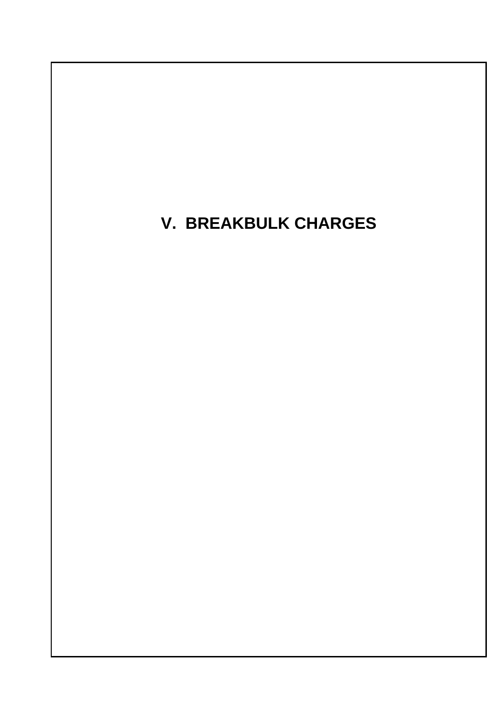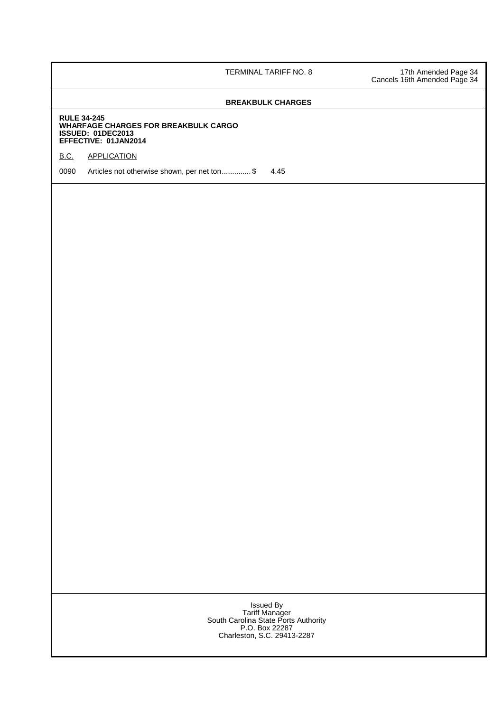TERMINAL TARIFF NO. 8 17th Amended Page 34 Cancels 16th Amended Page 34

## **BREAKBULK CHARGES**

#### **RULE 34-245 WHARFAGE CHARGES FOR BREAKBULK CARGO ISSUED: 01DEC2013 EFFECTIVE: 01JAN2014**

## **B.C. APPLICATION**

0090 Articles not otherwise shown, per net ton..............\$ 4.45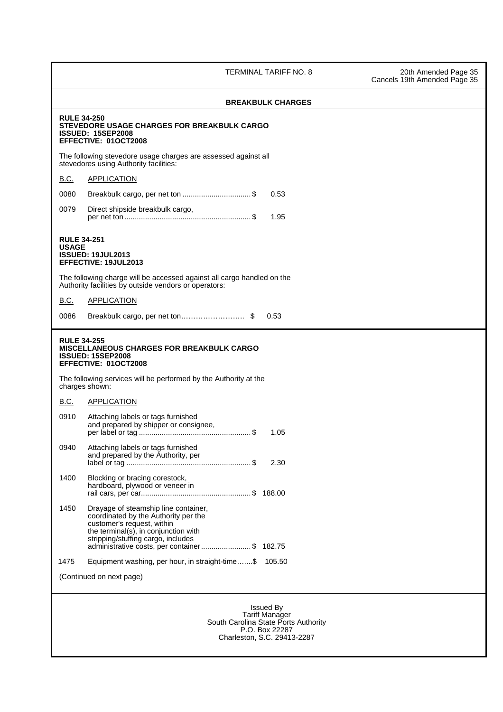TERMINAL TARIFF NO. 8 20th Amended Page 35 Cancels 19th Amended Page 35

|              | <b>BREAKBULK CHARGES</b>                                                                                                                                                                                                                 |  |
|--------------|------------------------------------------------------------------------------------------------------------------------------------------------------------------------------------------------------------------------------------------|--|
|              | <b>RULE 34-250</b><br>STEVEDORE USAGE CHARGES FOR BREAKBULK CARGO<br><b>ISSUED: 15SEP2008</b><br>EFFECTIVE: 01OCT2008                                                                                                                    |  |
|              | The following stevedore usage charges are assessed against all<br>stevedores using Authority facilities:                                                                                                                                 |  |
| <b>B.C.</b>  | <b>APPLICATION</b>                                                                                                                                                                                                                       |  |
| 0080         | Breakbulk cargo, per net ton \$<br>0.53                                                                                                                                                                                                  |  |
| 0079         | Direct shipside breakbulk cargo,<br>1.95                                                                                                                                                                                                 |  |
| <b>USAGE</b> | <b>RULE 34-251</b><br><b>ISSUED: 19JUL2013</b><br>EFFECTIVE: 19JUL2013<br>The following charge will be accessed against all cargo handled on the                                                                                         |  |
|              | Authority facilities by outside vendors or operators:                                                                                                                                                                                    |  |
| <b>B.C.</b>  | <b>APPLICATION</b>                                                                                                                                                                                                                       |  |
| 0086         | Breakbulk cargo, per net ton\$<br>0.53                                                                                                                                                                                                   |  |
|              | MISCELLANEOUS CHARGES FOR BREAKBULK CARGO<br><b>ISSUED: 15SEP2008</b><br>EFFECTIVE: 01OCT2008<br>The following services will be performed by the Authority at the                                                                        |  |
| <b>B.C.</b>  | charges shown:<br><b>APPLICATION</b>                                                                                                                                                                                                     |  |
| 0910         | Attaching labels or tags furnished<br>and prepared by shipper or consignee,<br>1.05                                                                                                                                                      |  |
| 0940         | Attaching labels or tags furnished<br>and prepared by the Authority, per<br>2.30                                                                                                                                                         |  |
| 1400         | Blocking or bracing corestock,<br>hardboard, plywood or veneer in                                                                                                                                                                        |  |
| 1450         | Drayage of steamship line container,<br>coordinated by the Authority per the<br>customer's request, within<br>the terminal(s), in conjunction with<br>stripping/stuffing cargo, includes<br>administrative costs, per container\$ 182.75 |  |
| 1475         | Equipment washing, per hour, in straight-time\$ 105.50                                                                                                                                                                                   |  |
|              | (Continued on next page)                                                                                                                                                                                                                 |  |
|              | <b>Issued By</b><br><b>Tariff Manager</b>                                                                                                                                                                                                |  |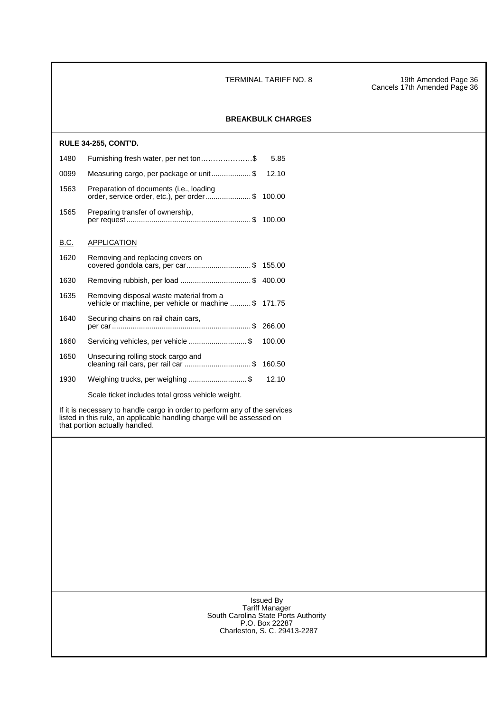TERMINAL TARIFF NO. 8 19th Amended Page 36 Cancels 17th Amended Page 36

|             |                                                                                                                                                                                        | <b>BREAKBULK CHARGES</b> |
|-------------|----------------------------------------------------------------------------------------------------------------------------------------------------------------------------------------|--------------------------|
|             | <b>RULE 34-255, CONT'D.</b>                                                                                                                                                            |                          |
| 1480        | Furnishing fresh water, per net ton\$                                                                                                                                                  | 5.85                     |
| 0099        | Measuring cargo, per package or unit\$                                                                                                                                                 | 12.10                    |
| 1563        | Preparation of documents (i.e., loading<br>order, service order, etc.), per order \$ 100.00                                                                                            |                          |
| 1565        | Preparing transfer of ownership,                                                                                                                                                       |                          |
| <b>B.C.</b> | <b>APPLICATION</b>                                                                                                                                                                     |                          |
| 1620        | Removing and replacing covers on<br>covered gondola cars, per car\$ 155.00                                                                                                             |                          |
| 1630        | Removing rubbish, per load \$ 400.00                                                                                                                                                   |                          |
| 1635        | Removing disposal waste material from a<br>vehicle or machine, per vehicle or machine  \$ 171.75                                                                                       |                          |
| 1640        | Securing chains on rail chain cars,                                                                                                                                                    |                          |
| 1660        | Servicing vehicles, per vehicle \$                                                                                                                                                     | 100.00                   |
| 1650        | Unsecuring rolling stock cargo and<br>cleaning rail cars, per rail car \$ 160.50                                                                                                       |                          |
| 1930        | Weighing trucks, per weighing \$                                                                                                                                                       | 12.10                    |
|             | Scale ticket includes total gross vehicle weight.                                                                                                                                      |                          |
|             | If it is necessary to handle cargo in order to perform any of the services<br>listed in this rule, an applicable handling charge will be assessed on<br>that portion actually handled. |                          |
|             |                                                                                                                                                                                        |                          |
|             |                                                                                                                                                                                        |                          |
|             |                                                                                                                                                                                        |                          |
|             |                                                                                                                                                                                        |                          |
|             |                                                                                                                                                                                        |                          |
|             |                                                                                                                                                                                        |                          |
|             |                                                                                                                                                                                        |                          |
|             |                                                                                                                                                                                        |                          |
|             |                                                                                                                                                                                        |                          |
|             |                                                                                                                                                                                        |                          |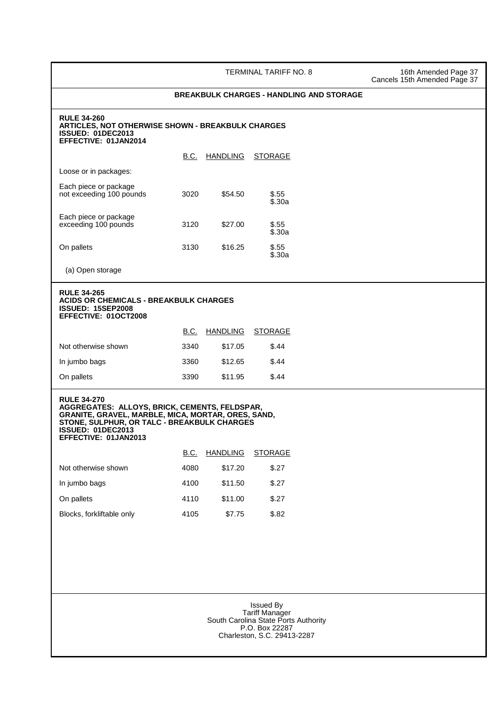TERMINAL TARIFF NO. 8 16th Amended Page 37 Cancels 15th Amended Page 37

#### **BREAKBULK CHARGES - HANDLING AND STORAGE**

#### **RULE 34-260 ARTICLES, NOT OTHERWISE SHOWN - BREAKBULK CHARGES ISSUED: 01DEC2013 EFFECTIVE: 01JAN2014**

|                                                   | B.C. | <b>HANDLING</b> | <b>STORAGE</b>    |
|---------------------------------------------------|------|-----------------|-------------------|
| Loose or in packages:                             |      |                 |                   |
| Each piece or package<br>not exceeding 100 pounds | 3020 | \$54.50         | \$.55<br>\$.30a   |
| Each piece or package<br>exceeding 100 pounds     | 3120 | \$27.00         | $\$.55$<br>\$.30a |
| On pallets                                        | 3130 | \$16.25         | \$.55<br>\$.30a   |

(a) Open storage

#### **RULE 34-265 ACIDS OR CHEMICALS - BREAKBULK CHARGES ISSUED: 15SEP2008 EFFECTIVE: 01OCT2008**

|                     | B.C. | HANDLING | <b>STORAGE</b> |
|---------------------|------|----------|----------------|
| Not otherwise shown | 3340 | \$17.05  | \$.44          |
| In jumbo bags       | 3360 | \$12.65  | \$.44          |
| On pallets          | 3390 | \$11.95  | \$.44          |

#### **RULE 34-270 AGGREGATES: ALLOYS, BRICK, CEMENTS, FELDSPAR, GRANITE, GRAVEL, MARBLE, MICA, MORTAR, ORES, SAND, STONE, SULPHUR, OR TALC - BREAKBULK CHARGES ISSUED: 01DEC2013 EFFECTIVE: 01JAN2013**

|                           | B.C. | <b>HANDLING</b> | <b>STORAGE</b> |
|---------------------------|------|-----------------|----------------|
| Not otherwise shown       | 4080 | \$17.20         | \$.27          |
| In jumbo bags             | 4100 | \$11.50         | \$.27          |
| On pallets                | 4110 | \$11.00         | \$.27          |
| Blocks, forkliftable only | 4105 | \$7.75          | \$.82          |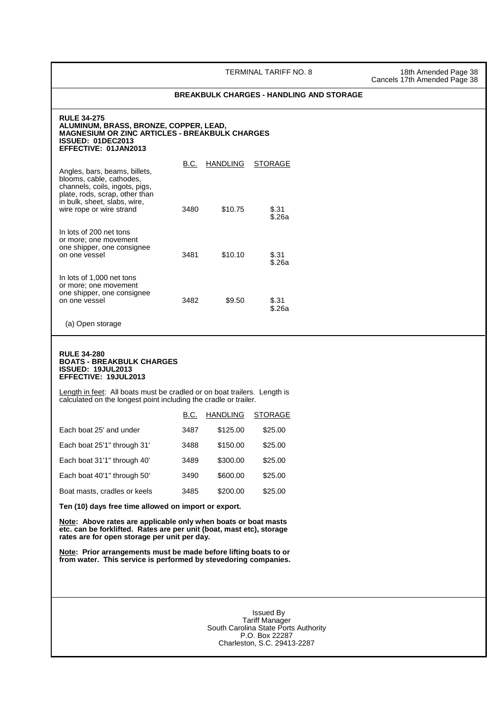TERMINAL TARIFF NO. 8 18th Amended Page 38

Cancels 17th Amended Page 38

#### **BREAKBULK CHARGES - HANDLING AND STORAGE**

#### **RULE 34-275 ALUMINUM, BRASS, BRONZE, COPPER, LEAD, MAGNESIUM OR ZINC ARTICLES - BREAKBULK CHARGES ISSUED: 01DEC2013 EFFECTIVE: 01JAN2013**

| Angles, bars, beams, billets,<br>blooms, cable, cathodes,<br>channels, coils, ingots, pigs,<br>plate, rods, scrap, other than | B.C. | <b>HANDLING</b> | STORAGE         |
|-------------------------------------------------------------------------------------------------------------------------------|------|-----------------|-----------------|
| in bulk, sheet, slabs, wire,<br>wire rope or wire strand                                                                      | 3480 | \$10.75         | \$.31<br>\$.26a |
| In lots of 200 net tons<br>or more; one movement<br>one shipper, one consignee<br>on one vessel                               | 3481 | \$10.10         | \$.31<br>\$.26a |
| In lots of 1,000 net tons<br>or more; one movement<br>one shipper, one consignee<br>on one vessel                             | 3482 | \$9.50          | \$.31<br>\$.26a |

(a) Open storage

#### **RULE 34-280 BOATS - BREAKBULK CHARGES ISSUED: 19JUL2013 EFFECTIVE: 19JUL2013**

Length in feet: All boats must be cradled or on boat trailers. Length is calculated on the longest point including the cradle or trailer.

|                              | B.C. | <b>HANDLING</b> | <b>STORAGE</b> |
|------------------------------|------|-----------------|----------------|
| Each boat 25' and under      | 3487 | \$125.00        | \$25.00        |
| Each boat 25'1" through 31'  | 3488 | \$150.00        | \$25.00        |
| Each boat 31'1" through 40'  | 3489 | \$300.00        | \$25.00        |
| Each boat 40'1" through 50'  | 3490 | \$600.00        | \$25.00        |
| Boat masts, cradles or keels | 3485 | \$200.00        | \$25.00        |
|                              |      |                 |                |

**Ten (10) days free time allowed on import or export.**

**Note: Above rates are applicable only when boats or boat masts etc. can be forklifted. Rates are per unit (boat, mast etc), storage rates are for open storage per unit per day.**

**Note: Prior arrangements must be made before lifting boats to or from water. This service is performed by stevedoring companies.**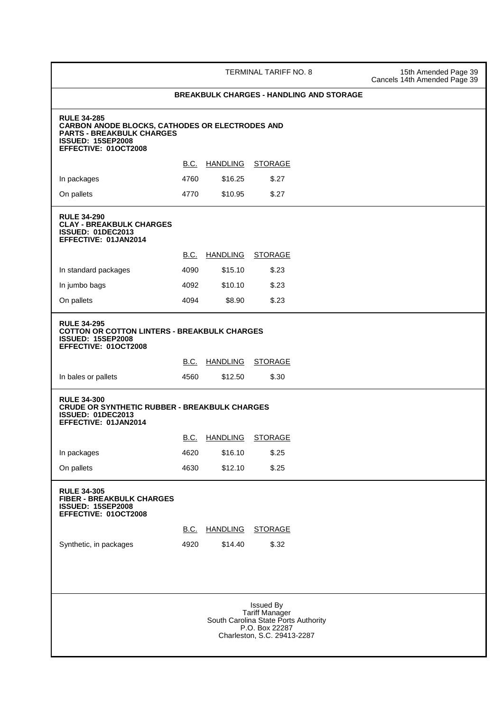TERMINAL TARIFF NO. 8 15th Amended Page 39 Cancels 14th Amended Page 39

# **BREAKBULK CHARGES - HANDLING AND STORAGE RULE 34-285 CARBON ANODE BLOCKS, CATHODES OR ELECTRODES AND PARTS - BREAKBULK CHARGES ISSUED: 15SEP2008 EFFECTIVE: 01OCT2008** B.C. HANDLING STORAGE In packages 6.27 **4760** \$16.25 \$.27 On pallets 6.27 **RULE 34-290 CLAY - BREAKBULK CHARGES ISSUED: 01DEC2013 EFFECTIVE: 01JAN2014** B.C. HANDLING STORAGE In standard packages 4090 \$15.10 \$.23 In jumbo bags 6.23 On pallets 6.23 **RULE 34-295 COTTON OR COTTON LINTERS - BREAKBULK CHARGES ISSUED: 15SEP2008 EFFECTIVE: 01OCT2008 B.C. HANDLING STORAGE** In bales or pallets 4560 \$12.50 \$.30 **RULE 34-300 CRUDE OR SYNTHETIC RUBBER - BREAKBULK CHARGES ISSUED: 01DEC2013 EFFECTIVE: 01JAN2014 B.C. HANDLING STORAGE** In packages 6.25 On pallets 6.25 **RULE 34-305 FIBER - BREAKBULK CHARGES ISSUED: 15SEP2008 EFFECTIVE: 01OCT2008 B.C. HANDLING STORAGE** Synthetic, in packages 4920 \$14.40 \$.32 Issued By Tariff Manager South Carolina State Ports Authority P.O. Box 22287 Charleston, S.C. 29413-2287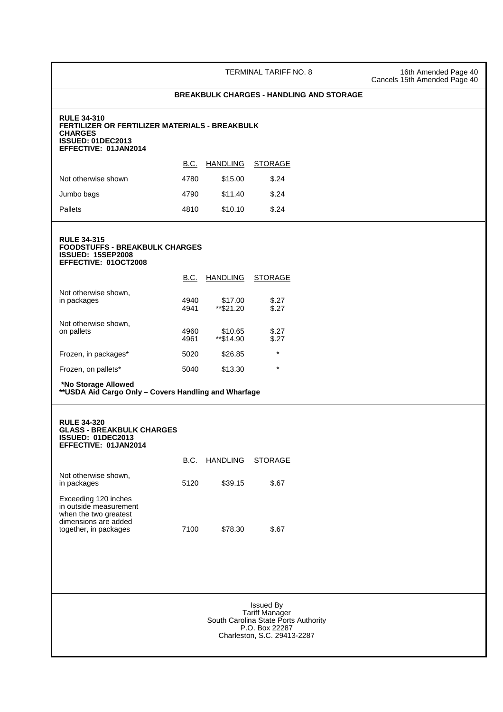TERMINAL TARIFF NO. 8 16th Amended Page 40 Cancels 15th Amended Page 40

| <b>ISSUED: 01DEC2013</b><br>EFFECTIVE: 01JAN2014                                                                         |              | FERTILIZER OR FERTILIZER MATERIALS - BREAKBULK |                |  |  |
|--------------------------------------------------------------------------------------------------------------------------|--------------|------------------------------------------------|----------------|--|--|
|                                                                                                                          | <u>B.C.</u>  | <b>HANDLING</b>                                | <b>STORAGE</b> |  |  |
| Not otherwise shown                                                                                                      | 4780         | \$15.00                                        | \$.24          |  |  |
| Jumbo bags                                                                                                               | 4790         | \$11.40                                        | \$.24          |  |  |
| <b>Pallets</b>                                                                                                           | 4810         | \$10.10                                        | \$.24          |  |  |
| <b>RULE 34-315</b><br><b>FOODSTUFFS - BREAKBULK CHARGES</b><br><b>ISSUED: 15SEP2008</b><br>EFFECTIVE: 01OCT2008          |              |                                                |                |  |  |
|                                                                                                                          | <b>B.C.</b>  | <b>HANDLING</b>                                | <b>STORAGE</b> |  |  |
| Not otherwise shown,<br>in packages                                                                                      | 4940<br>4941 | \$17.00<br>$**$ \$21.20                        | \$.27<br>\$.27 |  |  |
| Not otherwise shown,<br>on pallets                                                                                       | 4960<br>4961 | \$10.65<br>**\$14.90                           | \$.27<br>\$.27 |  |  |
| Frozen, in packages*                                                                                                     | 5020         | \$26.85                                        | $\star$        |  |  |
| Frozen, on pallets*                                                                                                      | 5040         | \$13.30                                        | $\star$        |  |  |
| *No Storage Allowed<br>**USDA Aid Cargo Only - Covers Handling and Wharfage<br><b>RULE 34-320</b>                        |              |                                                |                |  |  |
| <b>GLASS - BREAKBULK CHARGES</b><br><b>ISSUED: 01DEC2013</b>                                                             |              |                                                |                |  |  |
| EFFECTIVE: 01JAN2014                                                                                                     |              |                                                |                |  |  |
|                                                                                                                          |              | B.C. HANDLING STORAGE                          |                |  |  |
| Not otherwise shown,<br>in packages                                                                                      | 5120         | \$39.15                                        | \$.67          |  |  |
| Exceeding 120 inches<br>in outside measurement<br>when the two greatest<br>dimensions are added<br>together, in packages | 7100         | \$78.30                                        | \$.67          |  |  |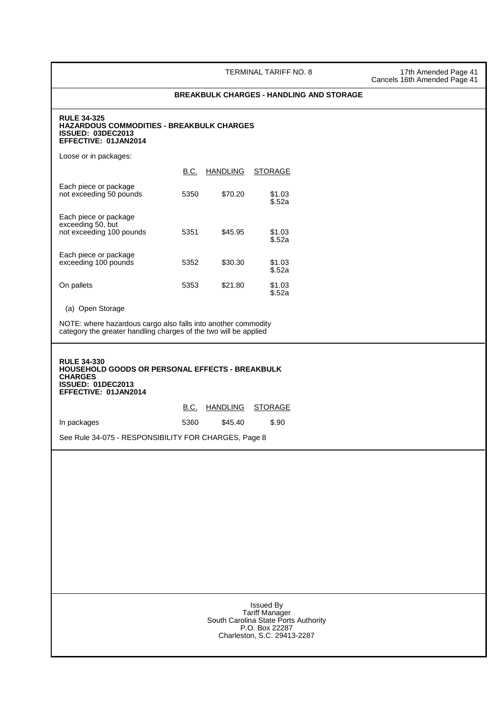TERMINAL TARIFF NO. 8 17th Amended Page 41 Cancels 16th Amended Page 41

# **BREAKBULK CHARGES - HANDLING AND STORAGE**

#### **RULE 34-325 HAZARDOUS COMMODITIES - BREAKBULK CHARGES ISSUED: 03DEC2013 EFFECTIVE: 01JAN2014**

Loose or in packages:

|                                                                        | B.C. | <b>HANDLING</b> | STORAGE          |
|------------------------------------------------------------------------|------|-----------------|------------------|
| Each piece or package<br>not exceeding 50 pounds                       | 5350 | \$70.20         | \$1.03<br>\$.52a |
| Each piece or package<br>exceeding 50, but<br>not exceeding 100 pounds | 5351 | \$45.95         | \$1.03<br>\$.52a |
| Each piece or package<br>exceeding 100 pounds                          | 5352 | \$30.30         | \$1.03<br>\$.52a |
| On pallets                                                             | 5353 | \$21.80         | \$1.03<br>\$.52a |

(a) Open Storage

| NOTE: where hazardous cargo also falls into another commodity<br>category the greater handling charges of the two will be applied           |                                                                                                                             |  |  |  |
|---------------------------------------------------------------------------------------------------------------------------------------------|-----------------------------------------------------------------------------------------------------------------------------|--|--|--|
| <b>RULE 34-330</b><br>HOUSEHOLD GOODS OR PERSONAL EFFECTS - BREAKBULK<br><b>CHARGES</b><br><b>ISSUED: 01DEC2013</b><br>EFFECTIVE: 01JAN2014 |                                                                                                                             |  |  |  |
|                                                                                                                                             | B.C. HANDLING<br><b>STORAGE</b>                                                                                             |  |  |  |
| In packages                                                                                                                                 | \$45.40<br>\$.90<br>5360                                                                                                    |  |  |  |
| See Rule 34-075 - RESPONSIBILITY FOR CHARGES, Page 8                                                                                        |                                                                                                                             |  |  |  |
|                                                                                                                                             |                                                                                                                             |  |  |  |
|                                                                                                                                             |                                                                                                                             |  |  |  |
|                                                                                                                                             |                                                                                                                             |  |  |  |
|                                                                                                                                             |                                                                                                                             |  |  |  |
|                                                                                                                                             |                                                                                                                             |  |  |  |
|                                                                                                                                             |                                                                                                                             |  |  |  |
|                                                                                                                                             |                                                                                                                             |  |  |  |
|                                                                                                                                             |                                                                                                                             |  |  |  |
|                                                                                                                                             | <b>Issued By</b><br>Tariff Manager<br>South Carolina State Ports Authority<br>P.O. Box 22287<br>Charleston, S.C. 29413-2287 |  |  |  |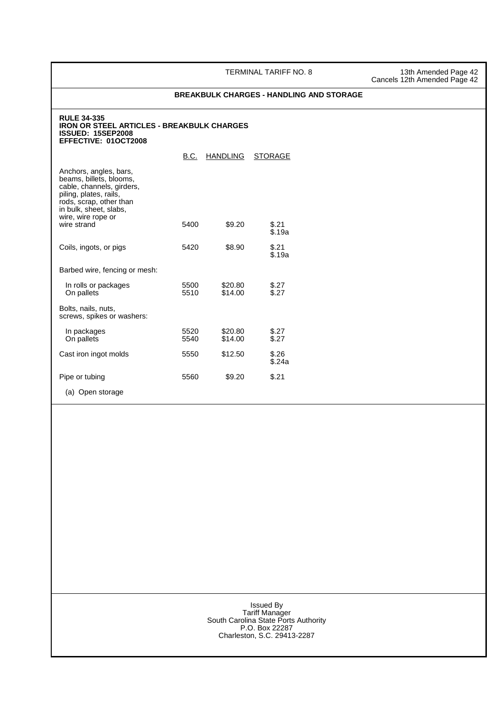TERMINAL TARIFF NO. 8 13th Amended Page 42 Cancels 12th Amended Page 42

# **BREAKBULK CHARGES - HANDLING AND STORAGE IRON OR STEEL ARTICLES - BREAKBULK CHARGES ISSUED: 15SEP2008 EFFECTIVE: 01OCT2008**

B.C. HANDLING STORAGE Anchors, angles, bars, beams, billets, blooms, cable, channels, girders, piling, plates, rails, rods, scrap, other than in bulk, sheet, slabs, wire, wire rope or wire strand 5400 \$9.20 \$.21 \$.19a Coils, ingots, or pigs 5420 \$8.90 \$2.21  $$.19a$ Barbed wire, fencing or mesh: In rolls or packages  $\begin{array}{ccc}\n\text{In rolls or packages} \\
\text{On pellets} \\
\text{On pellets} \\
\text{S27}\n\end{array}$ On pallets Bolts, nails, nuts, screws, spikes or washers: In packages 6520 \$20.80 \$27<br>On pallets 5540 \$14.00 \$27 On pallets Cast iron ingot molds 5550 \$12.50 \$.26 \$.24a Pipe or tubing  $5560$  \$9.20 \$.21 (a) Open storage

**RULE 34-335**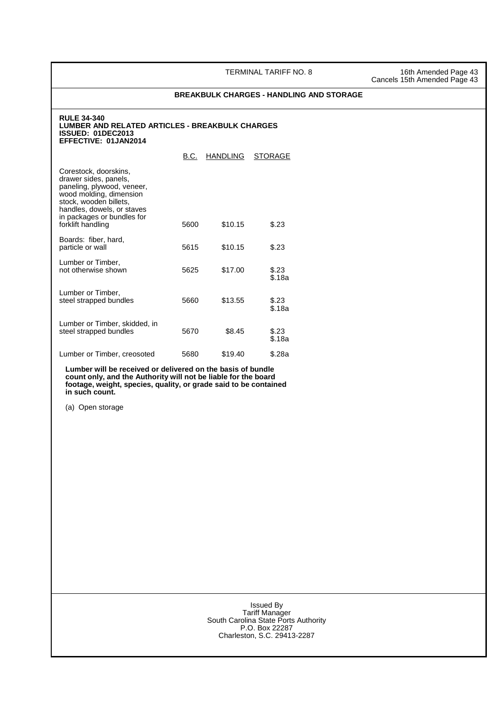TERMINAL TARIFF NO. 8 16th Amended Page 43

Cancels 15th Amended Page 43

#### **BREAKBULK CHARGES - HANDLING AND STORAGE**

#### **RULE 34-340 LUMBER AND RELATED ARTICLES - BREAKBULK CHARGES ISSUED: 01DEC2013 EFFECTIVE: 01JAN2014**

B.C. HANDLING STORAGE Corestock, doorskins, drawer sides, panels, paneling, plywood, veneer, wood molding, dimension stock, wooden billets, handles, dowels, or staves in packages or bundles for forklift handling 5600 \$10.15 \$.23 Boards: fiber, hard, particle or wall<br>barticle or wall by the second state of the second state of the second state of the second state state of the s Lumber or Timber, not otherwise shown 5625 \$17.00 \$.23 \$.18a Lumber or Timber, steel strapped bundles 5660 \$13.55 \$.23 \$.18a Lumber or Timber, skidded, in steel strapped bundles 5670 \$8.45 \$23 \$.18a Lumber or Timber, creosoted 5680 \$19.40 \$.28a

 **Lumber will be received or delivered on the basis of bundle count only, and the Authority will not be liable for the board footage, weight, species, quality, or grade said to be contained in such count.**

(a) Open storage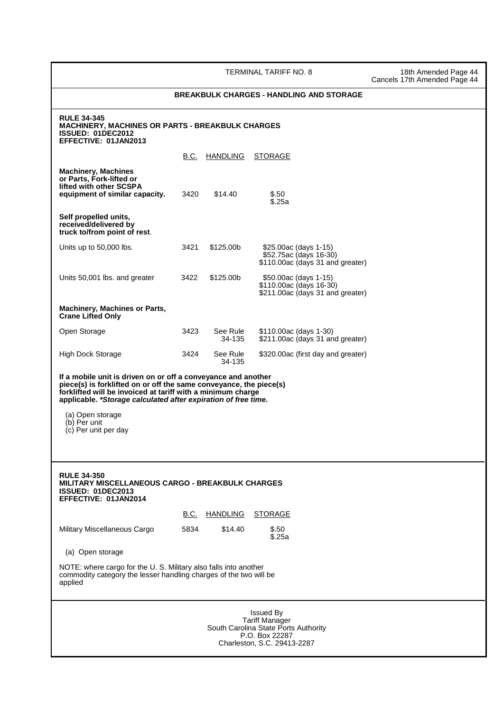TERMINAL TARIFF NO. 8 18th Amended Page 44

Cancels 17th Amended Page 44

## **BREAKBULK CHARGES - HANDLING AND STORAGE RULE 34-345 MACHINERY, MACHINES OR PARTS - BREAKBULK CHARGES ISSUED: 01DEC2012 EFFECTIVE: 01JAN2013** B.C. HANDLING STORAGE **Machinery, Machines or Parts, Fork-lifted or lifted with other SCSPA equipment of similar capacity.** 3420 \$14.40 \$.50 \$.25a **Self propelled units, received/delivered by truck to/from point of rest**. Units up to 50,000 lbs. 3421 \$125.00b \$25.00ac (days 1-15) \$52.75ac (days 16-30) \$110.00ac (days 31 and greater) Units 50,001 lbs. and greater 3422 \$125.00b \$50.00ac (days 1-15) \$110.00ac (days 16-30) \$211.00ac (days 31 and greater) **Machinery, Machines or Parts, Crane Lifted Only**  Open Storage 3423 See Rule \$110.00ac (days 1-30)<br>34-135 \$211.00ac (days 31 an \$211.00ac (days 31 and greater) High Dock Storage 3424 See Rule \$320.00ac (first day and greater)<br>34-135 34-135 **If a mobile unit is driven on or off a conveyance and another piece(s) is forklifted on or off the same conveyance, the piece(s) forklifted will be invoiced at tariff with a minimum charge applicable. \*Storage calculated after expiration of free time.** (a) Open storage (b) Per unit (c) Per unit per day **RULE 34-350 MILITARY MISCELLANEOUS CARGO - BREAKBULK CHARGES ISSUED: 01DEC2013 EFFECTIVE: 01JAN2014 B.C. HANDLING STORAGE** Military Miscellaneous Cargo 5834 \$14.40 \$.50 \$.25a (a) Open storage NOTE: where cargo for the U. S. Military also falls into another commodity category the lesser handling charges of the two will be applied Issued By Tariff Manager South Carolina State Ports Authority P.O. Box 22287 Charleston, S.C. 29413-2287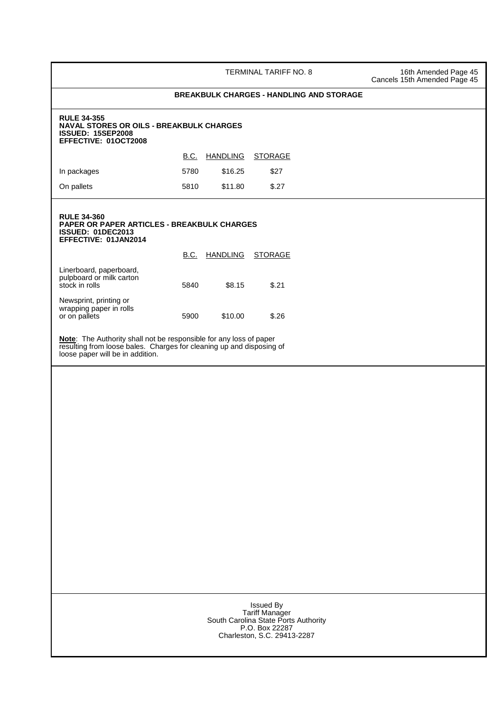|                                                                                                                           |             |                  | TERMINAL TARIFF NO. 8                           | 16th Amended Page 45<br>Cancels 15th Amended Page 45 |
|---------------------------------------------------------------------------------------------------------------------------|-------------|------------------|-------------------------------------------------|------------------------------------------------------|
|                                                                                                                           |             |                  | <b>BREAKBULK CHARGES - HANDLING AND STORAGE</b> |                                                      |
| <b>RULE 34-355</b><br><b>NAVAL STORES OR OILS - BREAKBULK CHARGES</b><br><b>ISSUED: 15SEP2008</b><br>EFFECTIVE: 01OCT2008 |             |                  |                                                 |                                                      |
|                                                                                                                           | <b>B.C.</b> | <b>HANDLING</b>  | <b>STORAGE</b>                                  |                                                      |
| In packages                                                                                                               | 5780        | \$16.25          | \$27                                            |                                                      |
| On pallets                                                                                                                | 5810        | \$11.80          | \$.27                                           |                                                      |
| <b>RULE 34-360</b><br>PAPER OR PAPER ARTICLES - BREAKBULK CHARGES<br><b>ISSUED: 01DEC2013</b><br>EFFECTIVE: 01JAN2014     |             |                  |                                                 |                                                      |
|                                                                                                                           | <b>B.C.</b> | HANDLING STORAGE |                                                 |                                                      |
| Linerboard, paperboard,<br>pulpboard or milk carton<br>stock in rolls                                                     | 5840        | \$8.15           | \$.21                                           |                                                      |
| Newsprint, printing or<br>wrapping paper in rolls<br>or on pallets                                                        | 5900        | \$10.00          | \$.26                                           |                                                      |
|                                                                                                                           |             |                  |                                                 |                                                      |
|                                                                                                                           |             |                  |                                                 |                                                      |
|                                                                                                                           |             |                  |                                                 |                                                      |
|                                                                                                                           |             |                  | Issued By                                       |                                                      |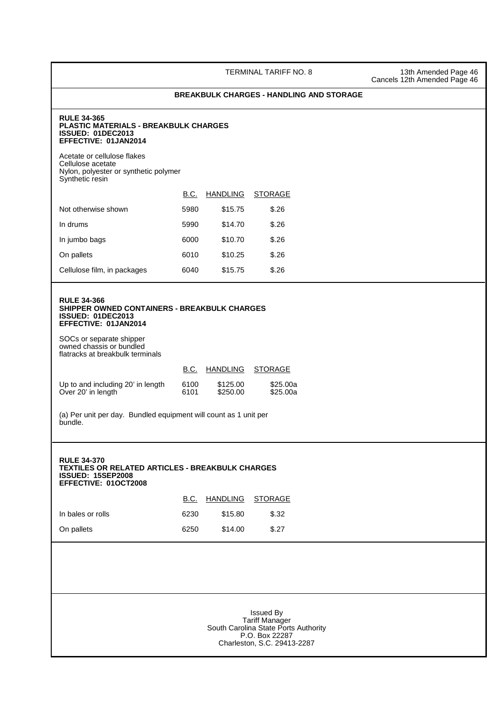TERMINAL TARIFF NO. 8 13th Amended Page 46 Cancels 12th Amended Page 46

#### **BREAKBULK CHARGES - HANDLING AND STORAGE**

#### **RULE 34-365 PLASTIC MATERIALS - BREAKBULK CHARGES ISSUED: 01DEC2013 EFFECTIVE: 01JAN2014**

Acetate or cellulose flakes Cellulose acetate Nylon, polyester or synthetic polymer Synthetic resin

|                             | B.C. | <b>HANDLING</b> | <b>STORAGE</b> |
|-----------------------------|------|-----------------|----------------|
| Not otherwise shown         | 5980 | \$15.75         | \$.26          |
| In drums                    | 5990 | \$14.70         | \$.26          |
| In jumbo bags               | 6000 | \$10.70         | \$.26          |
| On pallets                  | 6010 | \$10.25         | \$.26          |
| Cellulose film, in packages | 6040 | \$15.75         | \$.26          |

#### **RULE 34-366 SHIPPER OWNED CONTAINERS - BREAKBULK CHARGES ISSUED: 01DEC2013 EFFECTIVE: 01JAN2014**

SOCs or separate shipper owned chassis or bundled flatracks at breakbulk terminals

|                                   | B.C. | HANDLING | <b>STORAGE</b> |
|-----------------------------------|------|----------|----------------|
| Up to and including 20' in length | 6100 | \$125.00 | \$25.00a       |
| Over 20' in length                | 6101 | \$250.00 | \$25.00a       |

(a) Per unit per day. Bundled equipment will count as 1 unit per bundle.

## **RULE 34-370 TEXTILES OR RELATED ARTICLES - BREAKBULK CHARGES ISSUED: 15SEP2008 EFFECTIVE: 01OCT2008**

|                   | B.C. | HANDLING STORAGE |       |
|-------------------|------|------------------|-------|
| In bales or rolls | 6230 | \$15.80          | \$.32 |
| On pallets        | 6250 | \$14.00          | \$.27 |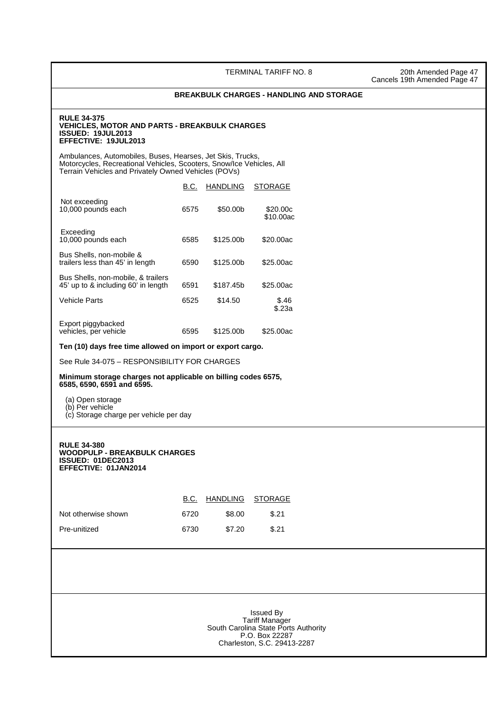TERMINAL TARIFF NO. 8 20th Amended Page 47 Cancels 19th Amended Page 47

#### **BREAKBULK CHARGES - HANDLING AND STORAGE**

#### **RULE 34-375 VEHICLES, MOTOR AND PARTS - BREAKBULK CHARGES ISSUED: 19JUL2013 EFFECTIVE: 19JUL2013**

 Ambulances, Automobiles, Buses, Hearses, Jet Skis, Trucks, Motorcycles, Recreational Vehicles, Scooters, Snow/Ice Vehicles, All Terrain Vehicles and Privately Owned Vehicles (POVs)

|                                                                           | B.C. | <b>HANDLING</b> | <b>STORAGE</b>        |
|---------------------------------------------------------------------------|------|-----------------|-----------------------|
| Not exceeding<br>10,000 pounds each                                       | 6575 | \$50,00b        | \$20.00c<br>\$10.00ac |
| Exceeding<br>10,000 pounds each                                           | 6585 | \$125,00b       | \$20,00ac             |
| Bus Shells, non-mobile &<br>trailers less than 45' in length              | 6590 | \$125,00b       | \$25,00ac             |
| Bus Shells, non-mobile, & trailers<br>45' up to & including 60' in length | 6591 | \$187.45b       | \$25,00ac             |
| <b>Vehicle Parts</b>                                                      | 6525 | \$14.50         | \$.46<br>\$.23a       |
| Export piggybacked<br>vehicles, per vehicle                               | 6595 | \$125,00b       | \$25,00ac             |

**Ten (10) days free time allowed on import or export cargo.** 

See Rule 34-075 – RESPONSIBILITY FOR CHARGES

**Minimum storage charges not applicable on billing codes 6575, 6585, 6590, 6591 and 6595.**

(a) Open storage

 (b) Per vehicle (c) Storage charge per vehicle per day

#### **RULE 34-380 WOODPULP - BREAKBULK CHARGES ISSUED: 01DEC2013 EFFECTIVE: 01JAN2014**

|                     | B.C. | HANDLING STORAGE |       |
|---------------------|------|------------------|-------|
| Not otherwise shown | 6720 | \$8.00           | \$.21 |
| Pre-unitized        | 6730 | \$7.20           | \$.21 |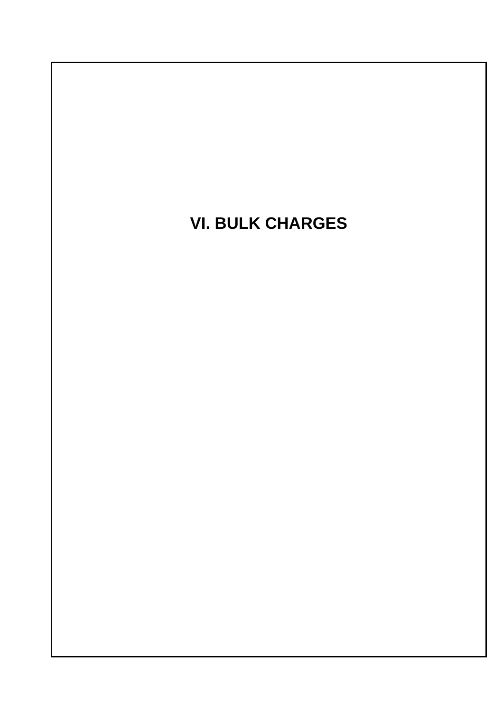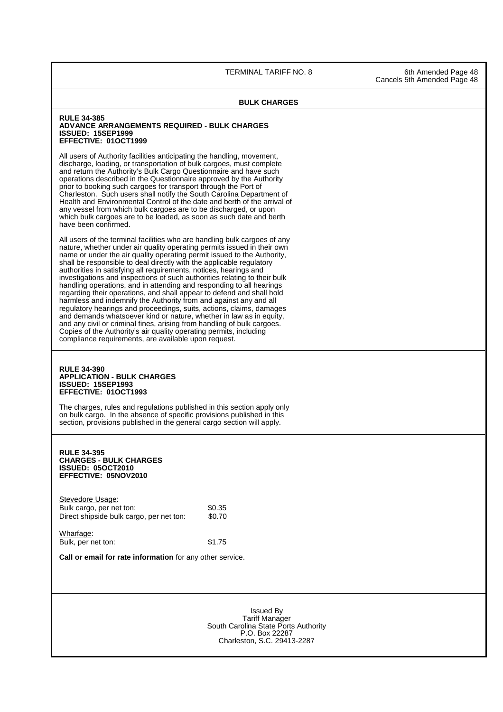TERMINAL TARIFF NO. 8 6th Amended Page 48

Cancels 5th Amended Page 48

## **BULK CHARGES RULE 34-385 ADVANCE ARRANGEMENTS REQUIRED - BULK CHARGES ISSUED: 15SEP1999 EFFECTIVE: 01OCT1999** All users of Authority facilities anticipating the handling, movement, discharge, loading, or transportation of bulk cargoes, must complete and return the Authority's Bulk Cargo Questionnaire and have such operations described in the Questionnaire approved by the Authority prior to booking such cargoes for transport through the Port of Charleston. Such users shall notify the South Carolina Department of Health and Environmental Control of the date and berth of the arrival of any vessel from which bulk cargoes are to be discharged, or upon which bulk cargoes are to be loaded, as soon as such date and berth have been confirmed. All users of the terminal facilities who are handling bulk cargoes of any nature, whether under air quality operating permits issued in their own name or under the air quality operating permit issued to the Authority, shall be responsible to deal directly with the applicable regulatory authorities in satisfying all requirements, notices, hearings and investigations and inspections of such authorities relating to their bulk handling operations, and in attending and responding to all hearings regarding their operations, and shall appear to defend and shall hold harmless and indemnify the Authority from and against any and all regulatory hearings and proceedings, suits, actions, claims, damages and demands whatsoever kind or nature, whether in law as in equity, and any civil or criminal fines, arising from handling of bulk cargoes. Copies of the Authority's air quality operating permits, including compliance requirements, are available upon request. **RULE 34-390 APPLICATION - BULK CHARGES ISSUED: 15SEP1993 EFFECTIVE: 01OCT1993** The charges, rules and regulations published in this section apply only on bulk cargo. In the absence of specific provisions published in this section, provisions published in the general cargo section will apply. **RULE 34-395 CHARGES - BULK CHARGES ISSUED: 05OCT2010 EFFECTIVE: 05NOV2010** Stevedore Usage: Bulk cargo, per net ton: \$0.35 Direct shipside bulk cargo, per net ton: \$0.70 Wharfage: Bulk, per net ton: \$1.75 **Call or email for rate information** for any other service. Issued By Tariff Manager South Carolina State Ports Authority P.O. Box 22287 Charleston, S.C. 29413-2287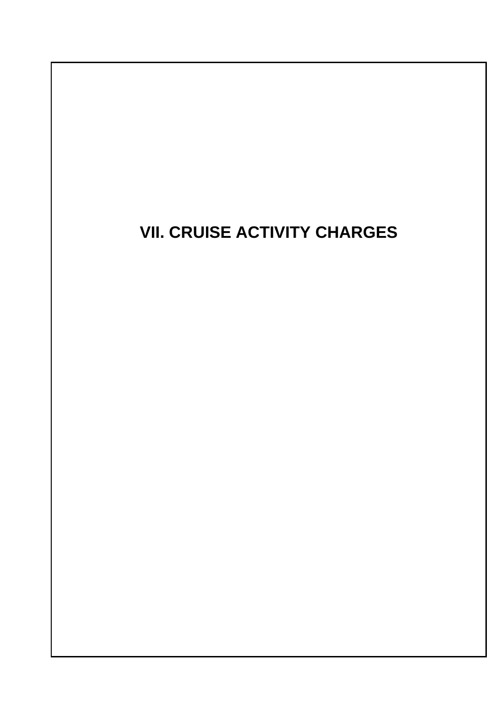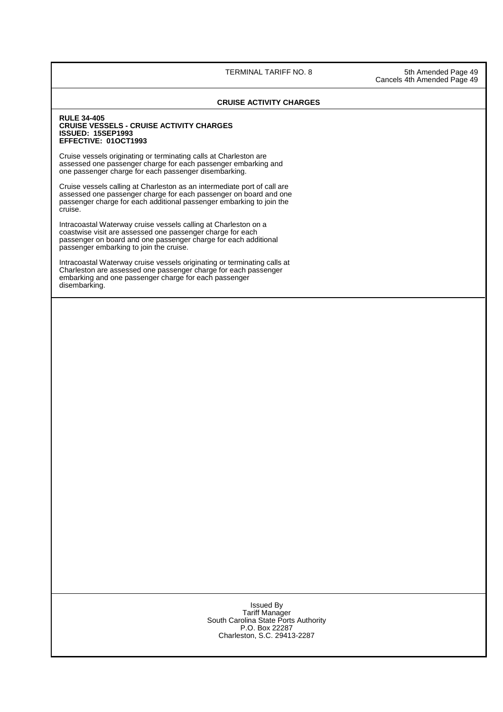TERMINAL TARIFF NO. 8 5th Amended Page 49

Cancels 4th Amended Page 49

### **CRUISE ACTIVITY CHARGES**

#### **RULE 34-405 CRUISE VESSELS - CRUISE ACTIVITY CHARGES ISSUED: 15SEP1993 EFFECTIVE: 01OCT1993**

Cruise vessels originating or terminating calls at Charleston are assessed one passenger charge for each passenger embarking and one passenger charge for each passenger disembarking.

Cruise vessels calling at Charleston as an intermediate port of call are assessed one passenger charge for each passenger on board and one passenger charge for each additional passenger embarking to join the cruise.

Intracoastal Waterway cruise vessels calling at Charleston on a coastwise visit are assessed one passenger charge for each passenger on board and one passenger charge for each additional passenger embarking to join the cruise.

Intracoastal Waterway cruise vessels originating or terminating calls at Charleston are assessed one passenger charge for each passenger embarking and one passenger charge for each passenger disembarking.

#### Issued By Tariff Manager South Carolina State Ports Authority P.O. Box 22287 Charleston, S.C. 29413-2287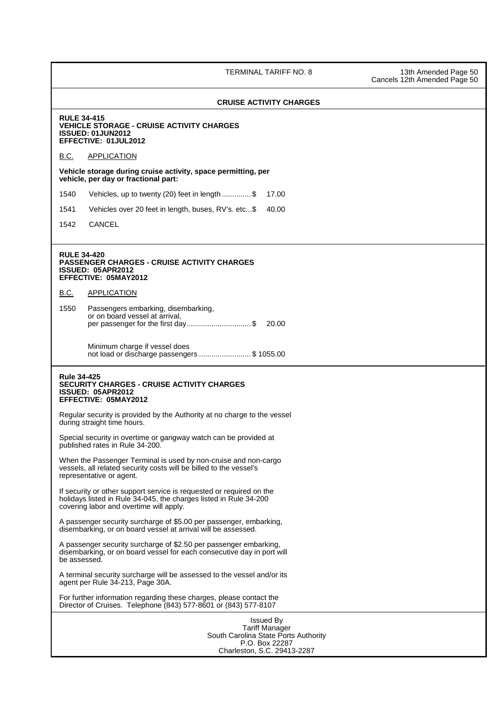TERMINAL TARIFF NO. 8 13th Amended Page 50

Cancels 12th Amended Page 50

# **CRUISE ACTIVITY CHARGES RULE 34-415 VEHICLE STORAGE - CRUISE ACTIVITY CHARGES ISSUED: 01JUN2012 EFFECTIVE: 01JUL2012** B.C. APPLICATION **Vehicle storage during cruise activity, space permitting, per vehicle, per day or fractional part:**  1540 Vehicles, up to twenty (20) feet in length .............. \$ 17.00 1541 Vehicles over 20 feet in length, buses, RV's. etc...\$ 40.00 1542 CANCEL **RULE 34-420 PASSENGER CHARGES - CRUISE ACTIVITY CHARGES ISSUED: 05APR2012 EFFECTIVE: 05MAY2012** B.C. APPLICATION 1550 Passengers embarking, disembarking, or on board vessel at arrival, per passenger for the first day ............................... \$ 20.00 Minimum charge if vessel does not load or discharge passengers ......................... \$ 1055.00 **Rule 34-425 SECURITY CHARGES - CRUISE ACTIVITY CHARGES ISSUED: 05APR2012 EFFECTIVE: 05MAY2012** Regular security is provided by the Authority at no charge to the vessel during straight time hours. Special security in overtime or gangway watch can be provided at published rates in Rule 34-200. When the Passenger Terminal is used by non-cruise and non-cargo vessels, all related security costs will be billed to the vessel's representative or agent. If security or other support service is requested or required on the holidays listed in Rule 34-045, the charges listed in Rule 34-200 covering labor and overtime will apply. A passenger security surcharge of \$5.00 per passenger, embarking, disembarking, or on board vessel at arrival will be assessed. A passenger security surcharge of \$2.50 per passenger embarking, disembarking, or on board vessel for each consecutive day in port will be assessed. A terminal security surcharge will be assessed to the vessel and/or its agent per Rule 34-213, Page 30A. For further information regarding these charges, please contact the Director of Cruises. Telephone (843) 577-8601 or (843) 577-8107 Issued By Tariff Manager South Carolina State Ports Authority

P.O. Box 22287 Charleston, S.C. 29413-2287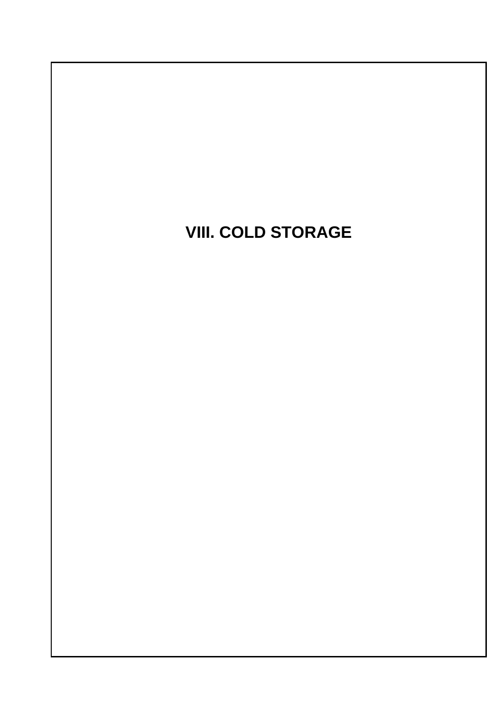